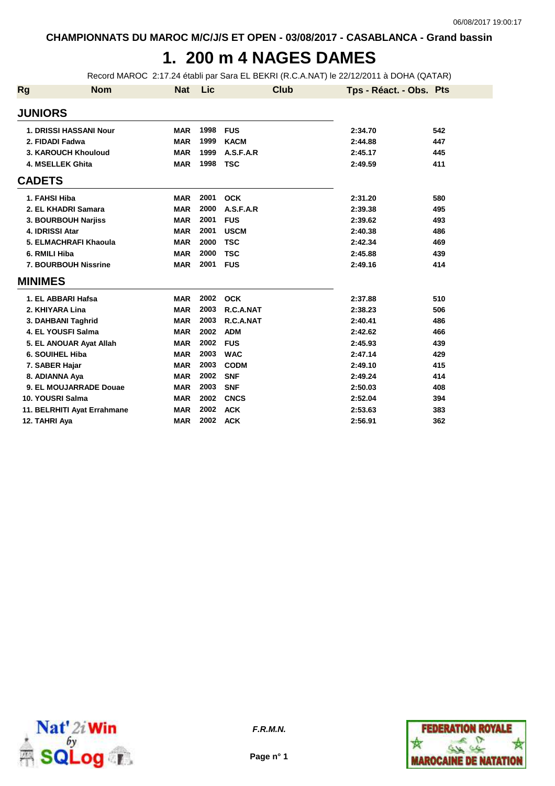# **1. 200 m 4 NAGES DAMES**

Record MAROC 2:17.24 établi par Sara EL BEKRI (R.C.A.NAT) le 22/12/2011 à DOHA (QATAR)

| Rg             | <b>Nom</b>                    | <b>Nat</b> | Lic  | Club        | Tps - Réact. - Obs. Pts |     |
|----------------|-------------------------------|------------|------|-------------|-------------------------|-----|
| <b>JUNIORS</b> |                               |            |      |             |                         |     |
|                | <b>1. DRISSI HASSANI Nour</b> | <b>MAR</b> | 1998 | <b>FUS</b>  | 2:34.70                 | 542 |
|                | 2. FIDADI Fadwa               | <b>MAR</b> | 1999 | <b>KACM</b> | 2:44.88                 | 447 |
|                | 3. KAROUCH Khouloud           | <b>MAR</b> | 1999 | A.S.F.A.R   | 2:45.17                 | 445 |
|                | 4. MSELLEK Ghita              | <b>MAR</b> | 1998 | <b>TSC</b>  | 2:49.59                 | 411 |
| <b>CADETS</b>  |                               |            |      |             |                         |     |
|                | 1. FAHSI Hiba                 | <b>MAR</b> | 2001 | <b>OCK</b>  | 2:31.20                 | 580 |
|                | 2. EL KHADRI Samara           | <b>MAR</b> | 2000 | A.S.F.A.R   | 2:39.38                 | 495 |
|                | 3. BOURBOUH Narjiss           | <b>MAR</b> | 2001 | <b>FUS</b>  | 2:39.62                 | 493 |
|                | 4. IDRISSI Atar               | <b>MAR</b> | 2001 | <b>USCM</b> | 2:40.38                 | 486 |
|                | 5. ELMACHRAFI Khaoula         | <b>MAR</b> | 2000 | <b>TSC</b>  | 2:42.34                 | 469 |
|                | 6. RMILI Hiba                 | <b>MAR</b> | 2000 | <b>TSC</b>  | 2:45.88                 | 439 |
|                | 7. BOURBOUH Nissrine          | <b>MAR</b> | 2001 | <b>FUS</b>  | 2:49.16                 | 414 |
| <b>MINIMES</b> |                               |            |      |             |                         |     |
|                | 1. EL ABBARI Hafsa            | <b>MAR</b> | 2002 | <b>OCK</b>  | 2:37.88                 | 510 |
|                | 2. KHIYARA Lina               | <b>MAR</b> | 2003 | R.C.A.NAT   | 2:38.23                 | 506 |
|                | 3. DAHBANI Taghrid            | <b>MAR</b> | 2003 | R.C.A.NAT   | 2:40.41                 | 486 |
|                | 4. EL YOUSFI Salma            | <b>MAR</b> | 2002 | <b>ADM</b>  | 2:42.62                 | 466 |
|                | 5. EL ANOUAR Ayat Allah       | <b>MAR</b> | 2002 | <b>FUS</b>  | 2:45.93                 | 439 |
|                | 6. SOUIHEL Hiba               | <b>MAR</b> | 2003 | <b>WAC</b>  | 2:47.14                 | 429 |
|                | 7. SABER Hajar                | <b>MAR</b> | 2003 | <b>CODM</b> | 2:49.10                 | 415 |
|                | 8. ADIANNA Aya                | <b>MAR</b> | 2002 | <b>SNF</b>  | 2:49.24                 | 414 |
|                | 9. EL MOUJARRADE Douae        | <b>MAR</b> | 2003 | <b>SNF</b>  | 2:50.03                 | 408 |
|                | 10. YOUSRI Salma              | <b>MAR</b> | 2002 | <b>CNCS</b> | 2:52.04                 | 394 |
|                | 11. BELRHITI Ayat Errahmane   | <b>MAR</b> | 2002 | <b>ACK</b>  | 2:53.63                 | 383 |
|                | 12. TAHRI Aya                 | <b>MAR</b> | 2002 | <b>ACK</b>  | 2:56.91                 | 362 |



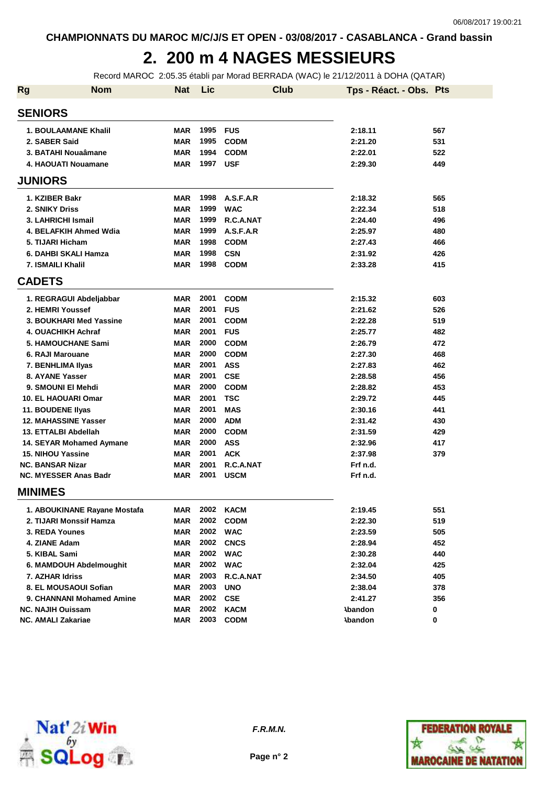# **2. 200 m 4 NAGES MESSIEURS**

Record MAROC 2:05.35 établi par Morad BERRADA (WAC) le 21/12/2011 à DOHA (QATAR)

| <b>Rg</b> | <b>Nom</b>                   | <b>Nat</b> | Lic  | <b>Club</b> | Tps - Réact. - Obs. Pts |     |
|-----------|------------------------------|------------|------|-------------|-------------------------|-----|
|           | <b>SENIORS</b>               |            |      |             |                         |     |
|           | <b>1. BOULAAMANE Khalil</b>  | <b>MAR</b> | 1995 | <b>FUS</b>  | 2:18.11                 | 567 |
|           | 2. SABER Said                | <b>MAR</b> | 1995 | <b>CODM</b> | 2:21.20                 | 531 |
|           | 3. BATAHI Nouaâmane          | <b>MAR</b> | 1994 | <b>CODM</b> | 2:22.01                 | 522 |
|           | 4. HAOUATI Nouamane          | <b>MAR</b> | 1997 | <b>USF</b>  | 2:29.30                 | 449 |
|           | <b>JUNIORS</b>               |            |      |             |                         |     |
|           | 1. KZIBER Bakr               | <b>MAR</b> | 1998 | A.S.F.A.R   | 2:18.32                 | 565 |
|           | 2. SNIKY Driss               | <b>MAR</b> | 1999 | <b>WAC</b>  | 2:22.34                 | 518 |
|           | 3. LAHRICHI Ismail           | <b>MAR</b> | 1999 | R.C.A.NAT   | 2:24.40                 | 496 |
|           | 4. BELAFKIH Ahmed Wdia       | <b>MAR</b> | 1999 | A.S.F.A.R   | 2:25.97                 | 480 |
|           | 5. TIJARI Hicham             | <b>MAR</b> | 1998 | <b>CODM</b> | 2:27.43                 | 466 |
|           | 6. DAHBI SKALI Hamza         | <b>MAR</b> | 1998 | <b>CSN</b>  | 2:31.92                 | 426 |
|           | <b>7. ISMAILI Khalil</b>     | <b>MAR</b> | 1998 | <b>CODM</b> | 2:33.28                 | 415 |
|           | <b>CADETS</b>                |            |      |             |                         |     |
|           | 1. REGRAGUI Abdeljabbar      | <b>MAR</b> | 2001 | <b>CODM</b> | 2:15.32                 | 603 |
|           | 2. HEMRI Youssef             | <b>MAR</b> | 2001 | <b>FUS</b>  | 2:21.62                 | 526 |
|           | 3. BOUKHARI Med Yassine      | <b>MAR</b> | 2001 | <b>CODM</b> | 2:22.28                 | 519 |
|           | <b>4. OUACHIKH Achraf</b>    | <b>MAR</b> | 2001 | <b>FUS</b>  | 2:25.77                 | 482 |
|           | 5. HAMOUCHANE Sami           | <b>MAR</b> | 2000 | <b>CODM</b> | 2:26.79                 | 472 |
|           | 6. RAJI Marouane             | <b>MAR</b> | 2000 | <b>CODM</b> | 2:27.30                 | 468 |
|           | 7. BENHLIMA IIyas            | <b>MAR</b> | 2001 | <b>ASS</b>  | 2:27.83                 | 462 |
|           | 8. AYANE Yasser              | <b>MAR</b> | 2001 | <b>CSE</b>  | 2:28.58                 | 456 |
|           | 9. SMOUNI EI Mehdi           | <b>MAR</b> | 2000 | <b>CODM</b> | 2:28.82                 | 453 |
|           | <b>10. EL HAOUARI Omar</b>   | <b>MAR</b> | 2001 | <b>TSC</b>  | 2:29.72                 | 445 |
|           | 11. BOUDENE Ilyas            | <b>MAR</b> | 2001 | <b>MAS</b>  | 2:30.16                 | 441 |
|           | <b>12. MAHASSINE Yasser</b>  | <b>MAR</b> | 2000 | <b>ADM</b>  | 2:31.42                 | 430 |
|           | 13. ETTALBI Abdellah         | <b>MAR</b> | 2000 | <b>CODM</b> | 2:31.59                 | 429 |
|           | 14. SEYAR Mohamed Aymane     | MAR        | 2000 | <b>ASS</b>  | 2:32.96                 | 417 |
|           | <b>15. NIHOU Yassine</b>     | <b>MAR</b> | 2001 | <b>ACK</b>  | 2:37.98                 | 379 |
|           | <b>NC. BANSAR Nizar</b>      | MAR        | 2001 | R.C.A.NAT   | Frf n.d.                |     |
|           | <b>NC. MYESSER Anas Badr</b> | MAR        | 2001 | <b>USCM</b> | Frf n.d.                |     |
|           | <b>MINIMES</b>               |            |      |             |                         |     |
|           | 1. ABOUKINANE Rayane Mostafa | MAR        | 2002 | <b>KACM</b> | 2:19.45                 | 551 |
|           | 2. TIJARI Monssif Hamza      | MAR        | 2002 | <b>CODM</b> | 2:22.30                 | 519 |
|           | 3. REDA Younes               | MAR        | 2002 | <b>WAC</b>  | 2:23.59                 | 505 |
|           | 4. ZIANE Adam                | MAR        | 2002 | <b>CNCS</b> | 2:28.94                 | 452 |
|           | 5. KIBAL Sami                | MAR        | 2002 | <b>WAC</b>  | 2:30.28                 | 440 |
|           | 6. MAMDOUH Abdelmoughit      | MAR        | 2002 | <b>WAC</b>  | 2:32.04                 | 425 |
|           | 7. AZHAR Idriss              | MAR        | 2003 | R.C.A.NAT   | 2:34.50                 | 405 |
|           | 8. EL MOUSAOUI Sofian        | MAR        | 2003 | <b>UNO</b>  | 2:38.04                 | 378 |
|           | 9. CHANNANI Mohamed Amine    | <b>MAR</b> | 2002 | <b>CSE</b>  | 2:41.27                 | 356 |
|           | <b>NC. NAJIH Ouissam</b>     | <b>MAR</b> | 2002 | <b>KACM</b> | <b>\bandon</b>          | 0   |
|           | <b>NC. AMALI Zakariae</b>    | <b>MAR</b> | 2003 | <b>CODM</b> | <b>Abandon</b>          | 0   |



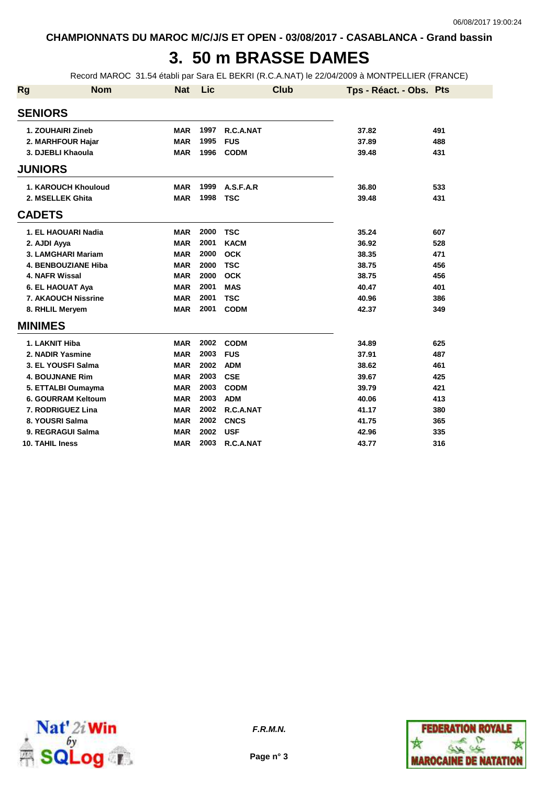## **3. 50 m BRASSE DAMES**

Record MAROC 31.54 établi par Sara EL BEKRI (R.C.A.NAT) le 22/04/2009 à MONTPELLIER (FRANCE)

| <b>Rg</b>              | <b>Nom</b>                 | <b>Nat</b> | Lic  | <b>Club</b> | Tps - Réact. - Obs. Pts |     |
|------------------------|----------------------------|------------|------|-------------|-------------------------|-----|
| <b>SENIORS</b>         |                            |            |      |             |                         |     |
| 1. ZOUHAIRI Zineb      |                            | <b>MAR</b> | 1997 | R.C.A.NAT   | 37.82                   | 491 |
|                        | 2. MARHFOUR Hajar          | <b>MAR</b> | 1995 | <b>FUS</b>  | 37.89                   | 488 |
| 3. DJEBLI Khaoula      |                            | <b>MAR</b> | 1996 | <b>CODM</b> | 39.48                   | 431 |
| <b>JUNIORS</b>         |                            |            |      |             |                         |     |
|                        | <b>1. KAROUCH Khouloud</b> | <b>MAR</b> | 1999 | A.S.F.A.R   | 36.80                   | 533 |
| 2. MSELLEK Ghita       |                            | <b>MAR</b> | 1998 | <b>TSC</b>  | 39.48                   | 431 |
| <b>CADETS</b>          |                            |            |      |             |                         |     |
|                        | 1. EL HAOUARI Nadia        | <b>MAR</b> | 2000 | <b>TSC</b>  | 35.24                   | 607 |
| 2. AJDI Ayya           |                            | <b>MAR</b> | 2001 | <b>KACM</b> | 36.92                   | 528 |
|                        | 3. LAMGHARI Mariam         | <b>MAR</b> | 2000 | <b>OCK</b>  | 38.35                   | 471 |
|                        | <b>4. BENBOUZIANE Hiba</b> | <b>MAR</b> | 2000 | <b>TSC</b>  | 38.75                   | 456 |
| 4. NAFR Wissal         |                            | <b>MAR</b> | 2000 | <b>OCK</b>  | 38.75                   | 456 |
| 6. EL HAOUAT Aya       |                            | <b>MAR</b> | 2001 | <b>MAS</b>  | 40.47                   | 401 |
|                        | <b>7. AKAOUCH Nissrine</b> | <b>MAR</b> | 2001 | <b>TSC</b>  | 40.96                   | 386 |
| 8. RHLIL Meryem        |                            | <b>MAR</b> | 2001 | <b>CODM</b> | 42.37                   | 349 |
| <b>MINIMES</b>         |                            |            |      |             |                         |     |
| 1. LAKNIT Hiba         |                            | <b>MAR</b> | 2002 | <b>CODM</b> | 34.89                   | 625 |
| 2. NADIR Yasmine       |                            | <b>MAR</b> | 2003 | <b>FUS</b>  | 37.91                   | 487 |
|                        | 3. EL YOUSFI Salma         | <b>MAR</b> | 2002 | <b>ADM</b>  | 38.62                   | 461 |
| <b>4. BOUJNANE Rim</b> |                            | <b>MAR</b> | 2003 | <b>CSE</b>  | 39.67                   | 425 |
|                        | 5. ETTALBI Oumayma         | <b>MAR</b> | 2003 | <b>CODM</b> | 39.79                   | 421 |
|                        | 6. GOURRAM Keltoum         | <b>MAR</b> | 2003 | <b>ADM</b>  | 40.06                   | 413 |
|                        | 7. RODRIGUEZ Lina          | <b>MAR</b> | 2002 | R.C.A.NAT   | 41.17                   | 380 |
| 8. YOUSRI Salma        |                            | <b>MAR</b> | 2002 | <b>CNCS</b> | 41.75                   | 365 |
|                        | 9. REGRAGUI Salma          | <b>MAR</b> | 2002 | <b>USF</b>  | 42.96                   | 335 |
| 10. TAHIL Iness        |                            | <b>MAR</b> | 2003 | R.C.A.NAT   | 43.77                   | 316 |



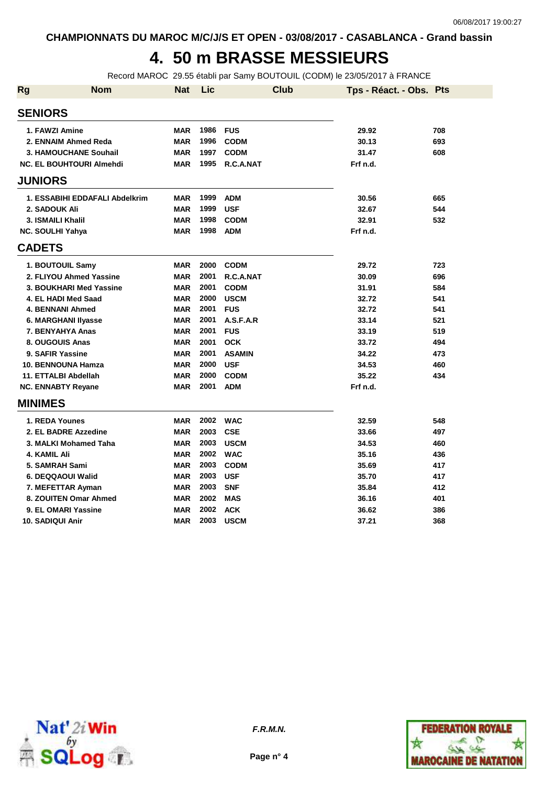# **4. 50 m BRASSE MESSIEURS**

Record MAROC 29.55 établi par Samy BOUTOUIL (CODM) le 23/05/2017 à FRANCE

| <b>Rg</b>      | <b>Nom</b>                      | <b>Nat</b> | Lic  | <b>Club</b>   | Tps - Réact. - Obs. Pts |     |
|----------------|---------------------------------|------------|------|---------------|-------------------------|-----|
| <b>SENIORS</b> |                                 |            |      |               |                         |     |
|                | 1. FAWZI Amine                  | MAR        | 1986 | <b>FUS</b>    | 29.92                   | 708 |
|                | 2. ENNAIM Ahmed Reda            | MAR        | 1996 | <b>CODM</b>   | 30.13                   | 693 |
|                | 3. HAMOUCHANE Souhail           | <b>MAR</b> | 1997 | <b>CODM</b>   | 31.47                   | 608 |
|                | <b>NC. EL BOUHTOURI Almehdi</b> | <b>MAR</b> | 1995 | R.C.A.NAT     | Frf n.d.                |     |
| <b>JUNIORS</b> |                                 |            |      |               |                         |     |
|                | 1. ESSABIHI EDDAFALI Abdelkrim  | <b>MAR</b> | 1999 | <b>ADM</b>    | 30.56                   | 665 |
|                | 2. SADOUK Ali                   | <b>MAR</b> | 1999 | <b>USF</b>    | 32.67                   | 544 |
|                | 3. ISMAILI Khalil               | <b>MAR</b> | 1998 | <b>CODM</b>   | 32.91                   | 532 |
|                | <b>NC. SOULHI Yahya</b>         | MAR        | 1998 | <b>ADM</b>    | Frf n.d.                |     |
| <b>CADETS</b>  |                                 |            |      |               |                         |     |
|                | 1. BOUTOUIL Samy                | MAR        | 2000 | <b>CODM</b>   | 29.72                   | 723 |
|                | 2. FLIYOU Ahmed Yassine         | <b>MAR</b> | 2001 | R.C.A.NAT     | 30.09                   | 696 |
|                | 3. BOUKHARI Med Yassine         | MAR        | 2001 | <b>CODM</b>   | 31.91                   | 584 |
|                | 4. EL HADI Med Saad             | <b>MAR</b> | 2000 | <b>USCM</b>   | 32.72                   | 541 |
|                | <b>4. BENNANI Ahmed</b>         | <b>MAR</b> | 2001 | <b>FUS</b>    | 32.72                   | 541 |
|                | 6. MARGHANI Ilyasse             | <b>MAR</b> | 2001 | A.S.F.A.R     | 33.14                   | 521 |
|                | 7. BENYAHYA Anas                | <b>MAR</b> | 2001 | <b>FUS</b>    | 33.19                   | 519 |
|                | 8. OUGOUIS Anas                 | <b>MAR</b> | 2001 | <b>OCK</b>    | 33.72                   | 494 |
|                | 9. SAFIR Yassine                | <b>MAR</b> | 2001 | <b>ASAMIN</b> | 34.22                   | 473 |
|                | 10. BENNOUNA Hamza              | <b>MAR</b> | 2000 | <b>USF</b>    | 34.53                   | 460 |
|                | 11. ETTALBI Abdellah            | <b>MAR</b> | 2000 | <b>CODM</b>   | 35.22                   | 434 |
|                | <b>NC. ENNABTY Reyane</b>       | <b>MAR</b> | 2001 | <b>ADM</b>    | Frf n.d.                |     |
| <b>MINIMES</b> |                                 |            |      |               |                         |     |
|                | 1. REDA Younes                  | <b>MAR</b> | 2002 | <b>WAC</b>    | 32.59                   | 548 |
|                | 2. EL BADRE Azzedine            | <b>MAR</b> | 2003 | <b>CSE</b>    | 33.66                   | 497 |
|                | 3. MALKI Mohamed Taha           | MAR        | 2003 | <b>USCM</b>   | 34.53                   | 460 |
|                | 4. KAMIL Ali                    | <b>MAR</b> | 2002 | <b>WAC</b>    | 35.16                   | 436 |
|                | 5. SAMRAH Sami                  | MAR        | 2003 | <b>CODM</b>   | 35.69                   | 417 |
|                | 6. DEQQAOUI Walid               | <b>MAR</b> | 2003 | <b>USF</b>    | 35.70                   | 417 |
|                | 7. MEFETTAR Ayman               | MAR        | 2003 | <b>SNF</b>    | 35.84                   | 412 |
|                | 8. ZOUITEN Omar Ahmed           | <b>MAR</b> | 2002 | <b>MAS</b>    | 36.16                   | 401 |
|                | 9. EL OMARI Yassine             | <b>MAR</b> | 2002 | <b>ACK</b>    | 36.62                   | 386 |
|                | <b>10. SADIQUI Anir</b>         | <b>MAR</b> | 2003 | <b>USCM</b>   | 37.21                   | 368 |



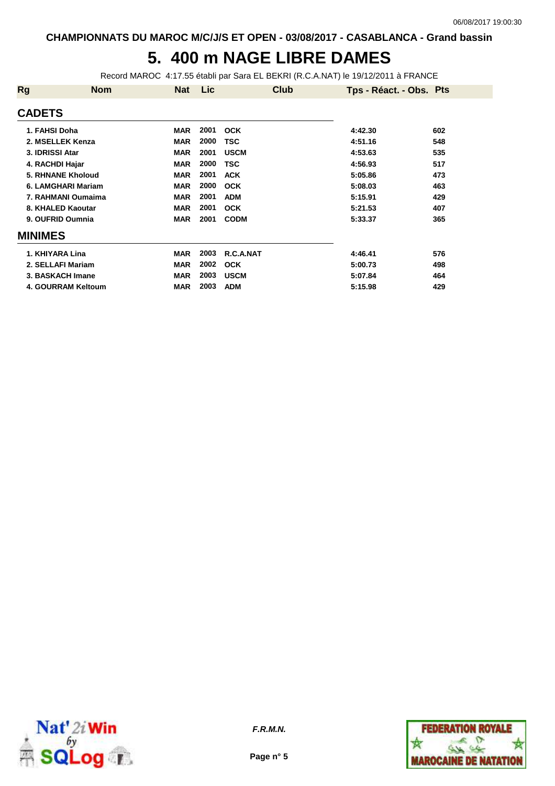## **5. 400 m NAGE LIBRE DAMES**

Record MAROC 4:17.55 établi par Sara EL BEKRI (R.C.A.NAT) le 19/12/2011 à FRANCE

| <b>Rg</b>                | <b>Nom</b> | <b>Nat</b> | Lic  | Club        | Tps - Réact. - Obs. Pts |     |
|--------------------------|------------|------------|------|-------------|-------------------------|-----|
| <b>CADETS</b>            |            |            |      |             |                         |     |
| 1. FAHSI Doha            |            | <b>MAR</b> | 2001 | <b>OCK</b>  | 4:42.30                 | 602 |
| 2. MSELLEK Kenza         |            | <b>MAR</b> | 2000 | TSC         | 4:51.16                 | 548 |
| 3. IDRISSI Atar          |            | <b>MAR</b> | 2001 | <b>USCM</b> | 4:53.63                 | 535 |
| 4. RACHDI Hajar          |            | <b>MAR</b> | 2000 | TSC         | 4:56.93                 | 517 |
| <b>5. RHNANE Kholoud</b> |            | <b>MAR</b> | 2001 | <b>ACK</b>  | 5:05.86                 | 473 |
| 6. LAMGHARI Mariam       |            | <b>MAR</b> | 2000 | <b>OCK</b>  | 5:08.03                 | 463 |
| 7. RAHMANI Oumaima       |            | <b>MAR</b> | 2001 | <b>ADM</b>  | 5:15.91                 | 429 |
| 8. KHALED Kaoutar        |            | <b>MAR</b> | 2001 | <b>OCK</b>  | 5:21.53                 | 407 |
| 9. OUFRID Oumnia         |            | <b>MAR</b> | 2001 | <b>CODM</b> | 5:33.37                 | 365 |
| <b>MINIMES</b>           |            |            |      |             |                         |     |
| 1. KHIYARA Lina          |            | <b>MAR</b> | 2003 | R.C.A.NAT   | 4:46.41                 | 576 |
| 2. SELLAFI Mariam        |            | <b>MAR</b> | 2002 | <b>OCK</b>  | 5:00.73                 | 498 |
| 3. BASKACH Imane         |            | <b>MAR</b> | 2003 | <b>USCM</b> | 5:07.84                 | 464 |
| 4. GOURRAM Keltoum       |            | <b>MAR</b> | 2003 | <b>ADM</b>  | 5:15.98                 | 429 |



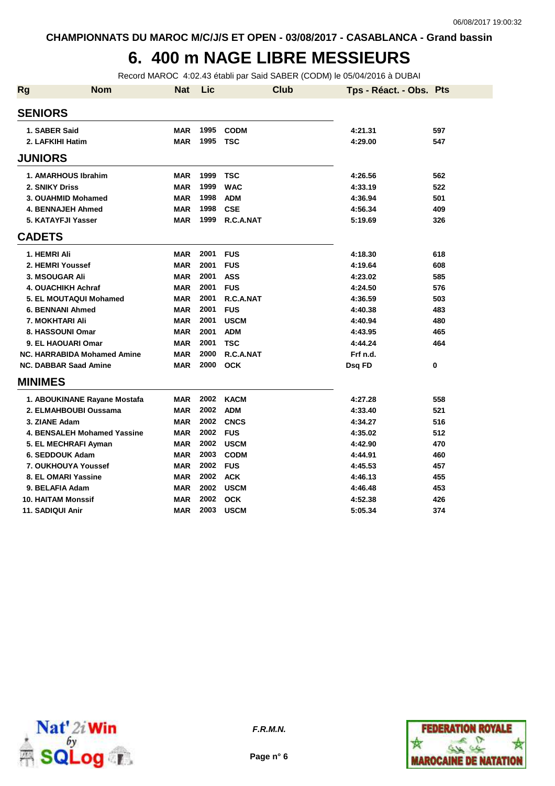#### **6. 400 m NAGE LIBRE MESSIEURS**

Record MAROC 4:02.43 établi par Said SABER (CODM) le 05/04/2016 à DUBAI

| <b>Rg</b> | <b>Nom</b>                         | Nat        | Lic  |             | <b>Club</b> | Tps - Réact. - Obs. Pts |          |
|-----------|------------------------------------|------------|------|-------------|-------------|-------------------------|----------|
|           | <b>SENIORS</b>                     |            |      |             |             |                         |          |
|           | 1. SABER Said                      | <b>MAR</b> | 1995 | <b>CODM</b> |             | 4:21.31                 | 597      |
|           | 2. LAFKIHI Hatim                   | <b>MAR</b> | 1995 | TSC         |             | 4:29.00                 | 547      |
|           | <b>JUNIORS</b>                     |            |      |             |             |                         |          |
|           | 1. AMARHOUS Ibrahim                | <b>MAR</b> | 1999 | <b>TSC</b>  |             | 4:26.56                 | 562      |
|           | 2. SNIKY Driss                     | <b>MAR</b> | 1999 | <b>WAC</b>  |             | 4:33.19                 | 522      |
|           | 3. OUAHMID Mohamed                 | <b>MAR</b> | 1998 | <b>ADM</b>  |             | 4:36.94                 | 501      |
|           | <b>4. BENNAJEH Ahmed</b>           | <b>MAR</b> | 1998 | <b>CSE</b>  |             | 4:56.34                 | 409      |
|           | 5. KATAYFJI Yasser                 | <b>MAR</b> | 1999 | R.C.A.NAT   |             | 5:19.69                 | 326      |
|           | <b>CADETS</b>                      |            |      |             |             |                         |          |
|           | 1. HEMRI Ali                       | <b>MAR</b> | 2001 | <b>FUS</b>  |             | 4:18.30                 | 618      |
|           | 2. HEMRI Youssef                   | <b>MAR</b> | 2001 | <b>FUS</b>  |             | 4:19.64                 | 608      |
|           | 3. MSOUGAR Ali                     | <b>MAR</b> | 2001 | <b>ASS</b>  |             | 4:23.02                 | 585      |
|           | 4. OUACHIKH Achraf                 | <b>MAR</b> | 2001 | <b>FUS</b>  |             | 4:24.50                 | 576      |
|           | 5. EL MOUTAQUI Mohamed             | <b>MAR</b> | 2001 | R.C.A.NAT   |             | 4:36.59                 | 503      |
|           | <b>6. BENNANI Ahmed</b>            | <b>MAR</b> | 2001 | <b>FUS</b>  |             | 4:40.38                 | 483      |
|           | 7. MOKHTARI Ali                    | <b>MAR</b> | 2001 | <b>USCM</b> |             | 4:40.94                 | 480      |
|           | 8. HASSOUNI Omar                   | <b>MAR</b> | 2001 | <b>ADM</b>  |             | 4:43.95                 | 465      |
|           | 9. EL HAOUARI Omar                 | <b>MAR</b> | 2001 | <b>TSC</b>  |             | 4:44.24                 | 464      |
|           | <b>NC. HARRABIDA Mohamed Amine</b> | <b>MAR</b> | 2000 | R.C.A.NAT   |             | Frf n.d.                |          |
|           | <b>NC. DABBAR Saad Amine</b>       | <b>MAR</b> | 2000 | <b>OCK</b>  |             | Dsg FD                  | $\bf{0}$ |
|           | <b>MINIMES</b>                     |            |      |             |             |                         |          |
|           | 1. ABOUKINANE Rayane Mostafa       | MAR        | 2002 | <b>KACM</b> |             | 4:27.28                 | 558      |
|           | 2. ELMAHBOUBI Oussama              | <b>MAR</b> | 2002 | <b>ADM</b>  |             | 4:33.40                 | 521      |
|           | 3. ZIANE Adam                      | <b>MAR</b> | 2002 | <b>CNCS</b> |             | 4:34.27                 | 516      |
|           | 4. BENSALEH Mohamed Yassine        | <b>MAR</b> | 2002 | <b>FUS</b>  |             | 4:35.02                 | 512      |
|           | 5. EL MECHRAFI Ayman               | <b>MAR</b> | 2002 | <b>USCM</b> |             | 4:42.90                 | 470      |
|           | 6. SEDDOUK Adam                    | <b>MAR</b> | 2003 | <b>CODM</b> |             | 4:44.91                 | 460      |
|           | 7. OUKHOUYA Youssef                | <b>MAR</b> | 2002 | <b>FUS</b>  |             | 4:45.53                 | 457      |
|           | 8. EL OMARI Yassine                | <b>MAR</b> | 2002 | <b>ACK</b>  |             | 4:46.13                 | 455      |
|           | 9. BELAFIA Adam                    | <b>MAR</b> | 2002 | <b>USCM</b> |             | 4:46.48                 | 453      |
|           | <b>10. HAITAM Monssif</b>          | MAR        | 2002 | <b>OCK</b>  |             | 4:52.38                 | 426      |
|           | 11. SADIQUI Anir                   | <b>MAR</b> | 2003 | <b>USCM</b> |             | 5:05.34                 | 374      |





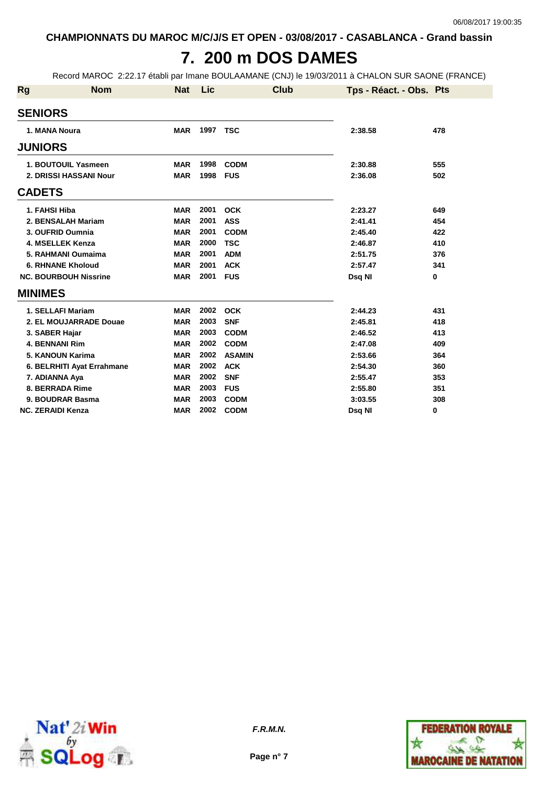### **7. 200 m DOS DAMES**

Record MAROC 2:22.17 établi par Imane BOULAAMANE (CNJ) le 19/03/2011 à CHALON SUR SAONE (FRANCE)

| Rg | <b>Nom</b>                   | <b>Nat</b> | Lic  | <b>Club</b>   | Tps - Réact. - Obs. Pts |             |
|----|------------------------------|------------|------|---------------|-------------------------|-------------|
|    | <b>SENIORS</b>               |            |      |               |                         |             |
|    | 1. MANA Noura                | <b>MAR</b> | 1997 | <b>TSC</b>    | 2:38.58                 | 478         |
|    | <b>JUNIORS</b>               |            |      |               |                         |             |
|    | 1. BOUTOUIL Yasmeen          | <b>MAR</b> | 1998 | <b>CODM</b>   | 2:30.88                 | 555         |
|    | 2. DRISSI HASSANI Nour       | <b>MAR</b> | 1998 | <b>FUS</b>    | 2:36.08                 | 502         |
|    | <b>CADETS</b>                |            |      |               |                         |             |
|    | 1. FAHSI Hiba                | <b>MAR</b> | 2001 | <b>OCK</b>    | 2:23.27                 | 649         |
|    | 2. BENSALAH Mariam           | <b>MAR</b> | 2001 | <b>ASS</b>    | 2:41.41                 | 454         |
|    | 3. OUFRID Oumnia             | <b>MAR</b> | 2001 | <b>CODM</b>   | 2:45.40                 | 422         |
|    | 4. MSELLEK Kenza             | <b>MAR</b> | 2000 | <b>TSC</b>    | 2:46.87                 | 410         |
|    | 5. RAHMANI Oumaima           | <b>MAR</b> | 2001 | <b>ADM</b>    | 2:51.75                 | 376         |
|    | <b>6. RHNANE Kholoud</b>     | <b>MAR</b> | 2001 | <b>ACK</b>    | 2:57.47                 | 341         |
|    | <b>NC. BOURBOUH Nissrine</b> | <b>MAR</b> | 2001 | <b>FUS</b>    | Dsq NI                  | $\mathbf 0$ |
|    | <b>MINIMES</b>               |            |      |               |                         |             |
|    | 1. SELLAFI Mariam            | <b>MAR</b> | 2002 | <b>OCK</b>    | 2:44.23                 | 431         |
|    | 2. EL MOUJARRADE Douae       | <b>MAR</b> | 2003 | <b>SNF</b>    | 2:45.81                 | 418         |
|    | 3. SABER Hajar               | <b>MAR</b> | 2003 | <b>CODM</b>   | 2:46.52                 | 413         |
|    | <b>4. BENNANI Rim</b>        | <b>MAR</b> | 2002 | <b>CODM</b>   | 2:47.08                 | 409         |
|    | 5. KANOUN Karima             | <b>MAR</b> | 2002 | <b>ASAMIN</b> | 2:53.66                 | 364         |
|    | 6. BELRHITI Ayat Errahmane   | <b>MAR</b> | 2002 | <b>ACK</b>    | 2:54.30                 | 360         |
|    | 7. ADIANNA Aya               | <b>MAR</b> | 2002 | <b>SNF</b>    | 2:55.47                 | 353         |
|    | 8. BERRADA Rime              | <b>MAR</b> | 2003 | <b>FUS</b>    | 2:55.80                 | 351         |
|    | 9. BOUDRAR Basma             | <b>MAR</b> | 2003 | <b>CODM</b>   | 3:03.55                 | 308         |
|    | <b>NC. ZERAIDI Kenza</b>     | <b>MAR</b> | 2002 | <b>CODM</b>   | Dsg NI                  | 0           |



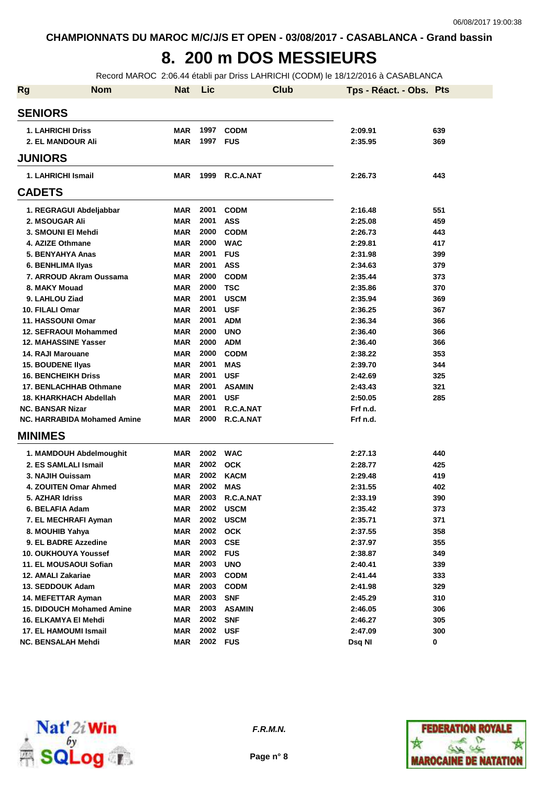# **8. 200 m DOS MESSIEURS**

Record MAROC 2:06.44 établi par Driss LAHRICHI (CODM) le 18/12/2016 à CASABLANCA

| <b>Rg</b> | <b>Nom</b>                       | <b>Nat</b> | Lic      | <b>Club</b>   | Tps - Réact. - Obs. Pts |     |
|-----------|----------------------------------|------------|----------|---------------|-------------------------|-----|
|           | <b>SENIORS</b>                   |            |          |               |                         |     |
|           | <b>1. LAHRICHI Driss</b>         | <b>MAR</b> | 1997     | <b>CODM</b>   | 2:09.91                 | 639 |
|           | 2. EL MANDOUR Ali                | <b>MAR</b> | 1997 FUS |               | 2:35.95                 | 369 |
|           | <b>JUNIORS</b>                   |            |          |               |                         |     |
|           |                                  | MAR        | 1999     |               |                         |     |
|           | 1. LAHRICHI Ismail               |            |          | R.C.A.NAT     | 2:26.73                 | 443 |
|           | <b>CADETS</b>                    |            |          |               |                         |     |
|           | 1. REGRAGUI Abdeljabbar          | MAR        | 2001     | <b>CODM</b>   | 2:16.48                 | 551 |
|           | 2. MSOUGAR Ali                   | <b>MAR</b> | 2001     | <b>ASS</b>    | 2:25.08                 | 459 |
|           | 3. SMOUNI EI Mehdi               | <b>MAR</b> | 2000     | <b>CODM</b>   | 2:26.73                 | 443 |
|           | 4. AZIZE Othmane                 | <b>MAR</b> | 2000     | <b>WAC</b>    | 2:29.81                 | 417 |
|           | 5. BENYAHYA Anas                 | <b>MAR</b> | 2001     | <b>FUS</b>    | 2:31.98                 | 399 |
|           | 6. BENHLIMA IIyas                | <b>MAR</b> | 2001     | <b>ASS</b>    | 2:34.63                 | 379 |
|           | 7. ARROUD Akram Oussama          | <b>MAR</b> | 2000     | <b>CODM</b>   | 2:35.44                 | 373 |
|           | 8. MAKY Mouad                    | <b>MAR</b> | 2000     | <b>TSC</b>    | 2:35.86                 | 370 |
|           | 9. LAHLOU Ziad                   | <b>MAR</b> | 2001     | <b>USCM</b>   | 2:35.94                 | 369 |
|           | 10. FILALI Omar                  | <b>MAR</b> | 2001     | <b>USF</b>    | 2:36.25                 | 367 |
|           | 11. HASSOUNI Omar                | <b>MAR</b> | 2001     | <b>ADM</b>    | 2:36.34                 | 366 |
|           | <b>12. SEFRAOUI Mohammed</b>     | <b>MAR</b> | 2000     | <b>UNO</b>    | 2:36.40                 | 366 |
|           | <b>12. MAHASSINE Yasser</b>      | <b>MAR</b> | 2000     | <b>ADM</b>    | 2:36.40                 | 366 |
|           | 14. RAJI Marouane                | <b>MAR</b> | 2000     | <b>CODM</b>   | 2:38.22                 | 353 |
|           | <b>15. BOUDENE Ilyas</b>         | <b>MAR</b> | 2001     | <b>MAS</b>    | 2:39.70                 | 344 |
|           | <b>16. BENCHEIKH Driss</b>       | <b>MAR</b> | 2001     | <b>USF</b>    | 2:42.69                 | 325 |
|           | 17. BENLACHHAB Othmane           | MAR        | 2001     | <b>ASAMIN</b> | 2:43.43                 | 321 |
|           | 18. KHARKHACH Abdellah           | <b>MAR</b> | 2001     | <b>USF</b>    | 2:50.05                 | 285 |
|           | <b>NC. BANSAR Nizar</b>          | <b>MAR</b> | 2001     | R.C.A.NAT     | Frf n.d.                |     |
|           | NC. HARRABIDA Mohamed Amine      | <b>MAR</b> | 2000     | R.C.A.NAT     | Frf n.d.                |     |
|           | <b>MINIMES</b>                   |            |          |               |                         |     |
|           | 1. MAMDOUH Abdelmoughit          | MAR        | 2002     | <b>WAC</b>    | 2:27.13                 | 440 |
|           | 2. ES SAMLALI Ismail             | MAR        | 2002     | <b>OCK</b>    | 2:28.77                 | 425 |
|           | 3. NAJIH Ouissam                 | MAR        | 2002     | <b>KACM</b>   | 2:29.48                 | 419 |
|           | 4. ZOUITEN Omar Ahmed            | MAR        | 2002     | <b>MAS</b>    | 2:31.55                 | 402 |
|           | 5. AZHAR Idriss                  | <b>MAR</b> | 2003     | R.C.A.NAT     | 2:33.19                 | 390 |
|           | 6. BELAFIA Adam                  | MAR        |          | 2002 USCM     | 2:35.42                 | 373 |
|           | 7. EL MECHRAFI Ayman             | <b>MAR</b> | 2002     | <b>USCM</b>   | 2:35.71                 | 371 |
|           | 8. MOUHIB Yahya                  | <b>MAR</b> | 2002     | <b>OCK</b>    | 2:37.55                 | 358 |
|           | 9. EL BADRE Azzedine             | MAR        | 2003     | <b>CSE</b>    | 2:37.97                 | 355 |
|           | 10. OUKHOUYA Youssef             | MAR        | 2002     | <b>FUS</b>    | 2:38.87                 | 349 |
|           | 11. EL MOUSAOUI Sofian           | MAR        | 2003     | <b>UNO</b>    | 2:40.41                 | 339 |
|           | 12. AMALI Zakariae               | MAR        | 2003     | <b>CODM</b>   | 2:41.44                 | 333 |
|           | 13. SEDDOUK Adam                 | <b>MAR</b> | 2003     | <b>CODM</b>   | 2:41.98                 | 329 |
|           | 14. MEFETTAR Ayman               | <b>MAR</b> | 2003     | <b>SNF</b>    | 2:45.29                 | 310 |
|           | <b>15. DIDOUCH Mohamed Amine</b> | MAR        | 2003     | <b>ASAMIN</b> | 2:46.05                 | 306 |
|           | 16. ELKAMYA EI Mehdi             | <b>MAR</b> | 2002     | <b>SNF</b>    | 2:46.27                 | 305 |
|           | 17. EL HAMOUMI Ismail            | <b>MAR</b> | 2002     | <b>USF</b>    | 2:47.09                 | 300 |
|           | NC. BENSALAH Mehdi               | MAR        | 2002     | <b>FUS</b>    | Dsq NI                  | 0   |



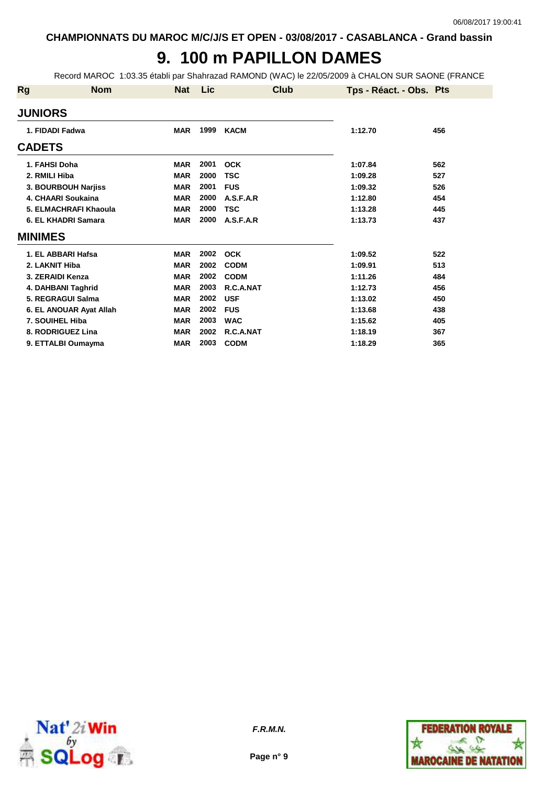# **9. 100 m PAPILLON DAMES**

Record MAROC 1:03.35 établi par Shahrazad RAMOND (WAC) le 22/05/2009 à CHALON SUR SAONE (FRANCE

| Rg               | <b>Nom</b>              | <b>Nat</b> | <b>Lic</b> | Club        | Tps - Réact. - Obs. Pts |     |
|------------------|-------------------------|------------|------------|-------------|-------------------------|-----|
| <b>JUNIORS</b>   |                         |            |            |             |                         |     |
| 1. FIDADI Fadwa  |                         | <b>MAR</b> | 1999       | <b>KACM</b> | 1:12.70                 | 456 |
| <b>CADETS</b>    |                         |            |            |             |                         |     |
| 1. FAHSI Doha    |                         | <b>MAR</b> | 2001       | <b>OCK</b>  | 1:07.84                 | 562 |
| 2. RMILI Hiba    |                         | <b>MAR</b> | 2000       | <b>TSC</b>  | 1:09.28                 | 527 |
|                  | 3. BOURBOUH Narjiss     | <b>MAR</b> | 2001       | <b>FUS</b>  | 1:09.32                 | 526 |
|                  | 4. CHAARI Soukaina      | <b>MAR</b> | 2000       | A.S.F.A.R   | 1:12.80                 | 454 |
|                  | 5. ELMACHRAFI Khaoula   | <b>MAR</b> | 2000       | <b>TSC</b>  | 1:13.28                 | 445 |
|                  | 6. EL KHADRI Samara     | <b>MAR</b> | 2000       | A.S.F.A.R   | 1:13.73                 | 437 |
| <b>MINIMES</b>   |                         |            |            |             |                         |     |
|                  | 1. EL ABBARI Hafsa      | <b>MAR</b> | 2002       | <b>OCK</b>  | 1:09.52                 | 522 |
| 2. LAKNIT Hiba   |                         | <b>MAR</b> | 2002       | <b>CODM</b> | 1:09.91                 | 513 |
| 3. ZERAIDI Kenza |                         | <b>MAR</b> | 2002       | <b>CODM</b> | 1:11.26                 | 484 |
|                  | 4. DAHBANI Taghrid      | <b>MAR</b> | 2003       | R.C.A.NAT   | 1:12.73                 | 456 |
|                  | 5. REGRAGUI Salma       | <b>MAR</b> | 2002       | <b>USF</b>  | 1:13.02                 | 450 |
|                  | 6. EL ANOUAR Ayat Allah | <b>MAR</b> | 2002       | <b>FUS</b>  | 1:13.68                 | 438 |
| 7. SOUIHEL Hiba  |                         | <b>MAR</b> | 2003       | <b>WAC</b>  | 1:15.62                 | 405 |
|                  | 8. RODRIGUEZ Lina       | <b>MAR</b> | 2002       | R.C.A.NAT   | 1:18.19                 | 367 |
|                  | 9. ETTALBI Oumayma      | <b>MAR</b> | 2003       | <b>CODM</b> | 1:18.29                 | 365 |



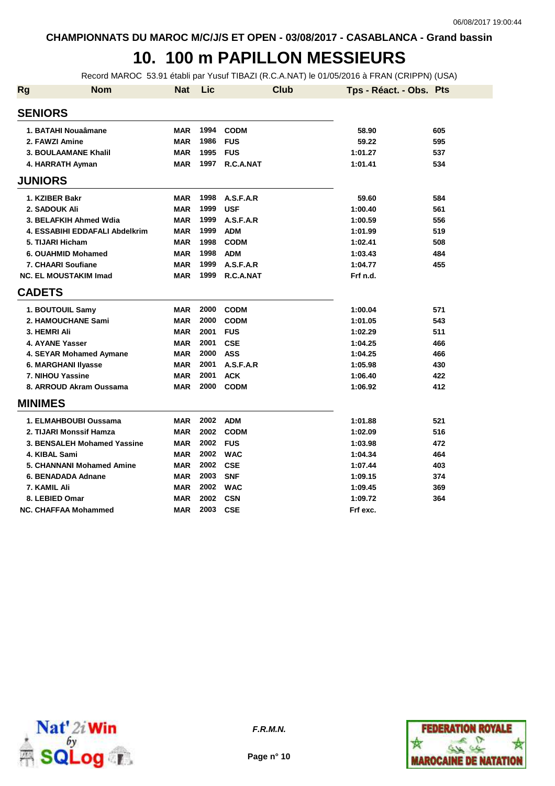### **10. 100 m PAPILLON MESSIEURS**

Record MAROC 53.91 établi par Yusuf TIBAZI (R.C.A.NAT) le 01/05/2016 à FRAN (CRIPPN) (USA)

| <b>Rg</b>     | <b>Nom</b>                     | <b>Nat</b> | Lic  | <b>Club</b> | Tps - Réact. - Obs. Pts |     |
|---------------|--------------------------------|------------|------|-------------|-------------------------|-----|
|               | <b>SENIORS</b>                 |            |      |             |                         |     |
|               | 1. BATAHI Nouaâmane            | <b>MAR</b> | 1994 | <b>CODM</b> | 58.90                   | 605 |
|               | 2. FAWZI Amine                 | <b>MAR</b> | 1986 | <b>FUS</b>  | 59.22                   | 595 |
|               | <b>3. BOULAAMANE Khalil</b>    | <b>MAR</b> | 1995 | <b>FUS</b>  | 1:01.27                 | 537 |
|               | 4. HARRATH Ayman               | <b>MAR</b> | 1997 | R.C.A.NAT   | 1:01.41                 | 534 |
|               | <b>JUNIORS</b>                 |            |      |             |                         |     |
|               | 1. KZIBER Bakr                 | MAR        | 1998 | A.S.F.A.R   | 59.60                   | 584 |
|               | 2. SADOUK Ali                  | <b>MAR</b> | 1999 | <b>USF</b>  | 1:00.40                 | 561 |
|               | 3. BELAFKIH Ahmed Wdia         | <b>MAR</b> | 1999 | A.S.F.A.R   | 1:00.59                 | 556 |
|               | 4. ESSABIHI EDDAFALI Abdelkrim | <b>MAR</b> | 1999 | <b>ADM</b>  | 1:01.99                 | 519 |
|               | 5. TIJARI Hicham               | <b>MAR</b> | 1998 | <b>CODM</b> | 1:02.41                 | 508 |
|               | 6. OUAHMID Mohamed             | <b>MAR</b> | 1998 | <b>ADM</b>  | 1:03.43                 | 484 |
|               | 7. CHAARI Soufiane             | <b>MAR</b> | 1999 | A.S.F.A.R   | 1:04.77                 | 455 |
|               | <b>NC. EL MOUSTAKIM Imad</b>   | <b>MAR</b> | 1999 | R.C.A.NAT   | Frf n.d.                |     |
| <b>CADETS</b> |                                |            |      |             |                         |     |
|               | 1. BOUTOUIL Samy               | <b>MAR</b> | 2000 | <b>CODM</b> | 1:00.04                 | 571 |
|               | 2. HAMOUCHANE Sami             | <b>MAR</b> | 2000 | <b>CODM</b> | 1:01.05                 | 543 |
|               | 3. HEMRI Ali                   | <b>MAR</b> | 2001 | <b>FUS</b>  | 1:02.29                 | 511 |
|               | 4. AYANE Yasser                | <b>MAR</b> | 2001 | <b>CSE</b>  | 1:04.25                 | 466 |
|               | 4. SEYAR Mohamed Aymane        | <b>MAR</b> | 2000 | <b>ASS</b>  | 1:04.25                 | 466 |
|               | 6. MARGHANI Ilyasse            | <b>MAR</b> | 2001 | A.S.F.A.R   | 1:05.98                 | 430 |
|               | 7. NIHOU Yassine               | <b>MAR</b> | 2001 | <b>ACK</b>  | 1:06.40                 | 422 |
|               | 8. ARROUD Akram Oussama        | <b>MAR</b> | 2000 | <b>CODM</b> | 1:06.92                 | 412 |
|               | <b>MINIMES</b>                 |            |      |             |                         |     |
|               | 1. ELMAHBOUBI Oussama          | <b>MAR</b> | 2002 | <b>ADM</b>  | 1:01.88                 | 521 |
|               | 2. TIJARI Monssif Hamza        | <b>MAR</b> | 2002 | <b>CODM</b> | 1:02.09                 | 516 |
|               | 3. BENSALEH Mohamed Yassine    | <b>MAR</b> | 2002 | <b>FUS</b>  | 1:03.98                 | 472 |
|               | 4. KIBAL Sami                  | <b>MAR</b> | 2002 | <b>WAC</b>  | 1:04.34                 | 464 |
|               | 5. CHANNANI Mohamed Amine      | <b>MAR</b> | 2002 | <b>CSE</b>  | 1:07.44                 | 403 |
|               | 6. BENADADA Adnane             | <b>MAR</b> | 2003 | <b>SNF</b>  | 1:09.15                 | 374 |
|               | 7. KAMIL Ali                   | <b>MAR</b> | 2002 | <b>WAC</b>  | 1:09.45                 | 369 |
|               | 8. LEBIED Omar                 | <b>MAR</b> | 2002 | <b>CSN</b>  | 1:09.72                 | 364 |
|               | <b>NC. CHAFFAA Mohammed</b>    | <b>MAR</b> | 2003 | <b>CSE</b>  | Frf exc.                |     |



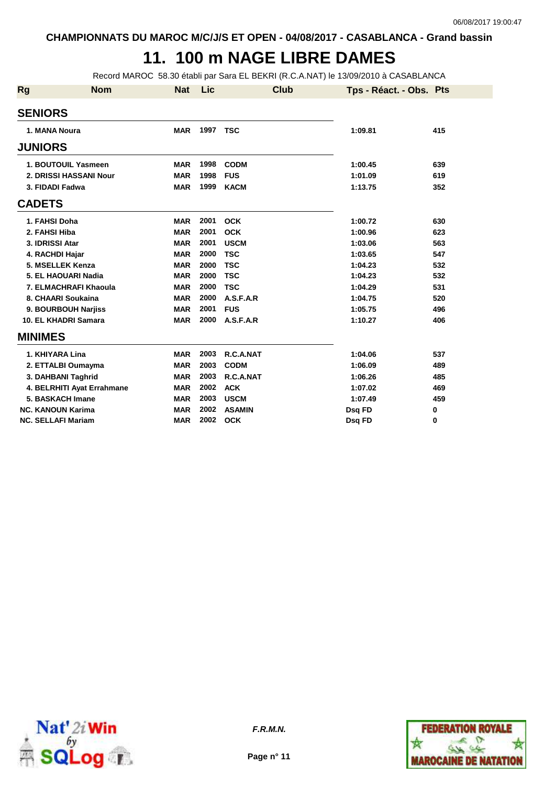## **11. 100 m NAGE LIBRE DAMES**

Record MAROC 58.30 établi par Sara EL BEKRI (R.C.A.NAT) le 13/09/2010 à CASABLANCA

| <b>Rg</b>      | <b>Nom</b>                 | <b>Nat</b> | Lic      | <b>Club</b>   | Tps - Réact. - Obs. Pts |     |
|----------------|----------------------------|------------|----------|---------------|-------------------------|-----|
| <b>SENIORS</b> |                            |            |          |               |                         |     |
|                | 1. MANA Noura              | <b>MAR</b> | 1997 TSC |               | 1:09.81                 | 415 |
| <b>JUNIORS</b> |                            |            |          |               |                         |     |
|                | 1. BOUTOUIL Yasmeen        | <b>MAR</b> | 1998     | <b>CODM</b>   | 1:00.45                 | 639 |
|                | 2. DRISSI HASSANI Nour     | <b>MAR</b> | 1998     | <b>FUS</b>    | 1:01.09                 | 619 |
|                | 3. FIDADI Fadwa            | <b>MAR</b> | 1999     | <b>KACM</b>   | 1:13.75                 | 352 |
| <b>CADETS</b>  |                            |            |          |               |                         |     |
|                | 1. FAHSI Doha              | <b>MAR</b> | 2001     | <b>OCK</b>    | 1:00.72                 | 630 |
|                | 2. FAHSI Hiba              | <b>MAR</b> | 2001     | <b>OCK</b>    | 1:00.96                 | 623 |
|                | 3. IDRISSI Atar            | <b>MAR</b> | 2001     | <b>USCM</b>   | 1:03.06                 | 563 |
|                | 4. RACHDI Hajar            | <b>MAR</b> | 2000     | <b>TSC</b>    | 1:03.65                 | 547 |
|                | 5. MSELLEK Kenza           | <b>MAR</b> | 2000     | <b>TSC</b>    | 1:04.23                 | 532 |
|                | 5. EL HAOUARI Nadia        | <b>MAR</b> | 2000     | <b>TSC</b>    | 1:04.23                 | 532 |
|                | 7. ELMACHRAFI Khaoula      | <b>MAR</b> | 2000     | <b>TSC</b>    | 1:04.29                 | 531 |
|                | 8. CHAARI Soukaina         | <b>MAR</b> | 2000     | A.S.F.A.R     | 1:04.75                 | 520 |
|                | 9. BOURBOUH Narjiss        | <b>MAR</b> | 2001     | <b>FUS</b>    | 1:05.75                 | 496 |
|                | 10. EL KHADRI Samara       | <b>MAR</b> | 2000     | A.S.F.A.R     | 1:10.27                 | 406 |
| <b>MINIMES</b> |                            |            |          |               |                         |     |
|                | 1. KHIYARA Lina            | <b>MAR</b> | 2003     | R.C.A.NAT     | 1:04.06                 | 537 |
|                | 2. ETTALBI Oumayma         | <b>MAR</b> | 2003     | <b>CODM</b>   | 1:06.09                 | 489 |
|                | 3. DAHBANI Taghrid         | <b>MAR</b> | 2003     | R.C.A.NAT     | 1:06.26                 | 485 |
|                | 4. BELRHITI Ayat Errahmane | <b>MAR</b> | 2002     | <b>ACK</b>    | 1:07.02                 | 469 |
|                | 5. BASKACH Imane           | <b>MAR</b> | 2003     | <b>USCM</b>   | 1:07.49                 | 459 |
|                | <b>NC. KANOUN Karima</b>   | <b>MAR</b> | 2002     | <b>ASAMIN</b> | Dsq FD                  | 0   |
|                | <b>NC. SELLAFI Mariam</b>  | <b>MAR</b> | 2002     | <b>OCK</b>    | Dsg FD                  | 0   |



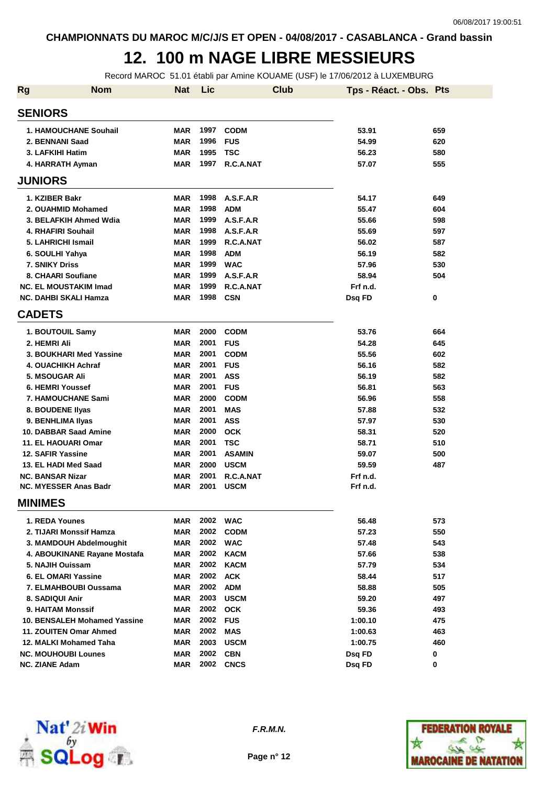#### **12. 100 m NAGE LIBRE MESSIEURS**

Record MAROC 51.01 établi par Amine KOUAME (USF) le 17/06/2012 à LUXEMBURG

| <b>Rg</b> | <b>Nom</b>                          | <b>Nat</b> | Lic  | <b>Club</b>   | Tps - Réact. - Obs. Pts |     |
|-----------|-------------------------------------|------------|------|---------------|-------------------------|-----|
|           | <b>SENIORS</b>                      |            |      |               |                         |     |
|           | <b>1. HAMOUCHANE Souhail</b>        | <b>MAR</b> | 1997 | <b>CODM</b>   | 53.91                   | 659 |
|           | 2. BENNANI Saad                     | <b>MAR</b> | 1996 | <b>FUS</b>    | 54.99                   | 620 |
|           | 3. LAFKIHI Hatim                    | <b>MAR</b> | 1995 | <b>TSC</b>    | 56.23                   | 580 |
|           | 4. HARRATH Ayman                    | <b>MAR</b> | 1997 | R.C.A.NAT     | 57.07                   | 555 |
|           | <b>JUNIORS</b>                      |            |      |               |                         |     |
|           | 1. KZIBER Bakr                      | <b>MAR</b> | 1998 | A.S.F.A.R     | 54.17                   | 649 |
|           | 2. OUAHMID Mohamed                  | <b>MAR</b> | 1998 | <b>ADM</b>    | 55.47                   | 604 |
|           | 3. BELAFKIH Ahmed Wdia              | <b>MAR</b> | 1999 | A.S.F.A.R     | 55.66                   | 598 |
|           | 4. RHAFIRI Souhail                  | <b>MAR</b> | 1998 | A.S.F.A.R     | 55.69                   | 597 |
|           | 5. LAHRICHI Ismail                  | <b>MAR</b> | 1999 | R.C.A.NAT     | 56.02                   | 587 |
|           | 6. SOULHI Yahya                     | <b>MAR</b> | 1998 | <b>ADM</b>    | 56.19                   | 582 |
|           | 7. SNIKY Driss                      | <b>MAR</b> | 1999 | <b>WAC</b>    | 57.96                   | 530 |
|           | 8. CHAARI Soufiane                  | <b>MAR</b> | 1999 | A.S.F.A.R     | 58.94                   | 504 |
|           | <b>NC. EL MOUSTAKIM Imad</b>        | <b>MAR</b> | 1999 | R.C.A.NAT     | Frf n.d.                |     |
|           | <b>NC. DAHBI SKALI Hamza</b>        | <b>MAR</b> | 1998 | <b>CSN</b>    | Dsq FD                  | 0   |
|           | <b>CADETS</b>                       |            |      |               |                         |     |
|           | 1. BOUTOUIL Samy                    | <b>MAR</b> | 2000 | <b>CODM</b>   | 53.76                   | 664 |
|           | 2. HEMRI Ali                        | <b>MAR</b> | 2001 | <b>FUS</b>    | 54.28                   | 645 |
|           | 3. BOUKHARI Med Yassine             | <b>MAR</b> | 2001 | <b>CODM</b>   | 55.56                   | 602 |
|           | 4. OUACHIKH Achraf                  | <b>MAR</b> | 2001 | <b>FUS</b>    | 56.16                   | 582 |
|           | <b>5. MSOUGAR Ali</b>               | <b>MAR</b> | 2001 | <b>ASS</b>    | 56.19                   | 582 |
|           | 6. HEMRI Youssef                    | <b>MAR</b> | 2001 | <b>FUS</b>    | 56.81                   | 563 |
|           | <b>7. HAMOUCHANE Sami</b>           | <b>MAR</b> | 2000 | <b>CODM</b>   | 56.96                   | 558 |
|           | 8. BOUDENE Ilyas                    | <b>MAR</b> | 2001 | <b>MAS</b>    | 57.88                   | 532 |
|           | 9. BENHLIMA IIyas                   | <b>MAR</b> | 2001 | <b>ASS</b>    | 57.97                   | 530 |
|           | 10. DABBAR Saad Amine               | <b>MAR</b> | 2000 | <b>OCK</b>    | 58.31                   | 520 |
|           | 11. EL HAOUARI Omar                 | <b>MAR</b> | 2001 | <b>TSC</b>    | 58.71                   | 510 |
|           | 12. SAFIR Yassine                   | <b>MAR</b> | 2001 | <b>ASAMIN</b> | 59.07                   | 500 |
|           | 13. EL HADI Med Saad                | <b>MAR</b> | 2000 | <b>USCM</b>   | 59.59                   | 487 |
|           | <b>NC. BANSAR Nizar</b>             | <b>MAR</b> | 2001 | R.C.A.NAT     | Frf n.d.                |     |
|           | <b>NC. MYESSER Anas Badr</b>        | <b>MAR</b> | 2001 | <b>USCM</b>   | Frf n.d.                |     |
|           | <b>MINIMES</b>                      |            |      |               |                         |     |
|           | 1. REDA Younes                      | <b>MAR</b> | 2002 | <b>WAC</b>    | 56.48                   | 573 |
|           | 2. TIJARI Monssif Hamza             | <b>MAR</b> | 2002 | <b>CODM</b>   | 57.23                   | 550 |
|           | 3. MAMDOUH Abdelmoughit             | <b>MAR</b> | 2002 | <b>WAC</b>    | 57.48                   | 543 |
|           | 4. ABOUKINANE Rayane Mostafa        | <b>MAR</b> | 2002 | <b>KACM</b>   | 57.66                   | 538 |
|           | 5. NAJIH Ouissam                    | <b>MAR</b> | 2002 | <b>KACM</b>   | 57.79                   | 534 |
|           | 6. EL OMARI Yassine                 | <b>MAR</b> | 2002 | <b>ACK</b>    | 58.44                   | 517 |
|           | 7. ELMAHBOUBI Oussama               | <b>MAR</b> | 2002 | <b>ADM</b>    | 58.88                   | 505 |
|           | 8. SADIQUI Anir                     | <b>MAR</b> | 2003 | <b>USCM</b>   | 59.20                   | 497 |
|           | <b>9. HAITAM Monssif</b>            | <b>MAR</b> | 2002 | <b>OCK</b>    | 59.36                   | 493 |
|           | <b>10. BENSALEH Mohamed Yassine</b> | <b>MAR</b> | 2002 | <b>FUS</b>    | 1:00.10                 | 475 |
|           | 11. ZOUITEN Omar Ahmed              | <b>MAR</b> | 2002 | <b>MAS</b>    | 1:00.63                 | 463 |
|           | 12. MALKI Mohamed Taha              | <b>MAR</b> | 2003 | <b>USCM</b>   | 1:00.75                 | 460 |
|           | <b>NC. MOUHOUBI Lounes</b>          | <b>MAR</b> | 2002 | <b>CBN</b>    | Dsq FD                  | 0   |
|           | <b>NC. ZIANE Adam</b>               | <b>MAR</b> | 2002 | <b>CNCS</b>   | Dsq FD                  | 0   |



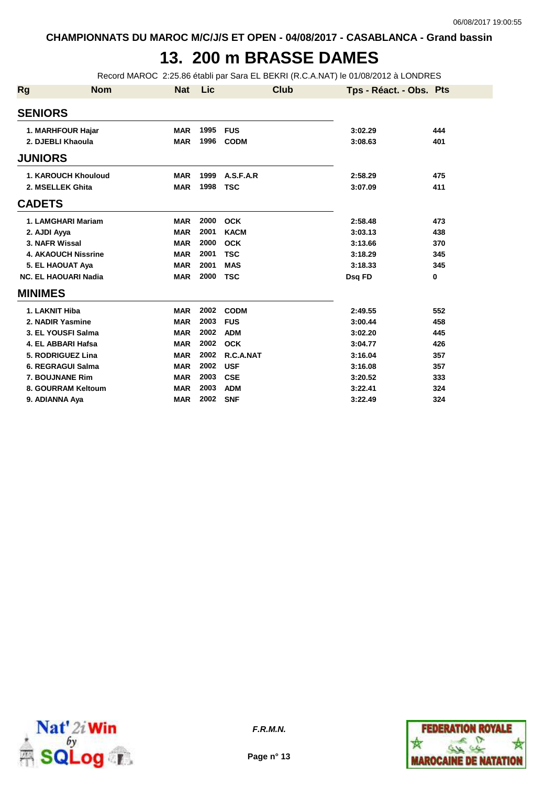## **13. 200 m BRASSE DAMES**

Record MAROC 2:25.86 établi par Sara EL BEKRI (R.C.A.NAT) le 01/08/2012 à LONDRES

| <b>Rg</b>      | <b>Nom</b>                  | <b>Nat</b> | Lic  | <b>Club</b> | Tps - Réact. - Obs. Pts |     |
|----------------|-----------------------------|------------|------|-------------|-------------------------|-----|
| <b>SENIORS</b> |                             |            |      |             |                         |     |
|                | 1. MARHFOUR Hajar           | <b>MAR</b> | 1995 | <b>FUS</b>  | 3:02.29                 | 444 |
|                | 2. DJEBLI Khaoula           | <b>MAR</b> | 1996 | <b>CODM</b> | 3:08.63                 | 401 |
| <b>JUNIORS</b> |                             |            |      |             |                         |     |
|                | 1. KAROUCH Khouloud         | <b>MAR</b> | 1999 | A.S.F.A.R   | 2:58.29                 | 475 |
|                | 2. MSELLEK Ghita            | <b>MAR</b> | 1998 | <b>TSC</b>  | 3:07.09                 | 411 |
| <b>CADETS</b>  |                             |            |      |             |                         |     |
|                | 1. LAMGHARI Mariam          | <b>MAR</b> | 2000 | <b>OCK</b>  | 2:58.48                 | 473 |
| 2. AJDI Ayya   |                             | <b>MAR</b> | 2001 | <b>KACM</b> | 3:03.13                 | 438 |
|                | 3. NAFR Wissal              | <b>MAR</b> | 2000 | <b>OCK</b>  | 3:13.66                 | 370 |
|                | <b>4. AKAOUCH Nissrine</b>  | <b>MAR</b> | 2001 | <b>TSC</b>  | 3:18.29                 | 345 |
|                | 5. EL HAOUAT Aya            | <b>MAR</b> | 2001 | <b>MAS</b>  | 3:18.33                 | 345 |
|                | <b>NC. EL HAOUARI Nadia</b> | <b>MAR</b> | 2000 | <b>TSC</b>  | Dsq FD                  | 0   |
| <b>MINIMES</b> |                             |            |      |             |                         |     |
|                | 1. LAKNIT Hiba              | <b>MAR</b> | 2002 | <b>CODM</b> | 2:49.55                 | 552 |
|                | 2. NADIR Yasmine            | <b>MAR</b> | 2003 | <b>FUS</b>  | 3:00.44                 | 458 |
|                | 3. EL YOUSFI Salma          | <b>MAR</b> | 2002 | <b>ADM</b>  | 3:02.20                 | 445 |
|                | 4. EL ABBARI Hafsa          | <b>MAR</b> | 2002 | <b>OCK</b>  | 3:04.77                 | 426 |
|                | 5. RODRIGUEZ Lina           | <b>MAR</b> | 2002 | R.C.A.NAT   | 3:16.04                 | 357 |
|                | 6. REGRAGUI Salma           | <b>MAR</b> | 2002 | <b>USF</b>  | 3:16.08                 | 357 |
|                | 7. BOUJNANE Rim             | <b>MAR</b> | 2003 | <b>CSE</b>  | 3:20.52                 | 333 |
|                | 8. GOURRAM Keltoum          | <b>MAR</b> | 2003 | <b>ADM</b>  | 3:22.41                 | 324 |
|                | 9. ADIANNA Aya              | <b>MAR</b> | 2002 | <b>SNF</b>  | 3:22.49                 | 324 |



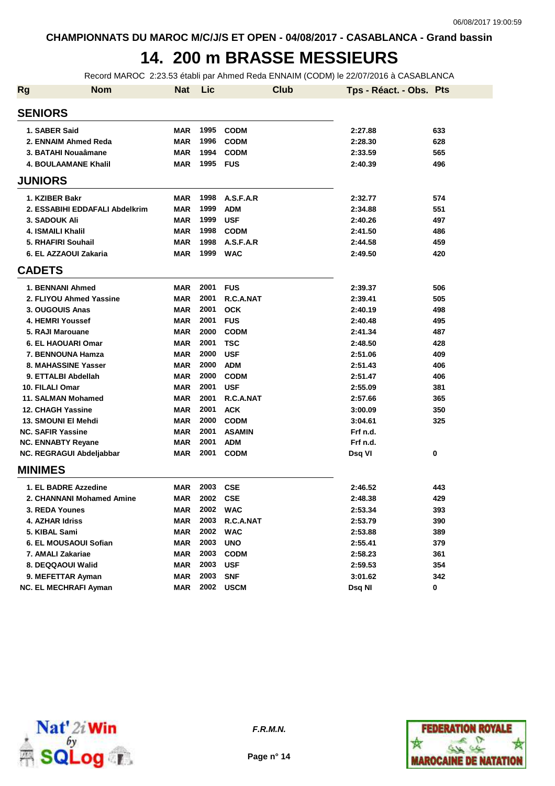#### **14. 200 m BRASSE MESSIEURS**

Record MAROC 2:23.53 établi par Ahmed Reda ENNAIM (CODM) le 22/07/2016 à CASABLANCA

| <b>Rg</b> | <b>Nom</b>                     | <b>Nat</b> | Lic  | <b>Club</b>   | Tps - Réact. - Obs. Pts |     |
|-----------|--------------------------------|------------|------|---------------|-------------------------|-----|
|           | <b>SENIORS</b>                 |            |      |               |                         |     |
|           | 1. SABER Said                  | <b>MAR</b> | 1995 | <b>CODM</b>   | 2:27.88                 | 633 |
|           | 2. ENNAIM Ahmed Reda           | <b>MAR</b> | 1996 | <b>CODM</b>   | 2:28.30                 | 628 |
|           | 3. BATAHI Nouaâmane            | <b>MAR</b> | 1994 | <b>CODM</b>   | 2:33.59                 | 565 |
|           | <b>4. BOULAAMANE Khalil</b>    | <b>MAR</b> | 1995 | <b>FUS</b>    | 2:40.39                 | 496 |
|           | <b>JUNIORS</b>                 |            |      |               |                         |     |
|           | 1. KZIBER Bakr                 | <b>MAR</b> | 1998 | A.S.F.A.R     | 2:32.77                 | 574 |
|           | 2. ESSABIHI EDDAFALI Abdelkrim | <b>MAR</b> | 1999 | <b>ADM</b>    | 2:34.88                 | 551 |
|           | <b>3. SADOUK Ali</b>           | <b>MAR</b> | 1999 | <b>USF</b>    | 2:40.26                 | 497 |
|           | 4. ISMAILI Khalil              | <b>MAR</b> | 1998 | <b>CODM</b>   | 2:41.50                 | 486 |
|           | 5. RHAFIRI Souhail             | <b>MAR</b> | 1998 | A.S.F.A.R     | 2:44.58                 | 459 |
|           | 6. EL AZZAOUI Zakaria          | <b>MAR</b> | 1999 | <b>WAC</b>    | 2:49.50                 | 420 |
|           | <b>CADETS</b>                  |            |      |               |                         |     |
|           | 1. BENNANI Ahmed               | <b>MAR</b> | 2001 | <b>FUS</b>    | 2:39.37                 | 506 |
|           | 2. FLIYOU Ahmed Yassine        | <b>MAR</b> | 2001 | R.C.A.NAT     | 2:39.41                 | 505 |
|           | 3. OUGOUIS Anas                | <b>MAR</b> | 2001 | <b>OCK</b>    | 2:40.19                 | 498 |
|           | 4. HEMRI Youssef               | <b>MAR</b> | 2001 | <b>FUS</b>    | 2:40.48                 | 495 |
|           | 5. RAJI Marouane               | <b>MAR</b> | 2000 | <b>CODM</b>   | 2:41.34                 | 487 |
|           | <b>6. EL HAOUARI Omar</b>      | <b>MAR</b> | 2001 | <b>TSC</b>    | 2:48.50                 | 428 |
|           | 7. BENNOUNA Hamza              | <b>MAR</b> | 2000 | <b>USF</b>    | 2:51.06                 | 409 |
|           | 8. MAHASSINE Yasser            | <b>MAR</b> | 2000 | <b>ADM</b>    | 2:51.43                 | 406 |
|           | 9. ETTALBI Abdellah            | <b>MAR</b> | 2000 | <b>CODM</b>   | 2:51.47                 | 406 |
|           | 10. FILALI Omar                | <b>MAR</b> | 2001 | <b>USF</b>    | 2:55.09                 | 381 |
|           | 11. SALMAN Mohamed             | <b>MAR</b> | 2001 | R.C.A.NAT     | 2:57.66                 | 365 |
|           | <b>12. CHAGH Yassine</b>       | <b>MAR</b> | 2001 | <b>ACK</b>    | 3:00.09                 | 350 |
|           | 13. SMOUNI EI Mehdi            | <b>MAR</b> | 2000 | <b>CODM</b>   | 3:04.61                 | 325 |
|           | <b>NC. SAFIR Yassine</b>       | <b>MAR</b> | 2001 | <b>ASAMIN</b> | Frf n.d.                |     |
|           | <b>NC. ENNABTY Reyane</b>      | <b>MAR</b> | 2001 | <b>ADM</b>    | Frf n.d.                |     |
|           | NC. REGRAGUI Abdeljabbar       | <b>MAR</b> | 2001 | <b>CODM</b>   | Dsq VI                  | 0   |
|           | <b>MINIMES</b>                 |            |      |               |                         |     |
|           | 1. EL BADRE Azzedine           | <b>MAR</b> | 2003 | <b>CSE</b>    | 2:46.52                 | 443 |
|           | 2. CHANNANI Mohamed Amine      | <b>MAR</b> | 2002 | <b>CSE</b>    | 2:48.38                 | 429 |
|           | 3. REDA Younes                 | <b>MAR</b> | 2002 | <b>WAC</b>    | 2:53.34                 | 393 |
|           | <b>4. AZHAR Idriss</b>         | <b>MAR</b> | 2003 | R.C.A.NAT     | 2:53.79                 | 390 |
|           | 5. KIBAL Sami                  | <b>MAR</b> | 2002 | <b>WAC</b>    | 2:53.88                 | 389 |
|           | 6. EL MOUSAOUI Sofian          | <b>MAR</b> | 2003 | <b>UNO</b>    | 2:55.41                 | 379 |
|           | 7. AMALI Zakariae              | <b>MAR</b> | 2003 | <b>CODM</b>   | 2:58.23                 | 361 |
|           | 8. DEQQAOUI Walid              | <b>MAR</b> | 2003 | <b>USF</b>    | 2:59.53                 | 354 |
|           | 9. MEFETTAR Ayman              | <b>MAR</b> | 2003 | <b>SNF</b>    | 3:01.62                 | 342 |
|           | <b>NC. EL MECHRAFI Ayman</b>   | <b>MAR</b> |      | 2002 USCM     | Dsq NI                  | 0   |



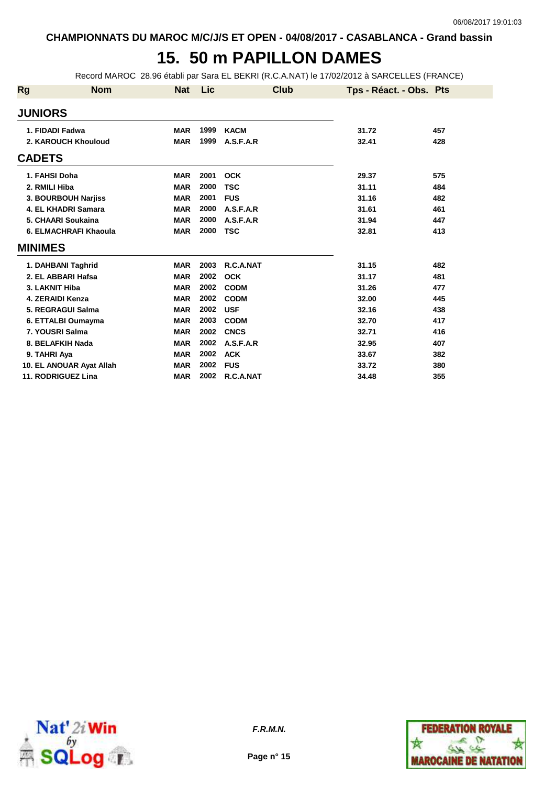## **15. 50 m PAPILLON DAMES**

Record MAROC 28.96 établi par Sara EL BEKRI (R.C.A.NAT) le 17/02/2012 à SARCELLES (FRANCE)

| Rg             | <b>Nom</b>               | <b>Nat</b> | Lic  | Club        | Tps - Réact. - Obs. Pts |     |
|----------------|--------------------------|------------|------|-------------|-------------------------|-----|
| <b>JUNIORS</b> |                          |            |      |             |                         |     |
|                | 1. FIDADI Fadwa          | <b>MAR</b> | 1999 | <b>KACM</b> | 31.72                   | 457 |
|                | 2. KAROUCH Khouloud      | <b>MAR</b> | 1999 | A.S.F.A.R   | 32.41                   | 428 |
| <b>CADETS</b>  |                          |            |      |             |                         |     |
|                | 1. FAHSI Doha            | <b>MAR</b> | 2001 | <b>OCK</b>  | 29.37                   | 575 |
|                | 2. RMILI Hiba            | <b>MAR</b> | 2000 | <b>TSC</b>  | 31.11                   | 484 |
|                | 3. BOURBOUH Narjiss      | <b>MAR</b> | 2001 | <b>FUS</b>  | 31.16                   | 482 |
|                | 4. EL KHADRI Samara      | <b>MAR</b> | 2000 | A.S.F.A.R   | 31.61                   | 461 |
|                | 5. CHAARI Soukaina       | <b>MAR</b> | 2000 | A.S.F.A.R   | 31.94                   | 447 |
|                | 6. ELMACHRAFI Khaoula    | <b>MAR</b> | 2000 | <b>TSC</b>  | 32.81                   | 413 |
| <b>MINIMES</b> |                          |            |      |             |                         |     |
|                | 1. DAHBANI Taghrid       | <b>MAR</b> | 2003 | R.C.A.NAT   | 31.15                   | 482 |
|                | 2. EL ABBARI Hafsa       | <b>MAR</b> | 2002 | <b>OCK</b>  | 31.17                   | 481 |
|                | 3. LAKNIT Hiba           | <b>MAR</b> | 2002 | <b>CODM</b> | 31.26                   | 477 |
|                | 4. ZERAIDI Kenza         | <b>MAR</b> | 2002 | <b>CODM</b> | 32.00                   | 445 |
|                | 5. REGRAGUI Salma        | <b>MAR</b> | 2002 | <b>USF</b>  | 32.16                   | 438 |
|                | 6. ETTALBI Oumayma       | <b>MAR</b> | 2003 | <b>CODM</b> | 32.70                   | 417 |
|                | 7. YOUSRI Salma          | <b>MAR</b> | 2002 | <b>CNCS</b> | 32.71                   | 416 |
|                | 8. BELAFKIH Nada         | <b>MAR</b> | 2002 | A.S.F.A.R   | 32.95                   | 407 |
|                | 9. TAHRI Aya             | <b>MAR</b> | 2002 | <b>ACK</b>  | 33.67                   | 382 |
|                | 10. EL ANOUAR Ayat Allah | <b>MAR</b> | 2002 | <b>FUS</b>  | 33.72                   | 380 |
|                | 11. RODRIGUEZ Lina       | <b>MAR</b> | 2002 | R.C.A.NAT   | 34.48                   | 355 |



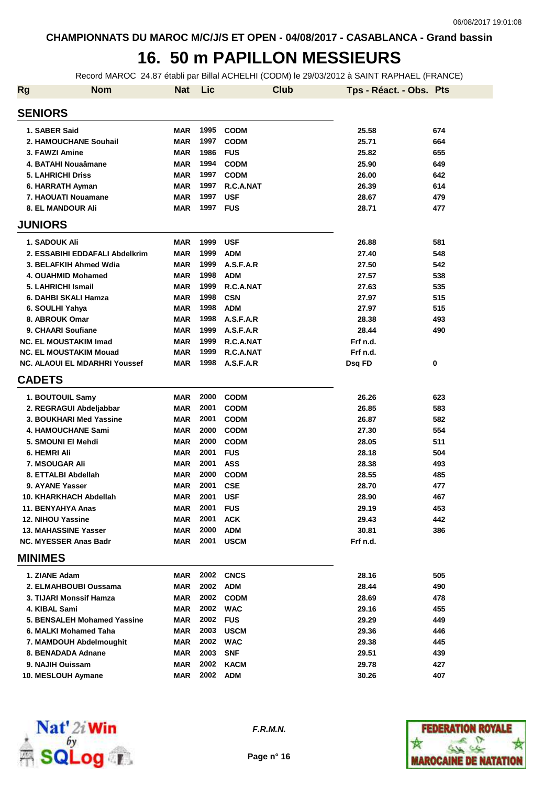## **16. 50 m PAPILLON MESSIEURS**

Record MAROC 24.87 établi par Billal ACHELHI (CODM) le 29/03/2012 à SAINT RAPHAEL (FRANCE)

| <b>Rg</b>                | <b>Nom</b>                           | <b>Nat</b> | Lic  | Club        | Tps - Réact. - Obs. Pts |     |
|--------------------------|--------------------------------------|------------|------|-------------|-------------------------|-----|
| <b>SENIORS</b>           |                                      |            |      |             |                         |     |
| 1. SABER Said            |                                      | <b>MAR</b> | 1995 | <b>CODM</b> | 25.58                   | 674 |
|                          | 2. HAMOUCHANE Souhail                | <b>MAR</b> | 1997 | <b>CODM</b> | 25.71                   | 664 |
| 3. FAWZI Amine           |                                      | <b>MAR</b> | 1986 | <b>FUS</b>  | 25.82                   | 655 |
|                          | 4. BATAHI Nouaâmane                  | <b>MAR</b> | 1994 | <b>CODM</b> | 25.90                   | 649 |
| <b>5. LAHRICHI Driss</b> |                                      | <b>MAR</b> | 1997 | <b>CODM</b> | 26.00                   | 642 |
|                          | 6. HARRATH Ayman                     | <b>MAR</b> | 1997 | R.C.A.NAT   | 26.39                   | 614 |
|                          | 7. HAOUATI Nouamane                  | <b>MAR</b> | 1997 | <b>USF</b>  | 28.67                   | 479 |
|                          | <b>8. EL MANDOUR Ali</b>             | <b>MAR</b> | 1997 | FUS         | 28.71                   | 477 |
| <b>JUNIORS</b>           |                                      |            |      |             |                         |     |
| 1. SADOUK Ali            |                                      | <b>MAR</b> | 1999 | <b>USF</b>  | 26.88                   | 581 |
|                          | 2. ESSABIHI EDDAFALI Abdelkrim       | <b>MAR</b> | 1999 | <b>ADM</b>  | 27.40                   | 548 |
|                          | 3. BELAFKIH Ahmed Wdia               | <b>MAR</b> | 1999 | A.S.F.A.R   | 27.50                   | 542 |
|                          | 4. OUAHMID Mohamed                   | <b>MAR</b> | 1998 | <b>ADM</b>  | 27.57                   | 538 |
| 5. LAHRICHI Ismail       |                                      | <b>MAR</b> | 1999 | R.C.A.NAT   | 27.63                   | 535 |
|                          | 6. DAHBI SKALI Hamza                 | <b>MAR</b> | 1998 | <b>CSN</b>  | 27.97                   | 515 |
| 6. SOULHI Yahya          |                                      | <b>MAR</b> | 1998 | <b>ADM</b>  | 27.97                   | 515 |
| 8. ABROUK Omar           |                                      | <b>MAR</b> | 1998 | A.S.F.A.R   | 28.38                   | 493 |
|                          | 9. CHAARI Soufiane                   | <b>MAR</b> | 1999 | A.S.F.A.R   | 28.44                   | 490 |
|                          | <b>NC. EL MOUSTAKIM Imad</b>         | <b>MAR</b> | 1999 | R.C.A.NAT   | Frf n.d.                |     |
|                          | <b>NC. EL MOUSTAKIM Mouad</b>        | <b>MAR</b> | 1999 | R.C.A.NAT   | Frf n.d.                |     |
|                          | <b>NC. ALAOUI EL MDARHRI Youssef</b> | <b>MAR</b> | 1998 | A.S.F.A.R   | Dsq FD                  | 0   |
| <b>CADETS</b>            |                                      |            |      |             |                         |     |
| 1. BOUTOUIL Samy         |                                      | <b>MAR</b> | 2000 | <b>CODM</b> | 26.26                   | 623 |
|                          | 2. REGRAGUI Abdeljabbar              | <b>MAR</b> | 2001 | <b>CODM</b> | 26.85                   | 583 |
|                          | 3. BOUKHARI Med Yassine              | <b>MAR</b> | 2001 | <b>CODM</b> | 26.87                   | 582 |
|                          | <b>4. HAMOUCHANE Sami</b>            | <b>MAR</b> | 2000 | <b>CODM</b> | 27.30                   | 554 |
|                          | 5. SMOUNI EI Mehdi                   | <b>MAR</b> | 2000 | <b>CODM</b> | 28.05                   | 511 |
| 6. HEMRI Ali             |                                      | <b>MAR</b> | 2001 | <b>FUS</b>  | 28.18                   | 504 |
| 7. MSOUGAR Ali           |                                      | <b>MAR</b> | 2001 | <b>ASS</b>  | 28.38                   | 493 |
|                          | 8. ETTALBI Abdellah                  | <b>MAR</b> | 2000 | <b>CODM</b> | 28.55                   | 485 |
| 9. AYANE Yasser          |                                      | <b>MAR</b> | 2001 | <b>CSE</b>  | 28.70                   | 477 |
|                          | 10. KHARKHACH Abdellah               | <b>MAR</b> | 2001 | <b>USF</b>  | 28.90                   | 467 |
| 11. BENYAHYA Anas        |                                      | MAR        | 2001 | <b>FUS</b>  | 29.19                   | 453 |
| <b>12. NIHOU Yassine</b> |                                      | <b>MAR</b> | 2001 | <b>ACK</b>  | 29.43                   | 442 |
|                          | <b>13. MAHASSINE Yasser</b>          | <b>MAR</b> | 2000 | <b>ADM</b>  | 30.81                   | 386 |
|                          | NC. MYESSER Anas Badr                | MAR        | 2001 | <b>USCM</b> | Frf n.d.                |     |
| <b>MINIMES</b>           |                                      |            |      |             |                         |     |
| 1. ZIANE Adam            |                                      | MAR        | 2002 | <b>CNCS</b> | 28.16                   | 505 |
|                          | 2. ELMAHBOUBI Oussama                | MAR        | 2002 | <b>ADM</b>  | 28.44                   | 490 |
|                          | 3. TIJARI Monssif Hamza              | MAR        | 2002 | <b>CODM</b> | 28.69                   | 478 |
| 4. KIBAL Sami            |                                      | <b>MAR</b> |      | 2002 WAC    | 29.16                   | 455 |
|                          | 5. BENSALEH Mohamed Yassine          | MAR        |      | 2002 FUS    | 29.29                   | 449 |
|                          | 6. MALKI Mohamed Taha                | MAR        | 2003 | <b>USCM</b> | 29.36                   | 446 |
|                          | 7. MAMDOUH Abdelmoughit              | MAR        | 2002 | <b>WAC</b>  | 29.38                   | 445 |
|                          | 8. BENADADA Adnane                   | MAR        | 2003 | <b>SNF</b>  | 29.51                   | 439 |
| 9. NAJIH Ouissam         |                                      | MAR        | 2002 | <b>KACM</b> | 29.78                   | 427 |
|                          | 10. MESLOUH Aymane                   | MAR        | 2002 | <b>ADM</b>  | 30.26                   | 407 |



**F.R.M.N.**

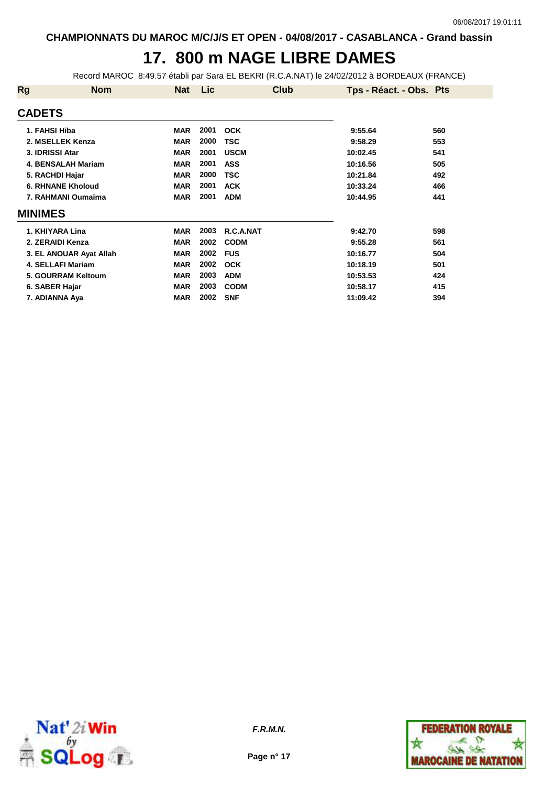# **17. 800 m NAGE LIBRE DAMES**

Record MAROC 8:49.57 établi par Sara EL BEKRI (R.C.A.NAT) le 24/02/2012 à BORDEAUX (FRANCE)

| Rg              | <b>Nom</b>               | Nat        | <b>Lic</b> | Club        | Tps - Réact. - Obs. Pts |     |
|-----------------|--------------------------|------------|------------|-------------|-------------------------|-----|
| <b>CADETS</b>   |                          |            |            |             |                         |     |
| 1. FAHSI Hiba   |                          | <b>MAR</b> | 2001       | <b>OCK</b>  | 9:55.64                 | 560 |
|                 | 2. MSELLEK Kenza         | <b>MAR</b> | 2000       | TSC         | 9:58.29                 | 553 |
| 3. IDRISSI Atar |                          | <b>MAR</b> | 2001       | <b>USCM</b> | 10:02.45                | 541 |
|                 | 4. BENSALAH Mariam       | <b>MAR</b> | 2001       | <b>ASS</b>  | 10:16.56                | 505 |
|                 | 5. RACHDI Hajar          | <b>MAR</b> | 2000       | <b>TSC</b>  | 10:21.84                | 492 |
|                 | <b>6. RHNANE Kholoud</b> | <b>MAR</b> | 2001       | <b>ACK</b>  | 10:33.24                | 466 |
|                 | 7. RAHMANI Oumaima       | <b>MAR</b> | 2001       | <b>ADM</b>  | 10:44.95                | 441 |
| <b>MINIMES</b>  |                          |            |            |             |                         |     |
|                 | 1. KHIYARA Lina          | <b>MAR</b> | 2003       | R.C.A.NAT   | 9:42.70                 | 598 |
|                 | 2. ZERAIDI Kenza         | <b>MAR</b> | 2002       | <b>CODM</b> | 9:55.28                 | 561 |
|                 | 3. EL ANOUAR Ayat Allah  | <b>MAR</b> | 2002       | <b>FUS</b>  | 10:16.77                | 504 |
|                 | <b>4. SELLAFI Mariam</b> | <b>MAR</b> | 2002       | <b>OCK</b>  | 10:18.19                | 501 |
|                 | 5. GOURRAM Keltoum       | <b>MAR</b> | 2003       | <b>ADM</b>  | 10:53.53                | 424 |
| 6. SABER Hajar  |                          | <b>MAR</b> | 2003       | <b>CODM</b> | 10:58.17                | 415 |
|                 | 7. ADIANNA Aya           | <b>MAR</b> | 2002       | <b>SNF</b>  | 11:09.42                | 394 |



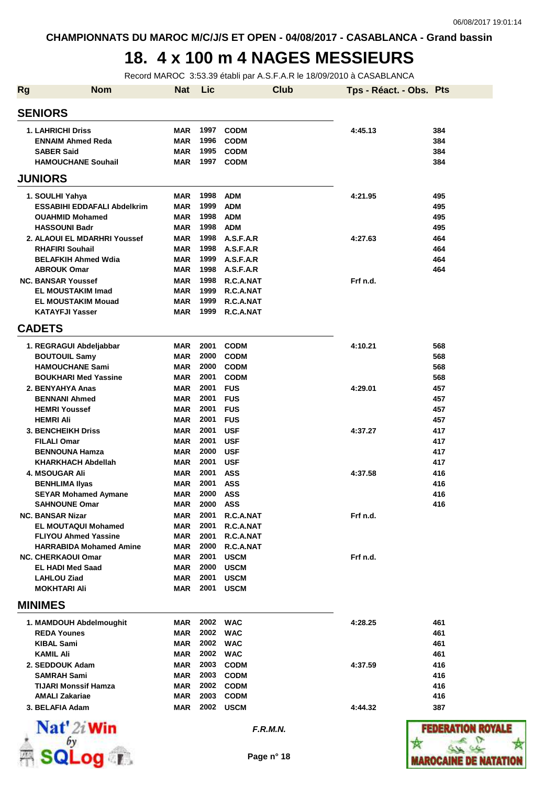## **18. 4 x 100 m 4 NAGES MESSIEURS**

Record MAROC 3:53.39 établi par A.S.F.A.R le 18/09/2010 à CASABLANCA

| <b>Rg</b> | <b>Nom</b>                                            | <b>Nat</b>               | Lic          |                        | <b>Club</b> | Tps - Réact. - Obs. Pts |                     |
|-----------|-------------------------------------------------------|--------------------------|--------------|------------------------|-------------|-------------------------|---------------------|
|           | <b>SENIORS</b>                                        |                          |              |                        |             |                         |                     |
|           | <b>1. LAHRICHI Driss</b>                              | <b>MAR</b>               | 1997         | <b>CODM</b>            |             | 4:45.13                 | 384                 |
|           | <b>ENNAIM Ahmed Reda</b>                              | MAR                      | 1996         | <b>CODM</b>            |             |                         | 384                 |
|           | <b>SABER Said</b>                                     | <b>MAR</b>               | 1995         | <b>CODM</b>            |             |                         | 384                 |
|           | <b>HAMOUCHANE Souhail</b>                             | <b>MAR</b>               | 1997         | <b>CODM</b>            |             |                         | 384                 |
|           | <b>JUNIORS</b>                                        |                          |              |                        |             |                         |                     |
|           | 1. SOULHI Yahya                                       | <b>MAR</b>               | 1998         | <b>ADM</b>             |             | 4:21.95                 | 495                 |
|           | <b>ESSABIHI EDDAFALI Abdelkrim</b>                    | <b>MAR</b>               | 1999         | <b>ADM</b>             |             |                         | 495                 |
|           | <b>OUAHMID Mohamed</b>                                | <b>MAR</b>               | 1998         | <b>ADM</b>             |             |                         | 495                 |
|           | <b>HASSOUNI Badr</b>                                  | MAR                      | 1998         | <b>ADM</b>             |             |                         | 495                 |
|           | 2. ALAOUI EL MDARHRI Youssef                          | <b>MAR</b>               | 1998         | A.S.F.A.R              |             | 4:27.63                 | 464                 |
|           | <b>RHAFIRI Souhail</b>                                | <b>MAR</b>               | 1998         | A.S.F.A.R              |             |                         | 464                 |
|           | <b>BELAFKIH Ahmed Wdia</b>                            | <b>MAR</b>               | 1999         | A.S.F.A.R              |             |                         | 464                 |
|           | <b>ABROUK Omar</b>                                    | MAR                      | 1998         | A.S.F.A.R              |             |                         | 464                 |
|           | <b>NC. BANSAR Youssef</b>                             | MAR                      | 1998         | R.C.A.NAT              |             | Frf n.d.                |                     |
|           | <b>EL MOUSTAKIM Imad</b>                              | <b>MAR</b>               | 1999         | R.C.A.NAT              |             |                         |                     |
|           | <b>EL MOUSTAKIM Mouad</b><br><b>KATAYFJI Yasser</b>   | <b>MAR</b><br><b>MAR</b> | 1999<br>1999 | R.C.A.NAT<br>R.C.A.NAT |             |                         |                     |
|           | <b>CADETS</b>                                         |                          |              |                        |             |                         |                     |
|           | 1. REGRAGUI Abdeljabbar                               | <b>MAR</b>               | 2001         | <b>CODM</b>            |             | 4:10.21                 | 568                 |
|           | <b>BOUTOUIL Samy</b>                                  | <b>MAR</b>               | 2000         | <b>CODM</b>            |             |                         | 568                 |
|           | <b>HAMOUCHANE Sami</b>                                | <b>MAR</b>               | 2000         | <b>CODM</b>            |             |                         | 568                 |
|           | <b>BOUKHARI Med Yassine</b>                           | MAR                      | 2001         | <b>CODM</b>            |             |                         | 568                 |
|           | 2. BENYAHYA Anas                                      | <b>MAR</b>               | 2001         | <b>FUS</b>             |             | 4:29.01                 | 457                 |
|           | <b>BENNANI Ahmed</b>                                  | <b>MAR</b>               | 2001         | <b>FUS</b>             |             |                         | 457                 |
|           | <b>HEMRI Youssef</b>                                  | MAR                      | 2001         | <b>FUS</b>             |             |                         | 457                 |
|           | <b>HEMRI Ali</b>                                      | <b>MAR</b>               | 2001         | <b>FUS</b>             |             |                         | 457                 |
|           | <b>3. BENCHEIKH Driss</b>                             | <b>MAR</b>               | 2001         | <b>USF</b>             |             | 4:37.27                 | 417                 |
|           | <b>FILALI Omar</b>                                    | <b>MAR</b>               | 2001         | <b>USF</b>             |             |                         | 417                 |
|           | <b>BENNOUNA Hamza</b>                                 | <b>MAR</b>               | 2000         | <b>USF</b>             |             |                         | 417                 |
|           | <b>KHARKHACH Abdellah</b>                             | MAR                      | 2001         | <b>USF</b>             |             |                         | 417                 |
|           | 4. MSOUGAR Ali                                        | <b>MAR</b>               | 2001         | <b>ASS</b>             |             | 4:37.58                 | 416                 |
|           | <b>BENHLIMA Ilyas</b>                                 | MAR                      | 2001         | <b>ASS</b>             |             |                         | 416                 |
|           | <b>SEYAR Mohamed Aymane</b>                           | <b>MAR</b>               | 2000         | <b>ASS</b>             |             |                         | 416                 |
|           | <b>SAHNOUNE Omar</b>                                  | <b>MAR</b>               | 2000         | ASS                    |             |                         | 416                 |
|           | <b>NC. BANSAR Nizar</b><br><b>EL MOUTAQUI Mohamed</b> | MAR<br><b>MAR</b>        | 2001<br>2001 | R.C.A.NAT<br>R.C.A.NAT |             | Frf n.d.                |                     |
|           | <b>FLIYOU Ahmed Yassine</b>                           | <b>MAR</b>               | 2001         | R.C.A.NAT              |             |                         |                     |
|           | <b>HARRABIDA Mohamed Amine</b>                        | MAR                      | 2000         | R.C.A.NAT              |             |                         |                     |
|           | <b>NC. CHERKAOUI Omar</b>                             | MAR                      | 2001         | <b>USCM</b>            |             | Frf n.d.                |                     |
|           | <b>EL HADI Med Saad</b>                               | MAR                      |              | 2000 USCM              |             |                         |                     |
|           | <b>LAHLOU Ziad</b>                                    | MAR                      | 2001         | <b>USCM</b>            |             |                         |                     |
|           | <b>MOKHTARI Ali</b>                                   | MAR                      | 2001         | <b>USCM</b>            |             |                         |                     |
|           | <b>MINIMES</b>                                        |                          |              |                        |             |                         |                     |
|           | 1. MAMDOUH Abdelmoughit                               | MAR                      |              | 2002 WAC               |             | 4:28.25                 | 461                 |
|           | <b>REDA Younes</b>                                    | MAR                      |              | 2002 WAC               |             |                         | 461                 |
|           | <b>KIBAL Sami</b>                                     | <b>MAR</b>               |              | 2002 WAC               |             |                         | 461                 |
|           | <b>KAMIL Ali</b>                                      | MAR                      | 2002         | <b>WAC</b>             |             |                         | 461                 |
|           | 2. SEDDOUK Adam                                       | <b>MAR</b>               | 2003         | <b>CODM</b>            |             | 4:37.59                 | 416                 |
|           | <b>SAMRAH Sami</b>                                    | MAR                      | 2003         | <b>CODM</b>            |             |                         | 416                 |
|           | <b>TIJARI Monssif Hamza</b>                           | MAR                      |              | 2002 CODM              |             |                         | 416                 |
|           | <b>AMALI Zakariae</b>                                 | MAR                      |              | 2003 CODM              |             |                         | 416                 |
|           | 3. BELAFIA Adam                                       | MAR                      | 2002         | USCM                   |             | 4:44.32                 | 387                 |
|           | Nat' 2i Win                                           |                          |              | F.R.M.N.               |             |                         | <b>FEDERATION R</b> |



**Page n° 18**

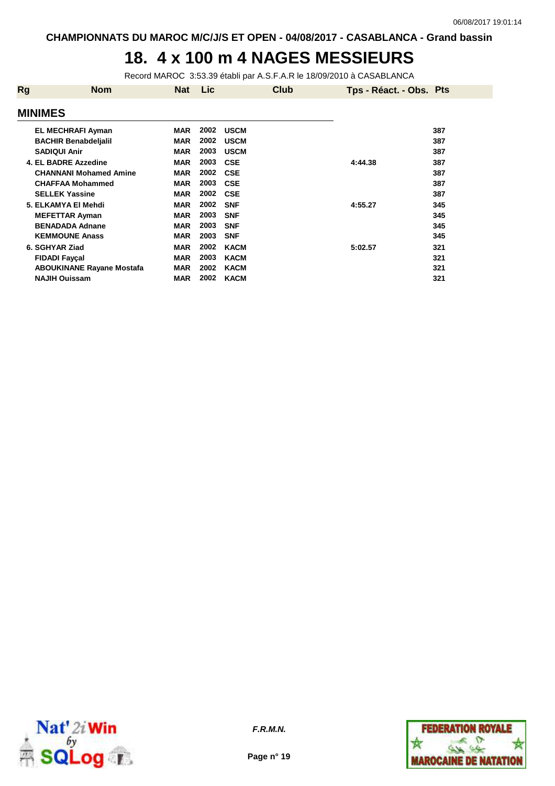## **18. 4 x 100 m 4 NAGES MESSIEURS**

Record MAROC 3:53.39 établi par A.S.F.A.R le 18/09/2010 à CASABLANCA

| Rg             | <b>Nom</b>                       | <b>Nat</b> | <b>Lic</b> | <b>Club</b> | Tps - Réact. - Obs. Pts |     |
|----------------|----------------------------------|------------|------------|-------------|-------------------------|-----|
| <b>MINIMES</b> |                                  |            |            |             |                         |     |
|                | <b>EL MECHRAFI Ayman</b>         | <b>MAR</b> | 2002       | <b>USCM</b> |                         | 387 |
|                | <b>BACHIR Benabdeljalil</b>      | <b>MAR</b> | 2002       | <b>USCM</b> |                         | 387 |
|                | <b>SADIQUI Anir</b>              | <b>MAR</b> | 2003       | <b>USCM</b> |                         | 387 |
|                | 4. EL BADRE Azzedine             | <b>MAR</b> | 2003       | <b>CSE</b>  | 4:44.38                 | 387 |
|                | <b>CHANNANI Mohamed Amine</b>    | <b>MAR</b> | 2002       | <b>CSE</b>  |                         | 387 |
|                | <b>CHAFFAA Mohammed</b>          | <b>MAR</b> | 2003       | <b>CSE</b>  |                         | 387 |
|                | <b>SELLEK Yassine</b>            | <b>MAR</b> | 2002       | <b>CSE</b>  |                         | 387 |
|                | 5. ELKAMYA EI Mehdi              | <b>MAR</b> | 2002       | <b>SNF</b>  | 4:55.27                 | 345 |
|                | <b>MEFETTAR Ayman</b>            | <b>MAR</b> | 2003       | <b>SNF</b>  |                         | 345 |
|                | <b>BENADADA Adnane</b>           | <b>MAR</b> | 2003       | <b>SNF</b>  |                         | 345 |
|                | <b>KEMMOUNE Anass</b>            | <b>MAR</b> | 2003       | <b>SNF</b>  |                         | 345 |
| 6. SGHYAR Ziad |                                  | <b>MAR</b> | 2002       | <b>KACM</b> | 5:02.57                 | 321 |
|                | <b>FIDADI Fayçal</b>             | <b>MAR</b> | 2003       | <b>KACM</b> |                         | 321 |
|                | <b>ABOUKINANE Rayane Mostafa</b> | <b>MAR</b> | 2002       | <b>KACM</b> |                         | 321 |
|                | <b>NAJIH Ouissam</b>             | <b>MAR</b> | 2002       | <b>KACM</b> |                         | 321 |



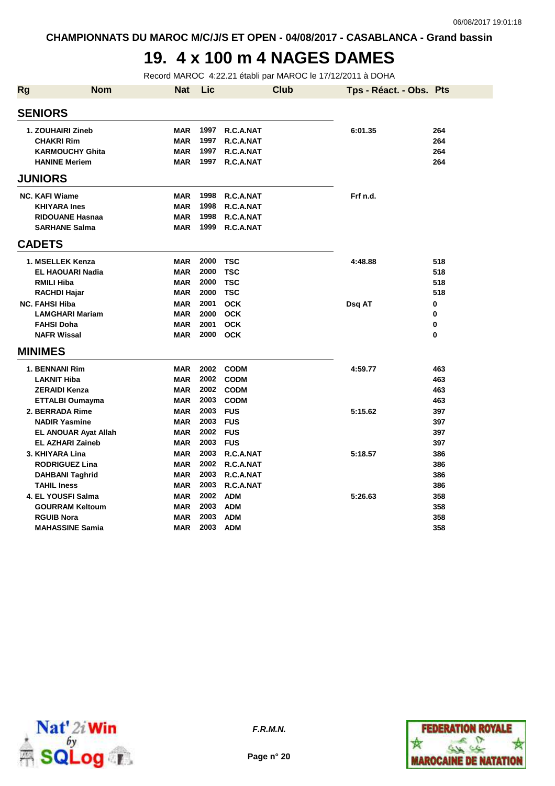## **19. 4 x 100 m 4 NAGES DAMES**

Record MAROC 4:22.21 établi par MAROC le 17/12/2011 à DOHA

| <b>Rg</b> | <b>Nom</b>                                     | <b>Nat</b>               | Lic          |                        | <b>Club</b> | Tps - Réact. - Obs. Pts |             |
|-----------|------------------------------------------------|--------------------------|--------------|------------------------|-------------|-------------------------|-------------|
|           | <b>SENIORS</b>                                 |                          |              |                        |             |                         |             |
|           | 1. ZOUHAIRI Zineb                              | <b>MAR</b>               | 1997         | R.C.A.NAT              |             | 6:01.35                 | 264         |
|           | <b>CHAKRI Rim</b>                              | <b>MAR</b><br><b>MAR</b> | 1997<br>1997 | R.C.A.NAT<br>R.C.A.NAT |             |                         | 264<br>264  |
|           | <b>KARMOUCHY Ghita</b><br><b>HANINE Meriem</b> | <b>MAR</b>               | 1997         | R.C.A.NAT              |             |                         | 264         |
|           | <b>JUNIORS</b>                                 |                          |              |                        |             |                         |             |
|           |                                                |                          |              |                        |             |                         |             |
|           | <b>NC. KAFI Wiame</b>                          | <b>MAR</b>               | 1998         | R.C.A.NAT              |             | Frf n.d.                |             |
|           | <b>KHIYARA Ines</b>                            | <b>MAR</b>               | 1998<br>1998 | R.C.A.NAT              |             |                         |             |
|           | <b>RIDOUANE Hasnaa</b><br><b>SARHANE Salma</b> | <b>MAR</b><br><b>MAR</b> | 1999         | R.C.A.NAT<br>R.C.A.NAT |             |                         |             |
|           |                                                |                          |              |                        |             |                         |             |
|           | <b>CADETS</b>                                  |                          |              |                        |             |                         |             |
|           | 1. MSELLEK Kenza                               | <b>MAR</b>               | 2000         | <b>TSC</b>             |             | 4:48.88                 | 518         |
|           | <b>EL HAOUARI Nadia</b>                        | <b>MAR</b>               | 2000         | <b>TSC</b>             |             |                         | 518         |
|           | <b>RMILI Hiba</b>                              | <b>MAR</b>               | 2000         | <b>TSC</b>             |             |                         | 518         |
|           | RACHDI Hajar                                   | <b>MAR</b>               | 2000         | <b>TSC</b>             |             |                         | 518         |
|           | <b>NC. FAHSI Hiba</b>                          | <b>MAR</b>               | 2001         | <b>OCK</b>             |             | Dsq AT                  | 0           |
|           | <b>LAMGHARI Mariam</b>                         | <b>MAR</b>               | 2000         | <b>OCK</b>             |             |                         | 0           |
|           | <b>FAHSI Doha</b>                              | <b>MAR</b>               | 2001         | <b>OCK</b>             |             |                         | 0           |
|           | <b>NAFR Wissal</b>                             | <b>MAR</b>               | 2000         | <b>OCK</b>             |             |                         | $\mathbf 0$ |
|           | <b>MINIMES</b>                                 |                          |              |                        |             |                         |             |
|           | 1. BENNANI Rim                                 | <b>MAR</b>               | 2002         | <b>CODM</b>            |             | 4:59.77                 | 463         |
|           | <b>LAKNIT Hiba</b>                             | <b>MAR</b>               | 2002         | <b>CODM</b>            |             |                         | 463         |
|           | <b>ZERAIDI Kenza</b>                           | <b>MAR</b>               | 2002         | <b>CODM</b>            |             |                         | 463         |
|           | <b>ETTALBI Oumayma</b>                         | <b>MAR</b>               | 2003         | <b>CODM</b>            |             |                         | 463         |
|           | 2. BERRADA Rime                                | <b>MAR</b>               | 2003         | <b>FUS</b>             |             | 5:15.62                 | 397         |
|           | <b>NADIR Yasmine</b>                           | <b>MAR</b>               | 2003         | <b>FUS</b>             |             |                         | 397         |
|           | <b>EL ANOUAR Ayat Allah</b>                    | <b>MAR</b>               | 2002         | <b>FUS</b>             |             |                         | 397         |
|           | <b>EL AZHARI Zaineb</b>                        | <b>MAR</b>               | 2003         | <b>FUS</b>             |             |                         | 397         |
|           | 3. KHIYARA Lina                                | <b>MAR</b>               | 2003         | R.C.A.NAT              |             | 5:18.57                 | 386         |
|           | <b>RODRIGUEZ Lina</b>                          | <b>MAR</b>               | 2002         | R.C.A.NAT              |             |                         | 386         |
|           | <b>DAHBANI Taghrid</b>                         | <b>MAR</b>               | 2003         | R.C.A.NAT              |             |                         | 386         |
|           | <b>TAHIL Iness</b>                             | <b>MAR</b>               | 2003         | R.C.A.NAT              |             |                         | 386         |
|           | 4. EL YOUSFI Salma                             | <b>MAR</b>               | 2002         | <b>ADM</b>             |             | 5:26.63                 | 358         |
|           | <b>GOURRAM Keltoum</b>                         | <b>MAR</b>               | 2003         | <b>ADM</b>             |             |                         | 358         |
|           | <b>RGUIB Nora</b>                              | <b>MAR</b>               | 2003         | <b>ADM</b>             |             |                         | 358         |
|           | <b>MAHASSINE Samia</b>                         | <b>MAR</b>               | 2003         | <b>ADM</b>             |             |                         | 358         |



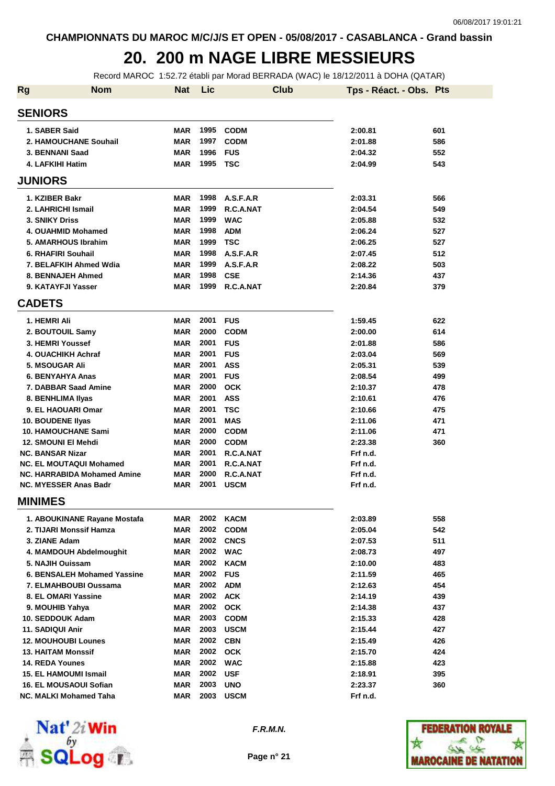#### **20. 200 m NAGE LIBRE MESSIEURS**

Record MAROC 1:52.72 établi par Morad BERRADA (WAC) le 18/12/2011 à DOHA (QATAR)

| <b>Rg</b> | <b>Nom</b>                         | <b>Nat</b> | Lic      | <b>Club</b> | Tps - Réact. - Obs. Pts |     |
|-----------|------------------------------------|------------|----------|-------------|-------------------------|-----|
|           | <b>SENIORS</b>                     |            |          |             |                         |     |
|           | 1. SABER Said                      | <b>MAR</b> | 1995     | <b>CODM</b> | 2:00.81                 | 601 |
|           | 2. HAMOUCHANE Souhail              | <b>MAR</b> | 1997     | <b>CODM</b> | 2:01.88                 | 586 |
|           | 3. BENNANI Saad                    | <b>MAR</b> | 1996     | <b>FUS</b>  | 2:04.32                 | 552 |
|           | 4. LAFKIHI Hatim                   | <b>MAR</b> | 1995     | <b>TSC</b>  | 2:04.99                 | 543 |
|           | <b>JUNIORS</b>                     |            |          |             |                         |     |
|           | 1. KZIBER Bakr                     | <b>MAR</b> | 1998     | A.S.F.A.R   | 2:03.31                 | 566 |
|           | 2. LAHRICHI Ismail                 | <b>MAR</b> | 1999     | R.C.A.NAT   | 2:04.54                 | 549 |
|           | 3. SNIKY Driss                     | <b>MAR</b> | 1999     | <b>WAC</b>  | 2:05.88                 | 532 |
|           | 4. OUAHMID Mohamed                 | <b>MAR</b> | 1998     | <b>ADM</b>  | 2:06.24                 | 527 |
|           | 5. AMARHOUS Ibrahim                | <b>MAR</b> | 1999     | <b>TSC</b>  | 2:06.25                 | 527 |
|           | 6. RHAFIRI Souhail                 | <b>MAR</b> | 1998     | A.S.F.A.R   | 2:07.45                 | 512 |
|           | 7. BELAFKIH Ahmed Wdia             | <b>MAR</b> | 1999     | A.S.F.A.R   | 2:08.22                 | 503 |
|           | 8. BENNAJEH Ahmed                  | <b>MAR</b> | 1998     | <b>CSE</b>  | 2:14.36                 | 437 |
|           | 9. KATAYFJI Yasser                 | <b>MAR</b> | 1999     | R.C.A.NAT   | 2:20.84                 | 379 |
|           | <b>CADETS</b>                      |            |          |             |                         |     |
|           | 1. HEMRI Ali                       | <b>MAR</b> | 2001     | <b>FUS</b>  | 1:59.45                 | 622 |
|           | 2. BOUTOUIL Samy                   | <b>MAR</b> | 2000     | <b>CODM</b> | 2:00.00                 | 614 |
|           | 3. HEMRI Youssef                   | <b>MAR</b> | 2001     | <b>FUS</b>  | 2:01.88                 | 586 |
|           | 4. OUACHIKH Achraf                 | <b>MAR</b> | 2001     | <b>FUS</b>  | 2:03.04                 | 569 |
|           | 5. MSOUGAR Ali                     | <b>MAR</b> | 2001     | <b>ASS</b>  | 2:05.31                 | 539 |
|           | 6. BENYAHYA Anas                   | <b>MAR</b> | 2001     | <b>FUS</b>  | 2:08.54                 | 499 |
|           | 7. DABBAR Saad Amine               | <b>MAR</b> | 2000     | <b>OCK</b>  | 2:10.37                 | 478 |
|           | 8. BENHLIMA IIyas                  | <b>MAR</b> | 2001     | <b>ASS</b>  | 2:10.61                 | 476 |
|           | 9. EL HAOUARI Omar                 | <b>MAR</b> | 2001     | <b>TSC</b>  | 2:10.66                 | 475 |
|           | 10. BOUDENE Ilyas                  | <b>MAR</b> | 2001     | <b>MAS</b>  | 2:11.06                 | 471 |
|           | <b>10. HAMOUCHANE Sami</b>         | <b>MAR</b> | 2000     | <b>CODM</b> | 2:11.06                 | 471 |
|           | 12. SMOUNI EI Mehdi                | <b>MAR</b> | 2000     | <b>CODM</b> | 2:23.38                 | 360 |
|           | <b>NC. BANSAR Nizar</b>            | <b>MAR</b> | 2001     | R.C.A.NAT   | Frf n.d.                |     |
|           | <b>NC. EL MOUTAQUI Mohamed</b>     | <b>MAR</b> | 2001     | R.C.A.NAT   | Frf n.d.                |     |
|           | <b>NC. HARRABIDA Mohamed Amine</b> | <b>MAR</b> | 2000     | R.C.A.NAT   | Frf n.d.                |     |
|           | <b>NC. MYESSER Anas Badr</b>       | <b>MAR</b> | 2001     | <b>USCM</b> | Frf n.d.                |     |
|           | <b>MINIMES</b>                     |            |          |             |                         |     |
|           | 1. ABOUKINANE Rayane Mostafa       | MAR        | 2002     | <b>KACM</b> | 2:03.89                 | 558 |
|           | 2. TIJARI Monssif Hamza            | <b>MAR</b> | 2002     | <b>CODM</b> | 2:05.04                 | 542 |
|           | 3. ZIANE Adam                      | <b>MAR</b> | 2002     | <b>CNCS</b> | 2:07.53                 | 511 |
|           | 4. MAMDOUH Abdelmoughit            | <b>MAR</b> |          | 2002 WAC    | 2:08.73                 | 497 |
|           | 5. NAJIH Ouissam                   | <b>MAR</b> | 2002     | <b>KACM</b> | 2:10.00                 | 483 |
|           | 6. BENSALEH Mohamed Yassine        | <b>MAR</b> | 2002     | <b>FUS</b>  | 2:11.59                 | 465 |
|           | 7. ELMAHBOUBI Oussama              | <b>MAR</b> | 2002     | <b>ADM</b>  | 2:12.63                 | 454 |
|           | 8. EL OMARI Yassine                | <b>MAR</b> | 2002 ACK |             | 2:14.19                 | 439 |
|           | 9. MOUHIB Yahya                    | <b>MAR</b> | 2002     | <b>OCK</b>  | 2:14.38                 | 437 |
|           | 10. SEDDOUK Adam                   | <b>MAR</b> | 2003     | <b>CODM</b> | 2:15.33                 | 428 |
|           | 11. SADIQUI Anir                   | <b>MAR</b> | 2003     | <b>USCM</b> | 2:15.44                 | 427 |
|           | <b>12. MOUHOUBI Lounes</b>         | <b>MAR</b> | 2002     | <b>CBN</b>  | 2:15.49                 | 426 |
|           | <b>13. HAITAM Monssif</b>          | <b>MAR</b> | 2002     | <b>OCK</b>  | 2:15.70                 | 424 |
|           | <b>14. REDA Younes</b>             | <b>MAR</b> | 2002     | <b>WAC</b>  | 2:15.88                 | 423 |
|           | 15. EL HAMOUMI Ismail              | <b>MAR</b> | 2002     | <b>USF</b>  | 2:18.91                 | 395 |
|           | 16. EL MOUSAOUI Sofian             | <b>MAR</b> | 2003     | <b>UNO</b>  | 2:23.37                 | 360 |
|           | NC. MALKI Mohamed Taha             | <b>MAR</b> | 2003     | <b>USCM</b> | Frf n.d.                |     |



**F.R.M.N.**

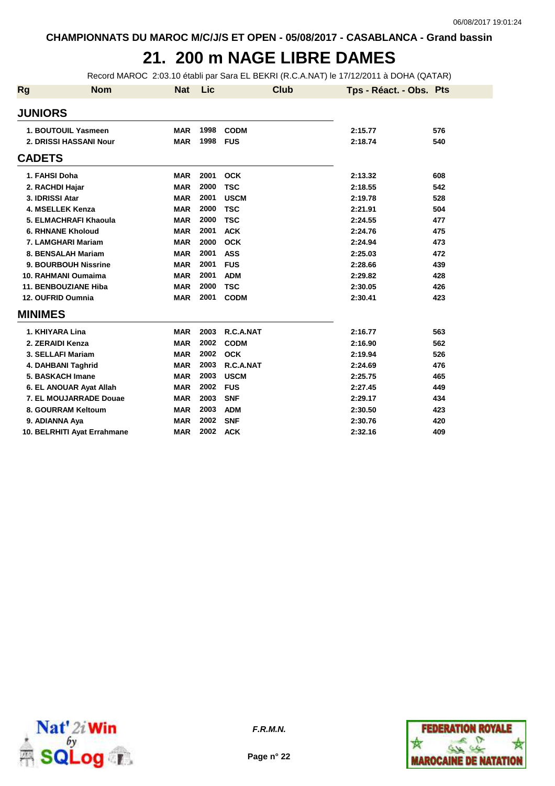# **21. 200 m NAGE LIBRE DAMES**

Record MAROC 2:03.10 établi par Sara EL BEKRI (R.C.A.NAT) le 17/12/2011 à DOHA (QATAR)

| <b>Rg</b> | <b>Nom</b>                  | <b>Nat</b> | Lic  | <b>Club</b> | Tps - Réact. - Obs. Pts |     |
|-----------|-----------------------------|------------|------|-------------|-------------------------|-----|
|           | <b>JUNIORS</b>              |            |      |             |                         |     |
|           | 1. BOUTOUIL Yasmeen         | <b>MAR</b> | 1998 | <b>CODM</b> | 2:15.77                 | 576 |
|           | 2. DRISSI HASSANI Nour      | <b>MAR</b> | 1998 | <b>FUS</b>  | 2:18.74                 | 540 |
|           | <b>CADETS</b>               |            |      |             |                         |     |
|           | 1. FAHSI Doha               | <b>MAR</b> | 2001 | <b>OCK</b>  | 2:13.32                 | 608 |
|           | 2. RACHDI Hajar             | <b>MAR</b> | 2000 | <b>TSC</b>  | 2:18.55                 | 542 |
|           | 3. IDRISSI Atar             | <b>MAR</b> | 2001 | <b>USCM</b> | 2:19.78                 | 528 |
|           | 4. MSELLEK Kenza            | <b>MAR</b> | 2000 | <b>TSC</b>  | 2:21.91                 | 504 |
|           | 5. ELMACHRAFI Khaoula       | <b>MAR</b> | 2000 | <b>TSC</b>  | 2:24.55                 | 477 |
|           | <b>6. RHNANE Kholoud</b>    | <b>MAR</b> | 2001 | <b>ACK</b>  | 2:24.76                 | 475 |
|           | 7. LAMGHARI Mariam          | <b>MAR</b> | 2000 | <b>OCK</b>  | 2:24.94                 | 473 |
|           | 8. BENSALAH Mariam          | <b>MAR</b> | 2001 | <b>ASS</b>  | 2:25.03                 | 472 |
|           | <b>9. BOURBOUH Nissrine</b> | <b>MAR</b> | 2001 | <b>FUS</b>  | 2:28.66                 | 439 |
|           | 10. RAHMANI Oumaima         | <b>MAR</b> | 2001 | <b>ADM</b>  | 2:29.82                 | 428 |
|           | <b>11. BENBOUZIANE Hiba</b> | <b>MAR</b> | 2000 | <b>TSC</b>  | 2:30.05                 | 426 |
|           | 12. OUFRID Oumnia           | <b>MAR</b> | 2001 | <b>CODM</b> | 2:30.41                 | 423 |
|           | <b>MINIMES</b>              |            |      |             |                         |     |
|           | 1. KHIYARA Lina             | <b>MAR</b> | 2003 | R.C.A.NAT   | 2:16.77                 | 563 |
|           | 2. ZERAIDI Kenza            | <b>MAR</b> | 2002 | <b>CODM</b> | 2:16.90                 | 562 |
|           | 3. SELLAFI Mariam           | <b>MAR</b> | 2002 | <b>OCK</b>  | 2:19.94                 | 526 |
|           | 4. DAHBANI Taghrid          | <b>MAR</b> | 2003 | R.C.A.NAT   | 2:24.69                 | 476 |
|           | 5. BASKACH Imane            | <b>MAR</b> | 2003 | <b>USCM</b> | 2:25.75                 | 465 |
|           | 6. EL ANOUAR Ayat Allah     | <b>MAR</b> | 2002 | <b>FUS</b>  | 2:27.45                 | 449 |
|           | 7. EL MOUJARRADE Douae      | <b>MAR</b> | 2003 | <b>SNF</b>  | 2:29.17                 | 434 |
|           | 8. GOURRAM Keltoum          | <b>MAR</b> | 2003 | <b>ADM</b>  | 2:30.50                 | 423 |
|           | 9. ADIANNA Aya              | <b>MAR</b> | 2002 | <b>SNF</b>  | 2:30.76                 | 420 |
|           | 10. BELRHITI Ayat Errahmane | <b>MAR</b> | 2002 | <b>ACK</b>  | 2:32.16                 | 409 |





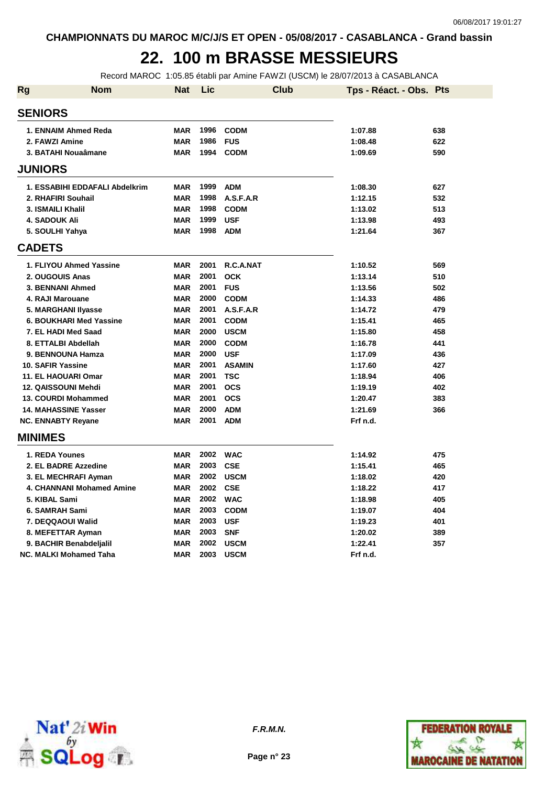# **22. 100 m BRASSE MESSIEURS**

Record MAROC 1:05.85 établi par Amine FAWZI (USCM) le 28/07/2013 à CASABLANCA

| <b>Rg</b> | <b>Nom</b>                       | <b>Nat</b> | Lic      | <b>Club</b>   | Tps - Réact. - Obs. Pts |     |
|-----------|----------------------------------|------------|----------|---------------|-------------------------|-----|
|           | <b>SENIORS</b>                   |            |          |               |                         |     |
|           | 1. ENNAIM Ahmed Reda             | <b>MAR</b> | 1996     | <b>CODM</b>   | 1:07.88                 | 638 |
|           | 2. FAWZI Amine                   | <b>MAR</b> | 1986     | <b>FUS</b>    | 1:08.48                 | 622 |
|           | 3. BATAHI Nouaâmane              | <b>MAR</b> | 1994     | <b>CODM</b>   | 1:09.69                 | 590 |
|           | <b>JUNIORS</b>                   |            |          |               |                         |     |
|           | 1. ESSABIHI EDDAFALI Abdelkrim   | <b>MAR</b> | 1999     | <b>ADM</b>    | 1:08.30                 | 627 |
|           | 2. RHAFIRI Souhail               | <b>MAR</b> | 1998     | A.S.F.A.R     | 1:12.15                 | 532 |
|           | 3. ISMAILI Khalil                | <b>MAR</b> | 1998     | <b>CODM</b>   | 1:13.02                 | 513 |
|           | <b>4. SADOUK Ali</b>             | <b>MAR</b> | 1999     | <b>USF</b>    | 1:13.98                 | 493 |
|           | 5. SOULHI Yahya                  | <b>MAR</b> | 1998     | <b>ADM</b>    | 1:21.64                 | 367 |
|           | <b>CADETS</b>                    |            |          |               |                         |     |
|           | 1. FLIYOU Ahmed Yassine          | <b>MAR</b> | 2001     | R.C.A.NAT     | 1:10.52                 | 569 |
|           | 2. OUGOUIS Anas                  | <b>MAR</b> | 2001     | <b>OCK</b>    | 1:13.14                 | 510 |
|           | 3. BENNANI Ahmed                 | <b>MAR</b> | 2001     | <b>FUS</b>    | 1:13.56                 | 502 |
|           | 4. RAJI Marouane                 | <b>MAR</b> | 2000     | <b>CODM</b>   | 1:14.33                 | 486 |
|           | 5. MARGHANI IIyasse              | <b>MAR</b> | 2001     | A.S.F.A.R     | 1:14.72                 | 479 |
|           | 6. BOUKHARI Med Yassine          | <b>MAR</b> | 2001     | <b>CODM</b>   | 1:15.41                 | 465 |
|           | 7. EL HADI Med Saad              | <b>MAR</b> | 2000     | <b>USCM</b>   | 1:15.80                 | 458 |
|           | 8. ETTALBI Abdellah              | <b>MAR</b> | 2000     | <b>CODM</b>   | 1:16.78                 | 441 |
|           | 9. BENNOUNA Hamza                | <b>MAR</b> | 2000     | <b>USF</b>    | 1:17.09                 | 436 |
|           | 10. SAFIR Yassine                | <b>MAR</b> | 2001     | <b>ASAMIN</b> | 1:17.60                 | 427 |
|           | <b>11. EL HAOUARI Omar</b>       | <b>MAR</b> | 2001     | <b>TSC</b>    | 1:18.94                 | 406 |
|           | 12. QAISSOUNI Mehdi              | <b>MAR</b> | 2001     | <b>OCS</b>    | 1:19.19                 | 402 |
|           | 13. COURDI Mohammed              | <b>MAR</b> | 2001     | <b>OCS</b>    | 1:20.47                 | 383 |
|           | <b>14. MAHASSINE Yasser</b>      | <b>MAR</b> | 2000     | <b>ADM</b>    | 1:21.69                 | 366 |
|           | <b>NC. ENNABTY Reyane</b>        | <b>MAR</b> | 2001     | <b>ADM</b>    | Frf n.d.                |     |
|           | <b>MINIMES</b>                   |            |          |               |                         |     |
|           | 1. REDA Younes                   | <b>MAR</b> | 2002     | <b>WAC</b>    | 1:14.92                 | 475 |
|           | 2. EL BADRE Azzedine             | <b>MAR</b> | 2003     | <b>CSE</b>    | 1:15.41                 | 465 |
|           | 3. EL MECHRAFI Ayman             | <b>MAR</b> | 2002     | <b>USCM</b>   | 1:18.02                 | 420 |
|           | <b>4. CHANNANI Mohamed Amine</b> | <b>MAR</b> | 2002 CSE |               | 1:18.22                 | 417 |
|           | 5. KIBAL Sami                    | <b>MAR</b> |          | 2002 WAC      | 1:18.98                 | 405 |
|           | 6. SAMRAH Sami                   | <b>MAR</b> | 2003     | <b>CODM</b>   | 1:19.07                 | 404 |
|           | 7. DEQQAOUI Walid                | <b>MAR</b> | 2003     | <b>USF</b>    | 1:19.23                 | 401 |
|           | 8. MEFETTAR Ayman                | <b>MAR</b> | 2003     | <b>SNF</b>    | 1:20.02                 | 389 |
|           | 9. BACHIR Benabdeljalil          | <b>MAR</b> | 2002     | <b>USCM</b>   | 1:22.41                 | 357 |
|           | <b>NC. MALKI Mohamed Taha</b>    | <b>MAR</b> | 2003     | <b>USCM</b>   | Frf n.d.                |     |



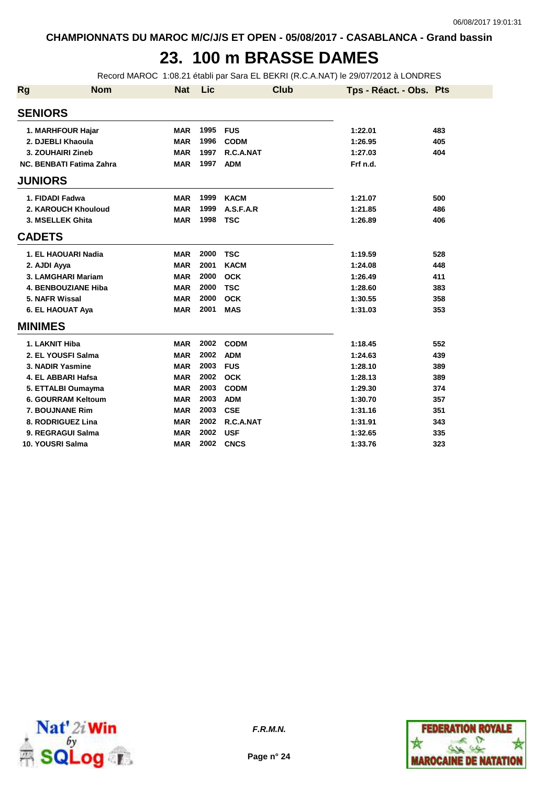## **23. 100 m BRASSE DAMES**

Record MAROC 1:08.21 établi par Sara EL BEKRI (R.C.A.NAT) le 29/07/2012 à LONDRES

| <b>Rg</b>      | <b>Nom</b>                      | <b>Nat</b> | Lic  | <b>Club</b> | Tps - Réact. - Obs. Pts |     |
|----------------|---------------------------------|------------|------|-------------|-------------------------|-----|
| <b>SENIORS</b> |                                 |            |      |             |                         |     |
|                | 1. MARHFOUR Hajar               | <b>MAR</b> | 1995 | <b>FUS</b>  | 1:22.01                 | 483 |
|                | 2. DJEBLI Khaoula               | <b>MAR</b> | 1996 | <b>CODM</b> | 1:26.95                 | 405 |
|                | 3. ZOUHAIRI Zineb               | <b>MAR</b> | 1997 | R.C.A.NAT   | 1:27.03                 | 404 |
|                | <b>NC. BENBATI Fatima Zahra</b> | <b>MAR</b> | 1997 | <b>ADM</b>  | Frf n.d.                |     |
| <b>JUNIORS</b> |                                 |            |      |             |                         |     |
|                | 1. FIDADI Fadwa                 | <b>MAR</b> | 1999 | <b>KACM</b> | 1:21.07                 | 500 |
|                | 2. KAROUCH Khouloud             | <b>MAR</b> | 1999 | A.S.F.A.R   | 1:21.85                 | 486 |
|                | 3. MSELLEK Ghita                | <b>MAR</b> | 1998 | <b>TSC</b>  | 1:26.89                 | 406 |
| <b>CADETS</b>  |                                 |            |      |             |                         |     |
|                | 1. EL HAOUARI Nadia             | <b>MAR</b> | 2000 | <b>TSC</b>  | 1:19.59                 | 528 |
| 2. AJDI Ayya   |                                 | <b>MAR</b> | 2001 | <b>KACM</b> | 1:24.08                 | 448 |
|                | 3. LAMGHARI Mariam              | <b>MAR</b> | 2000 | <b>OCK</b>  | 1:26.49                 | 411 |
|                | <b>4. BENBOUZIANE Hiba</b>      | <b>MAR</b> | 2000 | <b>TSC</b>  | 1:28.60                 | 383 |
|                | 5. NAFR Wissal                  | <b>MAR</b> | 2000 | <b>OCK</b>  | 1:30.55                 | 358 |
|                | 6. EL HAOUAT Aya                | <b>MAR</b> | 2001 | <b>MAS</b>  | 1:31.03                 | 353 |
| <b>MINIMES</b> |                                 |            |      |             |                         |     |
|                | 1. LAKNIT Hiba                  | <b>MAR</b> | 2002 | <b>CODM</b> | 1:18.45                 | 552 |
|                | 2. EL YOUSFI Salma              | <b>MAR</b> | 2002 | <b>ADM</b>  | 1:24.63                 | 439 |
|                | 3. NADIR Yasmine                | <b>MAR</b> | 2003 | <b>FUS</b>  | 1:28.10                 | 389 |
|                | 4. EL ABBARI Hafsa              | <b>MAR</b> | 2002 | <b>OCK</b>  | 1:28.13                 | 389 |
|                | 5. ETTALBI Oumayma              | <b>MAR</b> | 2003 | <b>CODM</b> | 1:29.30                 | 374 |
|                | 6. GOURRAM Keltoum              | <b>MAR</b> | 2003 | <b>ADM</b>  | 1:30.70                 | 357 |
|                | 7. BOUJNANE Rim                 | <b>MAR</b> | 2003 | <b>CSE</b>  | 1:31.16                 | 351 |
|                | 8. RODRIGUEZ Lina               | <b>MAR</b> | 2002 | R.C.A.NAT   | 1:31.91                 | 343 |
|                | 9. REGRAGUI Salma               | <b>MAR</b> | 2002 | <b>USF</b>  | 1:32.65                 | 335 |
|                | 10. YOUSRI Salma                | <b>MAR</b> | 2002 | <b>CNCS</b> | 1:33.76                 | 323 |



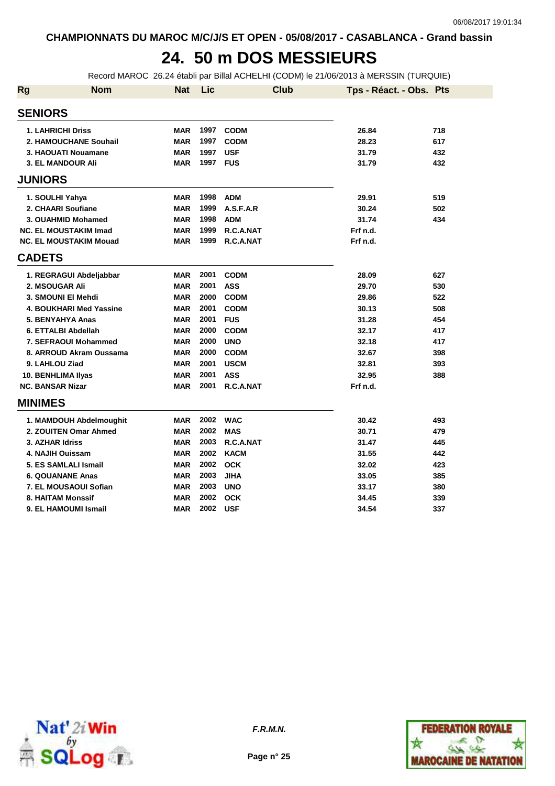## **24. 50 m DOS MESSIEURS**

Record MAROC 26.24 établi par Billal ACHELHI (CODM) le 21/06/2013 à MERSSIN (TURQUIE)

| <b>Rg</b>      | <b>Nom</b>                     | <b>Nat</b> | Lic  |             | <b>Club</b> | Tps - Réact. - Obs. Pts |     |
|----------------|--------------------------------|------------|------|-------------|-------------|-------------------------|-----|
| <b>SENIORS</b> |                                |            |      |             |             |                         |     |
|                | 1. LAHRICHI Driss              | <b>MAR</b> | 1997 | <b>CODM</b> |             | 26.84                   | 718 |
|                | 2. HAMOUCHANE Souhail          | <b>MAR</b> | 1997 | <b>CODM</b> |             | 28.23                   | 617 |
|                | 3. HAOUATI Nouamane            | <b>MAR</b> | 1997 | <b>USF</b>  |             | 31.79                   | 432 |
|                | 3. EL MANDOUR Ali              | <b>MAR</b> | 1997 | <b>FUS</b>  |             | 31.79                   | 432 |
| <b>JUNIORS</b> |                                |            |      |             |             |                         |     |
|                | 1. SOULHI Yahya                | <b>MAR</b> | 1998 | <b>ADM</b>  |             | 29.91                   | 519 |
|                | 2. CHAARI Soufiane             | <b>MAR</b> | 1999 | A.S.F.A.R   |             | 30.24                   | 502 |
|                | 3. OUAHMID Mohamed             | <b>MAR</b> | 1998 | <b>ADM</b>  |             | 31.74                   | 434 |
|                | <b>NC. EL MOUSTAKIM Imad</b>   | <b>MAR</b> | 1999 | R.C.A.NAT   |             | Frf n.d.                |     |
|                | <b>NC. EL MOUSTAKIM Mouad</b>  | <b>MAR</b> | 1999 | R.C.A.NAT   |             | Frf n.d.                |     |
| <b>CADETS</b>  |                                |            |      |             |             |                         |     |
|                | 1. REGRAGUI Abdeljabbar        | <b>MAR</b> | 2001 | <b>CODM</b> |             | 28.09                   | 627 |
|                | 2. MSOUGAR Ali                 | <b>MAR</b> | 2001 | <b>ASS</b>  |             | 29.70                   | 530 |
|                | 3. SMOUNI EI Mehdi             | <b>MAR</b> | 2000 | <b>CODM</b> |             | 29.86                   | 522 |
|                | <b>4. BOUKHARI Med Yassine</b> | <b>MAR</b> | 2001 | <b>CODM</b> |             | 30.13                   | 508 |
|                | 5. BENYAHYA Anas               | <b>MAR</b> | 2001 | <b>FUS</b>  |             | 31.28                   | 454 |
|                | 6. ETTALBI Abdellah            | <b>MAR</b> | 2000 | <b>CODM</b> |             | 32.17                   | 417 |
|                | 7. SEFRAOUI Mohammed           | <b>MAR</b> | 2000 | <b>UNO</b>  |             | 32.18                   | 417 |
|                | 8. ARROUD Akram Oussama        | <b>MAR</b> | 2000 | <b>CODM</b> |             | 32.67                   | 398 |
|                | 9. LAHLOU Ziad                 | <b>MAR</b> | 2001 | <b>USCM</b> |             | 32.81                   | 393 |
|                | 10. BENHLIMA Ilyas             | <b>MAR</b> | 2001 | <b>ASS</b>  |             | 32.95                   | 388 |
|                | <b>NC. BANSAR Nizar</b>        | <b>MAR</b> | 2001 | R.C.A.NAT   |             | Frf n.d.                |     |
| <b>MINIMES</b> |                                |            |      |             |             |                         |     |
|                | 1. MAMDOUH Abdelmoughit        | <b>MAR</b> | 2002 | <b>WAC</b>  |             | 30.42                   | 493 |
|                | 2. ZOUITEN Omar Ahmed          | <b>MAR</b> | 2002 | <b>MAS</b>  |             | 30.71                   | 479 |
|                | 3. AZHAR Idriss                | <b>MAR</b> | 2003 | R.C.A.NAT   |             | 31.47                   | 445 |
|                | 4. NAJIH Ouissam               | <b>MAR</b> | 2002 | <b>KACM</b> |             | 31.55                   | 442 |
|                | 5. ES SAMLALI Ismail           | <b>MAR</b> | 2002 | <b>OCK</b>  |             | 32.02                   | 423 |
|                | <b>6. QOUANANE Anas</b>        | <b>MAR</b> | 2003 | <b>JIHA</b> |             | 33.05                   | 385 |
|                | 7. EL MOUSAOUI Sofian          | <b>MAR</b> | 2003 | <b>UNO</b>  |             | 33.17                   | 380 |
|                | 8. HAITAM Monssif              | <b>MAR</b> | 2002 | <b>OCK</b>  |             | 34.45                   | 339 |
|                | 9. EL HAMOUMI Ismail           | <b>MAR</b> | 2002 | <b>USF</b>  |             | 34.54                   | 337 |



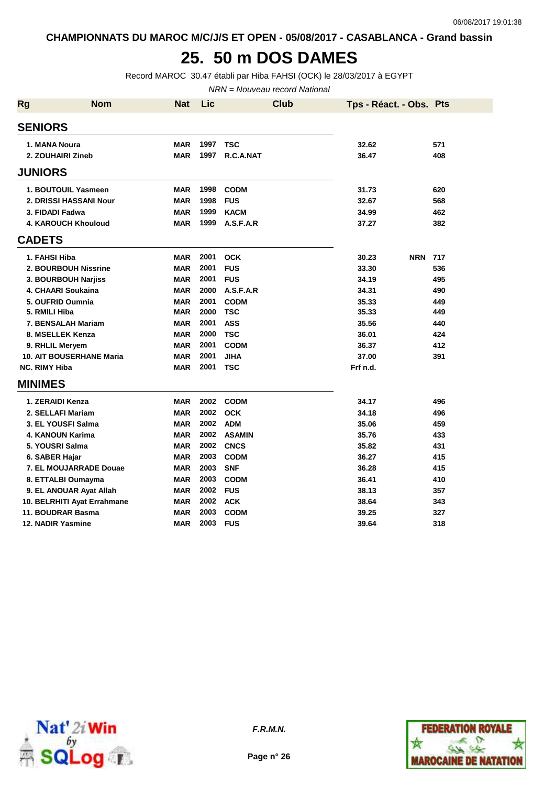#### **25. 50 m DOS DAMES**

Record MAROC 30.47 établi par Hiba FAHSI (OCK) le 28/03/2017 à EGYPT

NRN = Nouveau record National

| <b>Rg</b> | <b>Nom</b>                      | Nat        | Lic  | <b>Club</b>   | Tps - Réact. - Obs. Pts |     |
|-----------|---------------------------------|------------|------|---------------|-------------------------|-----|
|           | <b>SENIORS</b>                  |            |      |               |                         |     |
|           | 1. MANA Noura                   | <b>MAR</b> | 1997 | <b>TSC</b>    | 32.62                   | 571 |
|           | 2. ZOUHAIRI Zineb               | <b>MAR</b> | 1997 | R.C.A.NAT     | 36.47                   | 408 |
|           | <b>JUNIORS</b>                  |            |      |               |                         |     |
|           | 1. BOUTOUIL Yasmeen             | <b>MAR</b> | 1998 | <b>CODM</b>   | 31.73                   | 620 |
|           | 2. DRISSI HASSANI Nour          | <b>MAR</b> | 1998 | <b>FUS</b>    | 32.67                   | 568 |
|           | 3. FIDADI Fadwa                 | <b>MAR</b> | 1999 | <b>KACM</b>   | 34.99                   | 462 |
|           | <b>4. KAROUCH Khouloud</b>      | <b>MAR</b> | 1999 | A.S.F.A.R     | 37.27                   | 382 |
|           | <b>CADETS</b>                   |            |      |               |                         |     |
|           | 1. FAHSI Hiba                   | <b>MAR</b> | 2001 | <b>OCK</b>    | <b>NRN 717</b><br>30.23 |     |
|           | 2. BOURBOUH Nissrine            | <b>MAR</b> | 2001 | <b>FUS</b>    | 33.30                   | 536 |
|           | 3. BOURBOUH Narjiss             | <b>MAR</b> | 2001 | <b>FUS</b>    | 34.19                   | 495 |
|           | 4. CHAARI Soukaina              | <b>MAR</b> | 2000 | A.S.F.A.R     | 34.31                   | 490 |
|           | 5. OUFRID Oumnia                | <b>MAR</b> | 2001 | <b>CODM</b>   | 35.33                   | 449 |
|           | 5. RMILI Hiba                   | <b>MAR</b> | 2000 | <b>TSC</b>    | 35.33                   | 449 |
|           | 7. BENSALAH Mariam              | <b>MAR</b> | 2001 | <b>ASS</b>    | 35.56                   | 440 |
|           | 8. MSELLEK Kenza                | <b>MAR</b> | 2000 | <b>TSC</b>    | 36.01                   | 424 |
|           | 9. RHLIL Meryem                 | <b>MAR</b> | 2001 | <b>CODM</b>   | 36.37                   | 412 |
|           | <b>10. AIT BOUSERHANE Maria</b> | <b>MAR</b> | 2001 | <b>JIHA</b>   | 37.00                   | 391 |
|           | <b>NC. RIMY Hiba</b>            | <b>MAR</b> | 2001 | <b>TSC</b>    | Frf n.d.                |     |
|           | <b>MINIMES</b>                  |            |      |               |                         |     |
|           | 1. ZERAIDI Kenza                | <b>MAR</b> | 2002 | <b>CODM</b>   | 34.17                   | 496 |
|           | 2. SELLAFI Mariam               | <b>MAR</b> | 2002 | <b>OCK</b>    | 34.18                   | 496 |
|           | 3. EL YOUSFI Salma              | <b>MAR</b> | 2002 | <b>ADM</b>    | 35.06                   | 459 |
|           | <b>4. KANOUN Karima</b>         | <b>MAR</b> | 2002 | <b>ASAMIN</b> | 35.76                   | 433 |
|           | 5. YOUSRI Salma                 | <b>MAR</b> | 2002 | <b>CNCS</b>   | 35.82                   | 431 |
|           | 6. SABER Hajar                  | <b>MAR</b> | 2003 | <b>CODM</b>   | 36.27                   | 415 |
|           | 7. EL MOUJARRADE Douae          | <b>MAR</b> | 2003 | <b>SNF</b>    | 36.28                   | 415 |
|           | 8. ETTALBI Oumayma              | <b>MAR</b> | 2003 | <b>CODM</b>   | 36.41                   | 410 |
|           | 9. EL ANOUAR Ayat Allah         | <b>MAR</b> | 2002 | <b>FUS</b>    | 38.13                   | 357 |
|           | 10. BELRHITI Ayat Errahmane     | <b>MAR</b> | 2002 | <b>ACK</b>    | 38.64                   | 343 |
|           | 11. BOUDRAR Basma               | <b>MAR</b> | 2003 | <b>CODM</b>   | 39.25                   | 327 |
|           | 12. NADIR Yasmine               | <b>MAR</b> | 2003 | <b>FUS</b>    | 39.64                   | 318 |



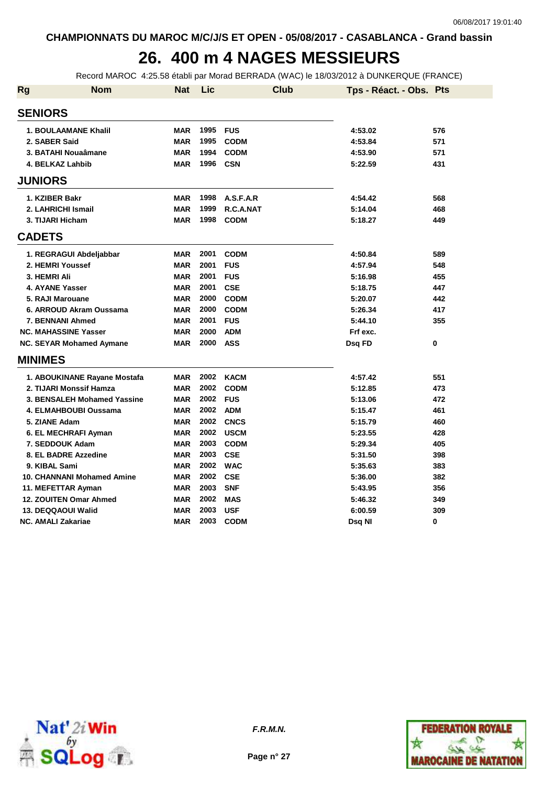# **26. 400 m 4 NAGES MESSIEURS**

Record MAROC 4:25.58 établi par Morad BERRADA (WAC) le 18/03/2012 à DUNKERQUE (FRANCE)

| <b>Rg</b> | <b>Nom</b>                        | <b>Nat</b> | Lic  | <b>Club</b> | Tps - Réact. - Obs. Pts |     |
|-----------|-----------------------------------|------------|------|-------------|-------------------------|-----|
|           | <b>SENIORS</b>                    |            |      |             |                         |     |
|           | <b>1. BOULAAMANE Khalil</b>       | <b>MAR</b> | 1995 | <b>FUS</b>  | 4:53.02                 | 576 |
|           | 2. SABER Said                     | <b>MAR</b> | 1995 | <b>CODM</b> | 4:53.84                 | 571 |
|           | 3. BATAHI Nouaâmane               | <b>MAR</b> | 1994 | <b>CODM</b> | 4:53.90                 | 571 |
|           | 4. BELKAZ Lahbib                  | <b>MAR</b> | 1996 | <b>CSN</b>  | 5:22.59                 | 431 |
|           | <b>JUNIORS</b>                    |            |      |             |                         |     |
|           | 1. KZIBER Bakr                    | <b>MAR</b> | 1998 | A.S.F.A.R   | 4:54.42                 | 568 |
|           | 2. LAHRICHI Ismail                | <b>MAR</b> | 1999 | R.C.A.NAT   | 5:14.04                 | 468 |
|           | 3. TIJARI Hicham                  | <b>MAR</b> | 1998 | <b>CODM</b> | 5:18.27                 | 449 |
|           | <b>CADETS</b>                     |            |      |             |                         |     |
|           | 1. REGRAGUI Abdeljabbar           | <b>MAR</b> | 2001 | <b>CODM</b> | 4:50.84                 | 589 |
|           | 2. HEMRI Youssef                  | <b>MAR</b> | 2001 | <b>FUS</b>  | 4:57.94                 | 548 |
|           | 3. HEMRI Ali                      | <b>MAR</b> | 2001 | <b>FUS</b>  | 5:16.98                 | 455 |
|           | 4. AYANE Yasser                   | <b>MAR</b> | 2001 | <b>CSE</b>  | 5:18.75                 | 447 |
|           | 5. RAJI Marouane                  | <b>MAR</b> | 2000 | <b>CODM</b> | 5:20.07                 | 442 |
|           | 6. ARROUD Akram Oussama           | <b>MAR</b> | 2000 | <b>CODM</b> | 5:26.34                 | 417 |
|           | 7. BENNANI Ahmed                  | <b>MAR</b> | 2001 | <b>FUS</b>  | 5:44.10                 | 355 |
|           | <b>NC. MAHASSINE Yasser</b>       | <b>MAR</b> | 2000 | <b>ADM</b>  | Frf exc.                |     |
|           | NC. SEYAR Mohamed Aymane          | <b>MAR</b> | 2000 | <b>ASS</b>  | Dsq FD                  | 0   |
|           | <b>MINIMES</b>                    |            |      |             |                         |     |
|           | 1. ABOUKINANE Rayane Mostafa      | <b>MAR</b> | 2002 | <b>KACM</b> | 4:57.42                 | 551 |
|           | 2. TIJARI Monssif Hamza           | <b>MAR</b> | 2002 | <b>CODM</b> | 5:12.85                 | 473 |
|           | 3. BENSALEH Mohamed Yassine       | <b>MAR</b> | 2002 | <b>FUS</b>  | 5:13.06                 | 472 |
|           | 4. ELMAHBOUBI Oussama             | <b>MAR</b> | 2002 | <b>ADM</b>  | 5:15.47                 | 461 |
|           | 5. ZIANE Adam                     | <b>MAR</b> | 2002 | <b>CNCS</b> | 5:15.79                 | 460 |
|           | 6. EL MECHRAFI Ayman              | <b>MAR</b> | 2002 | <b>USCM</b> | 5:23.55                 | 428 |
|           | 7. SEDDOUK Adam                   | <b>MAR</b> | 2003 | <b>CODM</b> | 5:29.34                 | 405 |
|           | 8. EL BADRE Azzedine              | <b>MAR</b> | 2003 | <b>CSE</b>  | 5:31.50                 | 398 |
|           | 9. KIBAL Sami                     | <b>MAR</b> | 2002 | <b>WAC</b>  | 5:35.63                 | 383 |
|           | <b>10. CHANNANI Mohamed Amine</b> | <b>MAR</b> | 2002 | <b>CSE</b>  | 5:36.00                 | 382 |
|           | 11. MEFETTAR Ayman                | <b>MAR</b> | 2003 | <b>SNF</b>  | 5:43.95                 | 356 |
|           | 12. ZOUITEN Omar Ahmed            | <b>MAR</b> | 2002 | <b>MAS</b>  | 5:46.32                 | 349 |
|           | 13. DEQQAOUI Walid                | <b>MAR</b> | 2003 | <b>USF</b>  | 6:00.59                 | 309 |
|           | <b>NC. AMALI Zakariae</b>         | <b>MAR</b> | 2003 | <b>CODM</b> | Dsq NI                  | 0   |



**F.R.M.N.**

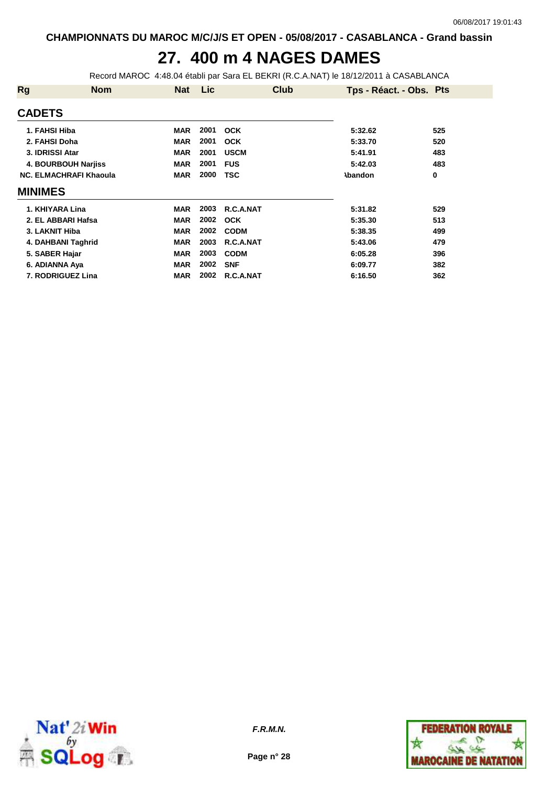## **27. 400 m 4 NAGES DAMES**

Record MAROC 4:48.04 établi par Sara EL BEKRI (R.C.A.NAT) le 18/12/2011 à CASABLANCA

| <b>Rg</b>       | <b>Nom</b>                    | <b>Nat</b> | Lic  | <b>Club</b> | Tps - Réact. - Obs. Pts |     |
|-----------------|-------------------------------|------------|------|-------------|-------------------------|-----|
| <b>CADETS</b>   |                               |            |      |             |                         |     |
| 1. FAHSI Hiba   |                               | <b>MAR</b> | 2001 | <b>OCK</b>  | 5:32.62                 | 525 |
| 2. FAHSI Doha   |                               | MAR        | 2001 | <b>OCK</b>  | 5:33.70                 | 520 |
| 3. IDRISSI Atar |                               | <b>MAR</b> | 2001 | <b>USCM</b> | 5:41.91                 | 483 |
|                 | 4. BOURBOUH Narjiss           | <b>MAR</b> | 2001 | <b>FUS</b>  | 5:42.03                 | 483 |
|                 | <b>NC. ELMACHRAFI Khaoula</b> | <b>MAR</b> | 2000 | <b>TSC</b>  | <b>\bandon</b>          | 0   |
| <b>MINIMES</b>  |                               |            |      |             |                         |     |
|                 | 1. KHIYARA Lina               | <b>MAR</b> | 2003 | R.C.A.NAT   | 5:31.82                 | 529 |
|                 | 2. EL ABBARI Hafsa            | <b>MAR</b> | 2002 | <b>OCK</b>  | 5:35.30                 | 513 |
| 3. LAKNIT Hiba  |                               | <b>MAR</b> | 2002 | <b>CODM</b> | 5:38.35                 | 499 |
|                 | 4. DAHBANI Taghrid            | <b>MAR</b> | 2003 | R.C.A.NAT   | 5:43.06                 | 479 |
| 5. SABER Hajar  |                               | <b>MAR</b> | 2003 | <b>CODM</b> | 6:05.28                 | 396 |
| 6. ADIANNA Aya  |                               | <b>MAR</b> | 2002 | <b>SNF</b>  | 6:09.77                 | 382 |
|                 | 7. RODRIGUEZ Lina             | <b>MAR</b> | 2002 | R.C.A.NAT   | 6:16.50                 | 362 |



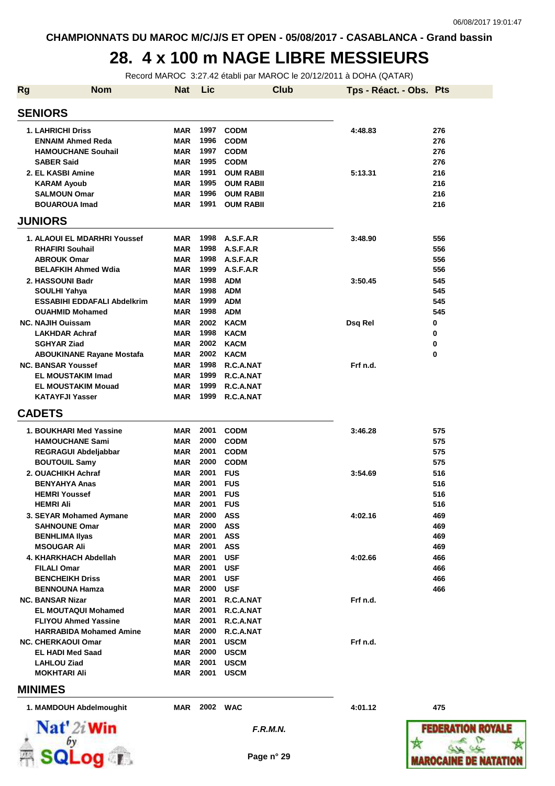#### **28. 4 x 100 m NAGE LIBRE MESSIEURS**

Record MAROC 3:27.42 établi par MAROC le 20/12/2011 à DOHA (QATAR)

| <b>Rg</b> | <b>Nom</b>                                           | <b>Nat</b>               | Lic          |                        | <b>Club</b>     | Tps - Réact. - Obs. Pts |                 |
|-----------|------------------------------------------------------|--------------------------|--------------|------------------------|-----------------|-------------------------|-----------------|
|           | <b>SENIORS</b>                                       |                          |              |                        |                 |                         |                 |
|           | <b>1. LAHRICHI Driss</b>                             | MAR                      | 1997         | <b>CODM</b>            |                 | 4:48.83                 | 276             |
|           | <b>ENNAIM Ahmed Reda</b>                             | <b>MAR</b>               | 1996         | <b>CODM</b>            |                 |                         | 276             |
|           | <b>HAMOUCHANE Souhail</b>                            | <b>MAR</b>               | 1997         | <b>CODM</b>            |                 |                         | 276             |
|           | <b>SABER Said</b>                                    | <b>MAR</b>               | 1995         | <b>CODM</b>            |                 |                         | 276             |
|           | 2. EL KASBI Amine                                    | MAR                      | 1991         | <b>OUM RABII</b>       |                 | 5:13.31                 | 216             |
|           | <b>KARAM Ayoub</b>                                   | MAR                      | 1995         | <b>OUM RABII</b>       |                 |                         | 216             |
|           | <b>SALMOUN Omar</b>                                  | <b>MAR</b><br><b>MAR</b> | 1996         | <b>OUM RABII</b>       |                 |                         | 216             |
|           | <b>BOUAROUA Imad</b>                                 |                          | 1991         | <b>OUM RABII</b>       |                 |                         | 216             |
|           | <b>JUNIORS</b>                                       |                          |              |                        |                 |                         |                 |
|           | 1. ALAOUI EL MDARHRI Youssef                         | MAR                      | 1998         | A.S.F.A.R              |                 | 3:48.90                 | 556             |
|           | <b>RHAFIRI Souhail</b>                               | MAR                      | 1998         | A.S.F.A.R              |                 |                         | 556             |
|           | <b>ABROUK Omar</b><br><b>BELAFKIH Ahmed Wdia</b>     | <b>MAR</b><br>MAR        | 1998<br>1999 | A.S.F.A.R<br>A.S.F.A.R |                 |                         | 556<br>556      |
|           |                                                      |                          | 1998         | <b>ADM</b>             |                 |                         |                 |
|           | 2. HASSOUNI Badr                                     | MAR<br><b>MAR</b>        | 1998         | <b>ADM</b>             |                 | 3:50.45                 | 545<br>545      |
|           | SOULHI Yahya<br><b>ESSABIHI EDDAFALI Abdelkrim</b>   | MAR                      | 1999         | <b>ADM</b>             |                 |                         | 545             |
|           | <b>OUAHMID Mohamed</b>                               | MAR                      | 1998         | <b>ADM</b>             |                 |                         | 545             |
|           | <b>NC. NAJIH Ouissam</b>                             | <b>MAR</b>               | 2002         | <b>KACM</b>            |                 | Dsq Rel                 | 0               |
|           | <b>LAKHDAR Achraf</b>                                | <b>MAR</b>               | 1998         | <b>KACM</b>            |                 |                         | 0               |
|           | <b>SGHYAR Ziad</b>                                   | <b>MAR</b>               | 2002         | <b>KACM</b>            |                 |                         | 0               |
|           | <b>ABOUKINANE Rayane Mostafa</b>                     | MAR                      | 2002         | <b>KACM</b>            |                 |                         | 0               |
|           | <b>NC. BANSAR Youssef</b>                            | <b>MAR</b>               | 1998         | R.C.A.NAT              |                 | Frf n.d.                |                 |
|           | <b>EL MOUSTAKIM Imad</b>                             | MAR                      | 1999         | R.C.A.NAT              |                 |                         |                 |
|           | <b>EL MOUSTAKIM Mouad</b>                            | <b>MAR</b>               | 1999         | R.C.A.NAT              |                 |                         |                 |
|           | <b>KATAYFJI Yasser</b>                               | MAR                      | 1999         | R.C.A.NAT              |                 |                         |                 |
|           | <b>CADETS</b>                                        |                          |              |                        |                 |                         |                 |
|           | 1. BOUKHARI Med Yassine                              | MAR                      | 2001         | <b>CODM</b>            |                 | 3:46.28                 | 575             |
|           | <b>HAMOUCHANE Sami</b>                               | MAR                      | 2000         | <b>CODM</b>            |                 |                         | 575             |
|           | REGRAGUI Abdeljabbar                                 | <b>MAR</b>               | 2001         | <b>CODM</b>            |                 |                         | 575             |
|           | <b>BOUTOUIL Samy</b>                                 | <b>MAR</b>               | 2000         | <b>CODM</b>            |                 |                         | 575             |
|           | 2. OUACHIKH Achraf                                   | <b>MAR</b>               | 2001         | <b>FUS</b>             |                 | 3:54.69                 | 516             |
|           | <b>BENYAHYA Anas</b>                                 | <b>MAR</b>               | 2001         | <b>FUS</b>             |                 |                         | 516             |
|           | <b>HEMRI Youssef</b>                                 | MAR                      | 2001         | <b>FUS</b>             |                 |                         | 516             |
|           | HEMRI Ali                                            | MAR                      | 2001         | <b>FUS</b>             |                 |                         | 516             |
|           | 3. SEYAR Mohamed Aymane                              | MAR                      | 2000         | <b>ASS</b>             |                 | 4:02.16                 | 469             |
|           | <b>SAHNOUNE Omar</b>                                 | MAR                      | 2000         | <b>ASS</b>             |                 |                         | 469             |
|           | <b>BENHLIMA Ilyas</b>                                | MAR                      | 2001         | <b>ASS</b>             |                 |                         | 469             |
|           | MSOUGAR Ali                                          | MAR                      | 2001         | <b>ASS</b>             |                 |                         | 469             |
|           | 4. KHARKHACH Abdellah                                | MAR                      | 2001         | <b>USF</b>             |                 | 4:02.66                 | 466             |
|           | FILALI Omar                                          | MAR                      | 2001         | <b>USF</b>             |                 |                         | 466             |
|           | <b>BENCHEIKH Driss</b>                               | MAR                      | 2001         | <b>USF</b>             |                 |                         | 466             |
|           | <b>BENNOUNA Hamza</b>                                | MAR                      | 2000         | <b>USF</b>             |                 |                         | 466             |
|           | <b>NC. BANSAR Nizar</b>                              | MAR                      | 2001         | R.C.A.NAT              |                 | Frf n.d.                |                 |
|           | <b>EL MOUTAQUI Mohamed</b>                           | MAR                      | 2001         | R.C.A.NAT              |                 |                         |                 |
|           | <b>FLIYOU Ahmed Yassine</b>                          | MAR                      | 2001         | R.C.A.NAT              |                 |                         |                 |
|           | <b>HARRABIDA Mohamed Amine</b>                       | MAR                      | 2000         | R.C.A.NAT              |                 |                         |                 |
|           | <b>NC. CHERKAOUI Omar</b>                            | MAR                      | 2001         | <b>USCM</b>            |                 | Frf n.d.                |                 |
|           | <b>EL HADI Med Saad</b>                              | MAR                      | 2000         | <b>USCM</b>            |                 |                         |                 |
|           | <b>LAHLOU Ziad</b>                                   | MAR                      | 2001         | <b>USCM</b>            |                 |                         |                 |
|           | MOKHTARI Ali                                         | MAR                      | 2001         | <b>USCM</b>            |                 |                         |                 |
|           | <b>MINIMES</b>                                       |                          |              |                        |                 |                         |                 |
|           | 1. MAMDOUH Abdelmoughit                              | MAR                      | 2002         | <b>WAC</b>             |                 | 4:01.12                 | 475             |
|           | $\mathbf{Nat}'$ 2i Win<br>by                         |                          |              |                        | <b>F.R.M.N.</b> |                         | <b>FEDERATI</b> |
|           |                                                      |                          |              |                        |                 |                         |                 |
|           | $\overline{\phantom{a}}$ od $\overline{\phantom{a}}$ |                          |              |                        | Page n° 29      |                         | IAROCA          |

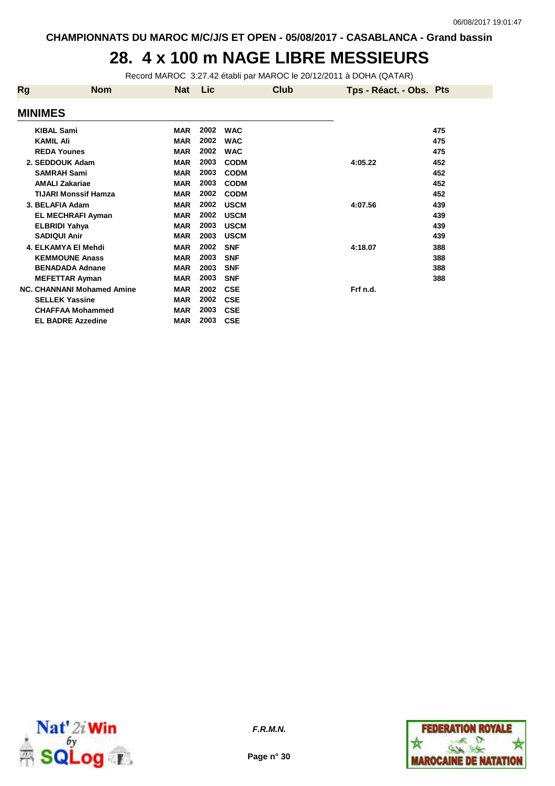#### **28. 4 x 100 m NAGE LIBRE MESSIEURS**

Record MAROC 3:27.42 établi par MAROC le 20/12/2011 à DOHA (QATAR)

| Rg             | <b>Nom</b>                        | <b>Nat</b> | Lic  | Club        | Tps - Réact. - Obs. Pts |     |
|----------------|-----------------------------------|------------|------|-------------|-------------------------|-----|
| <b>MINIMES</b> |                                   |            |      |             |                         |     |
|                | <b>KIBAL Sami</b>                 | <b>MAR</b> | 2002 | <b>WAC</b>  |                         | 475 |
|                | <b>KAMIL Ali</b>                  | <b>MAR</b> | 2002 | <b>WAC</b>  |                         | 475 |
|                | <b>REDA Younes</b>                | <b>MAR</b> | 2002 | <b>WAC</b>  |                         | 475 |
|                | 2. SEDDOUK Adam                   | <b>MAR</b> | 2003 | <b>CODM</b> | 4:05.22                 | 452 |
|                | <b>SAMRAH Sami</b>                | <b>MAR</b> | 2003 | <b>CODM</b> |                         | 452 |
|                | <b>AMALI Zakariae</b>             | <b>MAR</b> | 2003 | <b>CODM</b> |                         | 452 |
|                | <b>TIJARI Monssif Hamza</b>       | <b>MAR</b> | 2002 | <b>CODM</b> |                         | 452 |
|                | 3. BELAFIA Adam                   | <b>MAR</b> | 2002 | <b>USCM</b> | 4:07.56                 | 439 |
|                | <b>EL MECHRAFI Ayman</b>          | <b>MAR</b> | 2002 | <b>USCM</b> |                         | 439 |
|                | <b>ELBRIDI Yahya</b>              | <b>MAR</b> | 2003 | <b>USCM</b> |                         | 439 |
|                | <b>SADIQUI Anir</b>               | <b>MAR</b> | 2003 | <b>USCM</b> |                         | 439 |
|                | 4. ELKAMYA EI Mehdi               | <b>MAR</b> | 2002 | <b>SNF</b>  | 4:18.07                 | 388 |
|                | <b>KEMMOUNE Anass</b>             | <b>MAR</b> | 2003 | <b>SNF</b>  |                         | 388 |
|                | <b>BENADADA Adnane</b>            | <b>MAR</b> | 2003 | <b>SNF</b>  |                         | 388 |
|                | <b>MEFETTAR Ayman</b>             | <b>MAR</b> | 2003 | <b>SNF</b>  |                         | 388 |
|                | <b>NC. CHANNANI Mohamed Amine</b> | <b>MAR</b> | 2002 | <b>CSE</b>  | Frf n.d.                |     |
|                | <b>SELLEK Yassine</b>             | <b>MAR</b> | 2002 | <b>CSE</b>  |                         |     |
|                | <b>CHAFFAA Mohammed</b>           | <b>MAR</b> | 2003 | <b>CSE</b>  |                         |     |
|                | <b>EL BADRE Azzedine</b>          | <b>MAR</b> | 2003 | <b>CSE</b>  |                         |     |



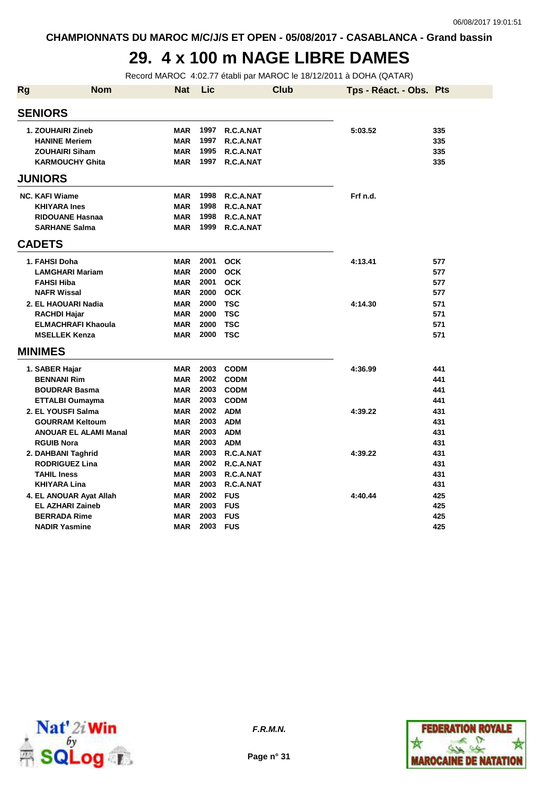## **29. 4 x 100 m NAGE LIBRE DAMES**

Record MAROC 4:02.77 établi par MAROC le 18/12/2011 à DOHA (QATAR)

| <b>Rg</b> | <b>Nom</b>                                  | <b>Nat</b>               | Lic          | <b>Club</b>              | Tps - Réact. - Obs. Pts |            |
|-----------|---------------------------------------------|--------------------------|--------------|--------------------------|-------------------------|------------|
|           | <b>SENIORS</b>                              |                          |              |                          |                         |            |
|           | 1. ZOUHAIRI Zineb                           | <b>MAR</b>               | 1997         | R.C.A.NAT                | 5:03.52                 | 335        |
|           | <b>HANINE Meriem</b>                        | <b>MAR</b>               | 1997         | R.C.A.NAT                |                         | 335        |
|           | <b>ZOUHAIRI Siham</b>                       | <b>MAR</b>               | 1995         | R.C.A.NAT                |                         | 335        |
|           | <b>KARMOUCHY Ghita</b>                      | <b>MAR</b>               | 1997         | R.C.A.NAT                |                         | 335        |
|           | <b>JUNIORS</b>                              |                          |              |                          |                         |            |
|           | <b>NC. KAFI Wiame</b>                       | <b>MAR</b>               | 1998         | R.C.A.NAT                | Frf n.d.                |            |
|           | <b>KHIYARA Ines</b>                         | <b>MAR</b>               | 1998         | R.C.A.NAT                |                         |            |
|           | <b>RIDOUANE Hasnaa</b>                      | <b>MAR</b>               | 1998         | R.C.A.NAT                |                         |            |
|           | <b>SARHANE Salma</b>                        | <b>MAR</b>               | 1999         | R.C.A.NAT                |                         |            |
|           | <b>CADETS</b>                               |                          |              |                          |                         |            |
|           |                                             |                          |              |                          |                         |            |
|           | 1. FAHSI Doha                               | <b>MAR</b>               | 2001<br>2000 | <b>OCK</b>               | 4:13.41                 | 577        |
|           | <b>LAMGHARI Mariam</b><br><b>FAHSI Hiba</b> | <b>MAR</b><br><b>MAR</b> | 2001         | <b>OCK</b><br><b>OCK</b> |                         | 577<br>577 |
|           | <b>NAFR Wissal</b>                          | <b>MAR</b>               | 2000         | <b>OCK</b>               |                         | 577        |
|           | 2. EL HAOUARI Nadia                         | <b>MAR</b>               | 2000         | <b>TSC</b>               | 4:14.30                 | 571        |
|           | <b>RACHDI Hajar</b>                         | <b>MAR</b>               | 2000         | <b>TSC</b>               |                         | 571        |
|           | <b>ELMACHRAFI Khaoula</b>                   | <b>MAR</b>               | 2000         | <b>TSC</b>               |                         | 571        |
|           | <b>MSELLEK Kenza</b>                        | <b>MAR</b>               | 2000         | <b>TSC</b>               |                         | 571        |
|           |                                             |                          |              |                          |                         |            |
|           | <b>MINIMES</b>                              |                          |              |                          |                         |            |
|           | 1. SABER Hajar                              | <b>MAR</b>               | 2003         | <b>CODM</b>              | 4:36.99                 | 441        |
|           | <b>BENNANI Rim</b>                          | <b>MAR</b>               |              | 2002 CODM                |                         | 441        |
|           | <b>BOUDRAR Basma</b>                        | <b>MAR</b>               | 2003         | <b>CODM</b>              |                         | 441        |
|           | <b>ETTALBI Oumayma</b>                      | <b>MAR</b>               | 2003         | <b>CODM</b>              |                         | 441        |
|           | 2. EL YOUSFI Salma                          | <b>MAR</b>               | 2002         | <b>ADM</b>               | 4:39.22                 | 431        |
|           | <b>GOURRAM Keltoum</b>                      | <b>MAR</b>               | 2003         | <b>ADM</b>               |                         | 431        |
|           | <b>ANOUAR EL ALAMI Manal</b>                | <b>MAR</b>               | 2003         | <b>ADM</b>               |                         | 431        |
|           | <b>RGUIB Nora</b>                           | <b>MAR</b>               | 2003         | <b>ADM</b>               |                         | 431        |
|           | 2. DAHBANI Taghrid                          | <b>MAR</b>               | 2003         | R.C.A.NAT                | 4:39.22                 | 431        |
|           | <b>RODRIGUEZ Lina</b>                       | <b>MAR</b>               | 2002         | R.C.A.NAT                |                         | 431        |
|           | <b>TAHIL Iness</b>                          | <b>MAR</b>               | 2003         | R.C.A.NAT                |                         | 431        |
|           | <b>KHIYARA Lina</b>                         | <b>MAR</b>               | 2003         | R.C.A.NAT                |                         | 431        |
|           | 4. EL ANOUAR Ayat Allah                     | <b>MAR</b>               | 2002         | FUS                      | 4:40.44                 | 425        |
|           | <b>EL AZHARI Zaineb</b>                     | <b>MAR</b>               | 2003         | <b>FUS</b>               |                         | 425        |
|           | <b>BERRADA Rime</b>                         | <b>MAR</b>               | 2003         | <b>FUS</b>               |                         | 425        |
|           | <b>NADIR Yasmine</b>                        | <b>MAR</b>               | 2003         | <b>FUS</b>               |                         | 425        |





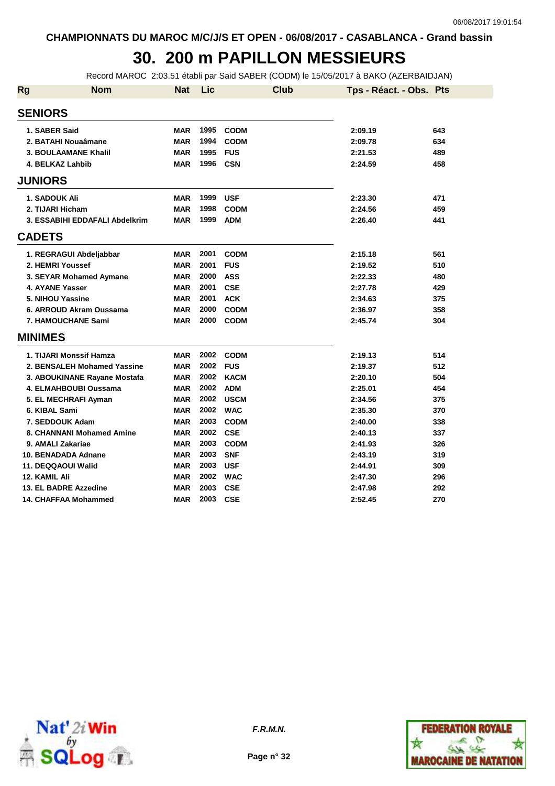## **30. 200 m PAPILLON MESSIEURS**

Record MAROC 2:03.51 établi par Said SABER (CODM) le 15/05/2017 à BAKO (AZERBAIDJAN)

| <b>Rg</b> | <b>Nom</b>                     | <b>Nat</b> | Lic      | <b>Club</b> | Tps - Réact. - Obs. Pts |     |
|-----------|--------------------------------|------------|----------|-------------|-------------------------|-----|
|           | <b>SENIORS</b>                 |            |          |             |                         |     |
|           | 1. SABER Said                  | <b>MAR</b> | 1995     | <b>CODM</b> | 2:09.19                 | 643 |
|           | 2. BATAHI Nouaâmane            | <b>MAR</b> | 1994     | <b>CODM</b> | 2:09.78                 | 634 |
|           | <b>3. BOULAAMANE Khalil</b>    | <b>MAR</b> | 1995     | <b>FUS</b>  | 2:21.53                 | 489 |
|           | 4. BELKAZ Lahbib               | <b>MAR</b> | 1996     | <b>CSN</b>  | 2:24.59                 | 458 |
|           | <b>JUNIORS</b>                 |            |          |             |                         |     |
|           | <b>1. SADOUK Ali</b>           | <b>MAR</b> | 1999     | <b>USF</b>  | 2:23.30                 | 471 |
|           | 2. TIJARI Hicham               | <b>MAR</b> | 1998     | <b>CODM</b> | 2:24.56                 | 459 |
|           | 3. ESSABIHI EDDAFALI Abdelkrim | <b>MAR</b> | 1999     | <b>ADM</b>  | 2:26.40                 | 441 |
|           | <b>CADETS</b>                  |            |          |             |                         |     |
|           | 1. REGRAGUI Abdeljabbar        | <b>MAR</b> | 2001     | <b>CODM</b> | 2:15.18                 | 561 |
|           | 2. HEMRI Youssef               | <b>MAR</b> | 2001     | <b>FUS</b>  | 2:19.52                 | 510 |
|           | 3. SEYAR Mohamed Aymane        | <b>MAR</b> | 2000     | <b>ASS</b>  | 2:22.33                 | 480 |
|           | 4. AYANE Yasser                | <b>MAR</b> | 2001     | <b>CSE</b>  | 2:27.78                 | 429 |
|           | 5. NIHOU Yassine               | <b>MAR</b> | 2001     | <b>ACK</b>  | 2:34.63                 | 375 |
|           | 6. ARROUD Akram Oussama        | <b>MAR</b> | 2000     | <b>CODM</b> | 2:36.97                 | 358 |
|           | 7. HAMOUCHANE Sami             | <b>MAR</b> | 2000     | <b>CODM</b> | 2:45.74                 | 304 |
|           | <b>MINIMES</b>                 |            |          |             |                         |     |
|           | 1. TIJARI Monssif Hamza        | <b>MAR</b> | 2002     | <b>CODM</b> | 2:19.13                 | 514 |
|           | 2. BENSALEH Mohamed Yassine    | <b>MAR</b> | 2002     | <b>FUS</b>  | 2:19.37                 | 512 |
|           | 3. ABOUKINANE Rayane Mostafa   | <b>MAR</b> | 2002     | <b>KACM</b> | 2:20.10                 | 504 |
|           | 4. ELMAHBOUBI Oussama          | <b>MAR</b> | 2002     | <b>ADM</b>  | 2:25.01                 | 454 |
|           | 5. EL MECHRAFI Ayman           | <b>MAR</b> | 2002     | <b>USCM</b> | 2:34.56                 | 375 |
|           | 6. KIBAL Sami                  | <b>MAR</b> | 2002     | <b>WAC</b>  | 2:35.30                 | 370 |
|           | 7. SEDDOUK Adam                | <b>MAR</b> | 2003     | <b>CODM</b> | 2:40.00                 | 338 |
|           | 8. CHANNANI Mohamed Amine      | <b>MAR</b> | 2002 CSE |             | 2:40.13                 | 337 |
|           | 9. AMALI Zakariae              | <b>MAR</b> | 2003     | <b>CODM</b> | 2:41.93                 | 326 |
|           | 10. BENADADA Adnane            | <b>MAR</b> | 2003     | <b>SNF</b>  | 2:43.19                 | 319 |
|           | 11. DEQQAOUI Walid             | <b>MAR</b> | 2003     | <b>USF</b>  | 2:44.91                 | 309 |
|           | 12. KAMIL Ali                  | <b>MAR</b> | 2002     | <b>WAC</b>  | 2:47.30                 | 296 |
|           | 13. EL BADRE Azzedine          | <b>MAR</b> | 2003     | <b>CSE</b>  | 2:47.98                 | 292 |
|           | <b>14. CHAFFAA Mohammed</b>    | <b>MAR</b> | 2003     | <b>CSE</b>  | 2:52.45                 | 270 |



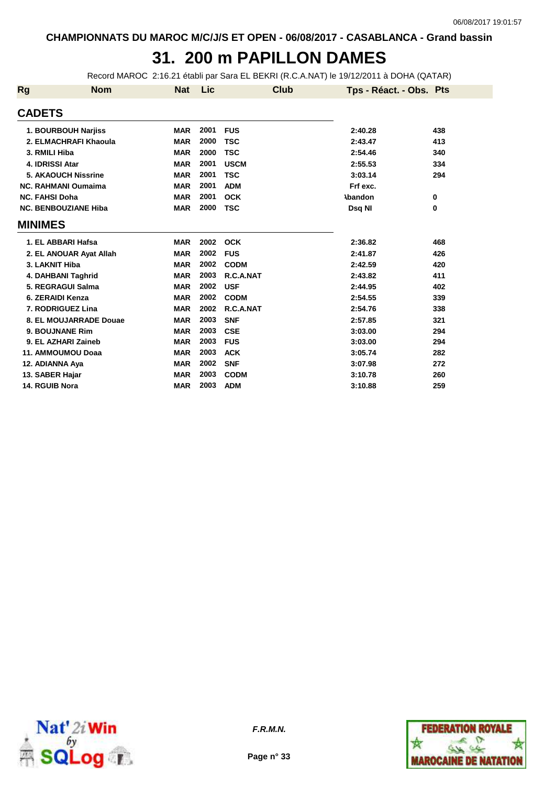# **31. 200 m PAPILLON DAMES**

Record MAROC 2:16.21 établi par Sara EL BEKRI (R.C.A.NAT) le 19/12/2011 à DOHA (QATAR)

| <b>Rg</b>             | <b>Nom</b>                  | <b>Nat</b> | Lic  | Club        | Tps - Réact. - Obs. Pts |     |
|-----------------------|-----------------------------|------------|------|-------------|-------------------------|-----|
| <b>CADETS</b>         |                             |            |      |             |                         |     |
|                       | 1. BOURBOUH Narjiss         | <b>MAR</b> | 2001 | <b>FUS</b>  | 2:40.28                 | 438 |
|                       | 2. ELMACHRAFI Khaoula       | <b>MAR</b> | 2000 | <b>TSC</b>  | 2:43.47                 | 413 |
| 3. RMILI Hiba         |                             | <b>MAR</b> | 2000 | <b>TSC</b>  | 2:54.46                 | 340 |
| 4. IDRISSI Atar       |                             | <b>MAR</b> | 2001 | <b>USCM</b> | 2:55.53                 | 334 |
|                       | <b>5. AKAOUCH Nissrine</b>  | <b>MAR</b> | 2001 | <b>TSC</b>  | 3:03.14                 | 294 |
|                       | <b>NC. RAHMANI Oumaima</b>  | <b>MAR</b> | 2001 | <b>ADM</b>  | Frf exc.                |     |
| <b>NC. FAHSI Doha</b> |                             | <b>MAR</b> | 2001 | <b>OCK</b>  | <b>\bandon</b>          | 0   |
|                       | <b>NC. BENBOUZIANE Hiba</b> | <b>MAR</b> | 2000 | <b>TSC</b>  | Dsq NI                  | 0   |
| <b>MINIMES</b>        |                             |            |      |             |                         |     |
|                       | 1. EL ABBARI Hafsa          | <b>MAR</b> | 2002 | <b>OCK</b>  | 2:36.82                 | 468 |
|                       | 2. EL ANOUAR Ayat Allah     | <b>MAR</b> | 2002 | <b>FUS</b>  | 2:41.87                 | 426 |
| 3. LAKNIT Hiba        |                             | <b>MAR</b> | 2002 | <b>CODM</b> | 2:42.59                 | 420 |
|                       | 4. DAHBANI Taghrid          | <b>MAR</b> | 2003 | R.C.A.NAT   | 2:43.82                 | 411 |
|                       | 5. REGRAGUI Salma           | <b>MAR</b> | 2002 | <b>USF</b>  | 2:44.95                 | 402 |
| 6. ZERAIDI Kenza      |                             | <b>MAR</b> | 2002 | <b>CODM</b> | 2:54.55                 | 339 |
|                       | 7. RODRIGUEZ Lina           | <b>MAR</b> | 2002 | R.C.A.NAT   | 2:54.76                 | 338 |
|                       | 8. EL MOUJARRADE Douae      | <b>MAR</b> | 2003 | <b>SNF</b>  | 2:57.85                 | 321 |
| 9. BOUJNANE Rim       |                             | <b>MAR</b> | 2003 | <b>CSE</b>  | 3:03.00                 | 294 |
|                       | 9. EL AZHARI Zaineb         | <b>MAR</b> | 2003 | <b>FUS</b>  | 3:03.00                 | 294 |
|                       | 11. AMMOUMOU Doaa           | <b>MAR</b> | 2003 | <b>ACK</b>  | 3:05.74                 | 282 |
| 12. ADIANNA Aya       |                             | <b>MAR</b> | 2002 | <b>SNF</b>  | 3:07.98                 | 272 |
| 13. SABER Hajar       |                             | <b>MAR</b> | 2003 | <b>CODM</b> | 3:10.78                 | 260 |
| 14. RGUIB Nora        |                             | <b>MAR</b> | 2003 | <b>ADM</b>  | 3:10.88                 | 259 |



**Page n° 33**

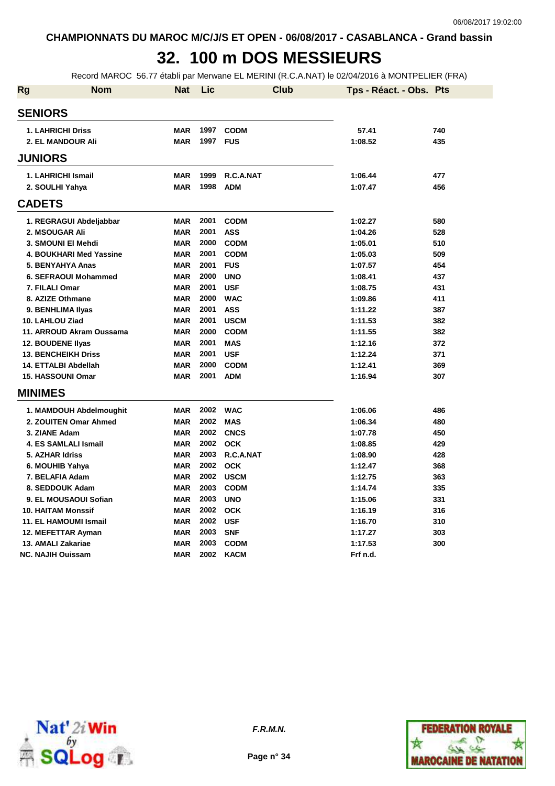## **32. 100 m DOS MESSIEURS**

Record MAROC 56.77 établi par Merwane EL MERINI (R.C.A.NAT) le 02/04/2016 à MONTPELIER (FRA)

| <b>Rg</b> | <b>Nom</b>                  | <b>Nat</b> | Lic      | Club        | Tps - Réact. - Obs. Pts |     |
|-----------|-----------------------------|------------|----------|-------------|-------------------------|-----|
|           | <b>SENIORS</b>              |            |          |             |                         |     |
|           | <b>1. LAHRICHI Driss</b>    | <b>MAR</b> | 1997     | <b>CODM</b> | 57.41                   | 740 |
|           | 2. EL MANDOUR Ali           | <b>MAR</b> | 1997     | <b>FUS</b>  | 1:08.52                 | 435 |
|           | <b>JUNIORS</b>              |            |          |             |                         |     |
|           | 1. LAHRICHI Ismail          | <b>MAR</b> | 1999     | R.C.A.NAT   | 1:06.44                 | 477 |
|           | 2. SOULHI Yahya             | <b>MAR</b> | 1998     | <b>ADM</b>  | 1:07.47                 | 456 |
|           | <b>CADETS</b>               |            |          |             |                         |     |
|           | 1. REGRAGUI Abdeljabbar     | <b>MAR</b> | 2001     | <b>CODM</b> | 1:02.27                 | 580 |
|           | 2. MSOUGAR Ali              | <b>MAR</b> | 2001     | <b>ASS</b>  | 1:04.26                 | 528 |
|           | 3. SMOUNI EI Mehdi          | <b>MAR</b> | 2000     | <b>CODM</b> | 1:05.01                 | 510 |
|           | 4. BOUKHARI Med Yassine     | <b>MAR</b> | 2001     | <b>CODM</b> | 1:05.03                 | 509 |
|           | 5. BENYAHYA Anas            | <b>MAR</b> | 2001     | <b>FUS</b>  | 1:07.57                 | 454 |
|           | 6. SEFRAOUI Mohammed        | <b>MAR</b> | 2000     | <b>UNO</b>  | 1:08.41                 | 437 |
|           | 7. FILALI Omar              | <b>MAR</b> | 2001     | <b>USF</b>  | 1:08.75                 | 431 |
|           | 8. AZIZE Othmane            | <b>MAR</b> | 2000     | <b>WAC</b>  | 1:09.86                 | 411 |
|           | 9. BENHLIMA IIyas           | <b>MAR</b> | 2001     | <b>ASS</b>  | 1:11.22                 | 387 |
|           | 10. LAHLOU Ziad             | <b>MAR</b> | 2001     | <b>USCM</b> | 1:11.53                 | 382 |
|           | 11. ARROUD Akram Oussama    | <b>MAR</b> | 2000     | <b>CODM</b> | 1:11.55                 | 382 |
|           | <b>12. BOUDENE Ilyas</b>    | <b>MAR</b> | 2001     | <b>MAS</b>  | 1:12.16                 | 372 |
|           | <b>13. BENCHEIKH Driss</b>  | <b>MAR</b> | 2001     | <b>USF</b>  | 1:12.24                 | 371 |
|           | 14. ETTALBI Abdellah        | <b>MAR</b> | 2000     | <b>CODM</b> | 1:12.41                 | 369 |
|           | <b>15. HASSOUNI Omar</b>    | <b>MAR</b> | 2001     | <b>ADM</b>  | 1:16.94                 | 307 |
|           | <b>MINIMES</b>              |            |          |             |                         |     |
|           | 1. MAMDOUH Abdelmoughit     | <b>MAR</b> | 2002 WAC |             | 1:06.06                 | 486 |
|           | 2. ZOUITEN Omar Ahmed       | <b>MAR</b> | 2002     | <b>MAS</b>  | 1:06.34                 | 480 |
|           | 3. ZIANE Adam               | <b>MAR</b> | 2002     | <b>CNCS</b> | 1:07.78                 | 450 |
|           | <b>4. ES SAMLALI Ismail</b> | <b>MAR</b> | 2002     | <b>OCK</b>  | 1:08.85                 | 429 |
|           | 5. AZHAR Idriss             | <b>MAR</b> | 2003     | R.C.A.NAT   | 1:08.90                 | 428 |
|           | 6. MOUHIB Yahya             | <b>MAR</b> | 2002     | <b>OCK</b>  | 1:12.47                 | 368 |
|           | 7. BELAFIA Adam             | <b>MAR</b> | 2002     | <b>USCM</b> | 1:12.75                 | 363 |
|           | 8. SEDDOUK Adam             | <b>MAR</b> | 2003     | <b>CODM</b> | 1:14.74                 | 335 |
|           | 9. EL MOUSAOUI Sofian       | <b>MAR</b> | 2003     | <b>UNO</b>  | 1:15.06                 | 331 |
|           | <b>10. HAITAM Monssif</b>   | <b>MAR</b> | 2002     | <b>OCK</b>  | 1:16.19                 | 316 |
|           | 11. EL HAMOUMI Ismail       | <b>MAR</b> | 2002     | <b>USF</b>  | 1:16.70                 | 310 |
|           | 12. MEFETTAR Ayman          | <b>MAR</b> | 2003     | <b>SNF</b>  | 1:17.27                 | 303 |
|           | 13. AMALI Zakariae          | <b>MAR</b> | 2003     | <b>CODM</b> | 1:17.53                 | 300 |
|           | <b>NC. NAJIH Ouissam</b>    | <b>MAR</b> | 2002     | <b>KACM</b> | Frf n.d.                |     |



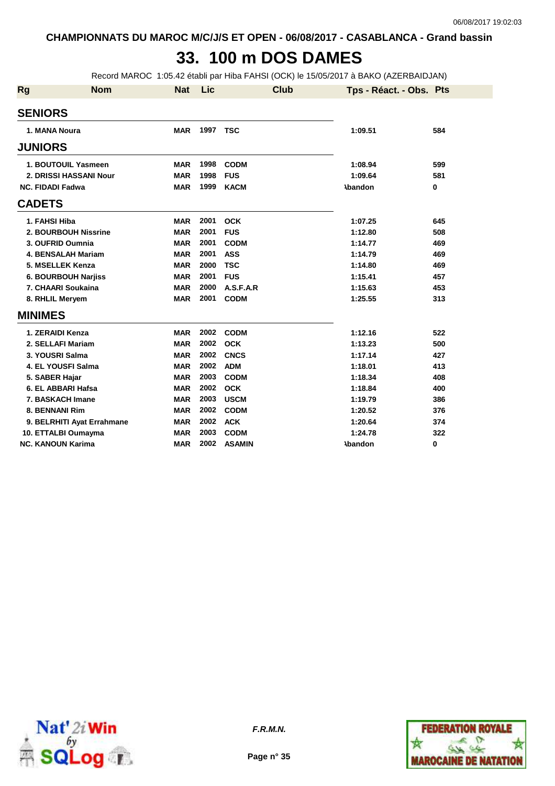## **33. 100 m DOS DAMES**

Record MAROC 1:05.42 établi par Hiba FAHSI (OCK) le 15/05/2017 à BAKO (AZERBAIDJAN)

| <b>Rg</b> | <b>Nom</b>                 | Nat        | Lic      | <b>Club</b>   | Tps - Réact. - Obs. Pts |          |
|-----------|----------------------------|------------|----------|---------------|-------------------------|----------|
|           | <b>SENIORS</b>             |            |          |               |                         |          |
|           | 1. MANA Noura              | <b>MAR</b> | 1997 TSC |               | 1:09.51                 | 584      |
|           | <b>JUNIORS</b>             |            |          |               |                         |          |
|           | 1. BOUTOUIL Yasmeen        | MAR        | 1998     | <b>CODM</b>   | 1:08.94                 | 599      |
|           | 2. DRISSI HASSANI Nour     | <b>MAR</b> | 1998     | <b>FUS</b>    | 1:09.64                 | 581      |
|           | <b>NC. FIDADI Fadwa</b>    | <b>MAR</b> | 1999     | <b>KACM</b>   | <b>\bandon</b>          | $\bf{0}$ |
|           | <b>CADETS</b>              |            |          |               |                         |          |
|           | 1. FAHSI Hiba              | <b>MAR</b> | 2001     | <b>OCK</b>    | 1:07.25                 | 645      |
|           | 2. BOURBOUH Nissrine       | <b>MAR</b> | 2001     | <b>FUS</b>    | 1:12.80                 | 508      |
|           | 3. OUFRID Oumnia           | <b>MAR</b> | 2001     | <b>CODM</b>   | 1:14.77                 | 469      |
|           | <b>4. BENSALAH Mariam</b>  | <b>MAR</b> | 2001     | <b>ASS</b>    | 1:14.79                 | 469      |
|           | 5. MSELLEK Kenza           | <b>MAR</b> | 2000     | <b>TSC</b>    | 1:14.80                 | 469      |
|           | 6. BOURBOUH Narjiss        | <b>MAR</b> | 2001     | <b>FUS</b>    | 1:15.41                 | 457      |
|           | 7. CHAARI Soukaina         | <b>MAR</b> | 2000     | A.S.F.A.R     | 1:15.63                 | 453      |
|           | 8. RHLIL Meryem            | <b>MAR</b> | 2001     | <b>CODM</b>   | 1:25.55                 | 313      |
|           | <b>MINIMES</b>             |            |          |               |                         |          |
|           | 1. ZERAIDI Kenza           | <b>MAR</b> | 2002     | <b>CODM</b>   | 1:12.16                 | 522      |
|           | 2. SELLAFI Mariam          | <b>MAR</b> | 2002     | <b>OCK</b>    | 1:13.23                 | 500      |
|           | 3. YOUSRI Salma            | <b>MAR</b> | 2002     | <b>CNCS</b>   | 1:17.14                 | 427      |
|           | 4. EL YOUSFI Salma         | <b>MAR</b> | 2002     | <b>ADM</b>    | 1:18.01                 | 413      |
|           | 5. SABER Hajar             | <b>MAR</b> | 2003     | <b>CODM</b>   | 1:18.34                 | 408      |
|           | 6. EL ABBARI Hafsa         | <b>MAR</b> | 2002     | <b>OCK</b>    | 1:18.84                 | 400      |
|           | 7. BASKACH Imane           | <b>MAR</b> | 2003     | <b>USCM</b>   | 1:19.79                 | 386      |
|           | 8. BENNANI Rim             | <b>MAR</b> | 2002     | <b>CODM</b>   | 1:20.52                 | 376      |
|           | 9. BELRHITI Ayat Errahmane | <b>MAR</b> | 2002     | <b>ACK</b>    | 1:20.64                 | 374      |
|           | 10. ETTALBI Oumayma        | <b>MAR</b> | 2003     | <b>CODM</b>   | 1:24.78                 | 322      |
|           | <b>NC. KANOUN Karima</b>   | <b>MAR</b> | 2002     | <b>ASAMIN</b> | <b>\bandon</b>          | 0        |





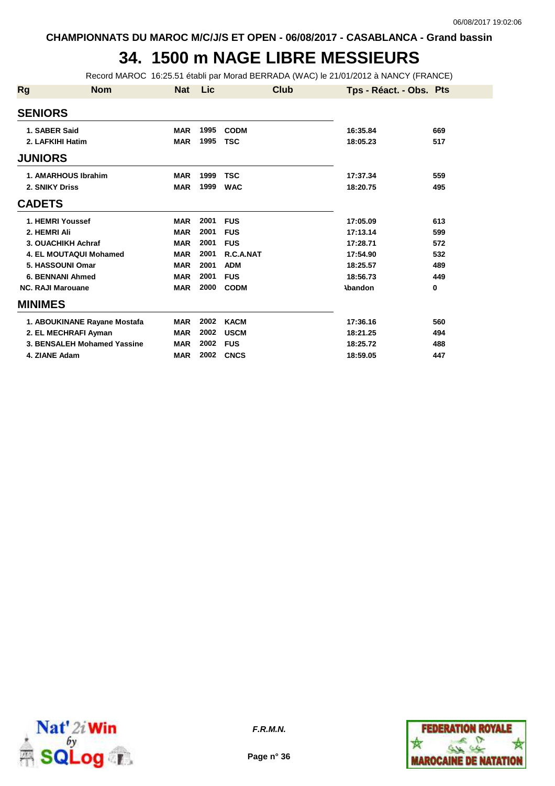### **34. 1500 m NAGE LIBRE MESSIEURS**

Record MAROC 16:25.51 établi par Morad BERRADA (WAC) le 21/01/2012 à NANCY (FRANCE)

| <b>Rg</b>                | <b>Nom</b>                   | <b>Nat</b> | <b>Lic</b> | <b>Club</b> | Tps - Réact. - Obs. Pts |     |
|--------------------------|------------------------------|------------|------------|-------------|-------------------------|-----|
| <b>SENIORS</b>           |                              |            |            |             |                         |     |
| 1. SABER Said            |                              | <b>MAR</b> | 1995       | <b>CODM</b> | 16:35.84                | 669 |
| 2. LAFKIHI Hatim         |                              | <b>MAR</b> | 1995       | <b>TSC</b>  | 18:05.23                | 517 |
| <b>JUNIORS</b>           |                              |            |            |             |                         |     |
|                          | 1. AMARHOUS Ibrahim          | <b>MAR</b> | 1999       | <b>TSC</b>  | 17:37.34                | 559 |
| 2. SNIKY Driss           |                              | <b>MAR</b> | 1999       | <b>WAC</b>  | 18:20.75                | 495 |
| <b>CADETS</b>            |                              |            |            |             |                         |     |
| 1. HEMRI Youssef         |                              | <b>MAR</b> | 2001       | <b>FUS</b>  | 17:05.09                | 613 |
| 2. HEMRI Ali             |                              | <b>MAR</b> | 2001       | <b>FUS</b>  | 17:13.14                | 599 |
|                          | 3. OUACHIKH Achraf           | <b>MAR</b> | 2001       | <b>FUS</b>  | 17:28.71                | 572 |
|                          | 4. EL MOUTAQUI Mohamed       | <b>MAR</b> | 2001       | R.C.A.NAT   | 17:54.90                | 532 |
|                          | 5. HASSOUNI Omar             | <b>MAR</b> | 2001       | <b>ADM</b>  | 18:25.57                | 489 |
|                          | <b>6. BENNANI Ahmed</b>      | <b>MAR</b> | 2001       | <b>FUS</b>  | 18:56.73                | 449 |
| <b>NC. RAJI Marouane</b> |                              | <b>MAR</b> | 2000       | <b>CODM</b> | <b>\bandon</b>          | 0   |
| <b>MINIMES</b>           |                              |            |            |             |                         |     |
|                          | 1. ABOUKINANE Rayane Mostafa | <b>MAR</b> | 2002       | <b>KACM</b> | 17:36.16                | 560 |
|                          | 2. EL MECHRAFI Ayman         | <b>MAR</b> | 2002       | <b>USCM</b> | 18:21.25                | 494 |
|                          | 3. BENSALEH Mohamed Yassine  | <b>MAR</b> | 2002       | <b>FUS</b>  | 18:25.72                | 488 |
| 4. ZIANE Adam            |                              | <b>MAR</b> | 2002       | <b>CNCS</b> | 18:59.05                | 447 |



**Page n° 36**

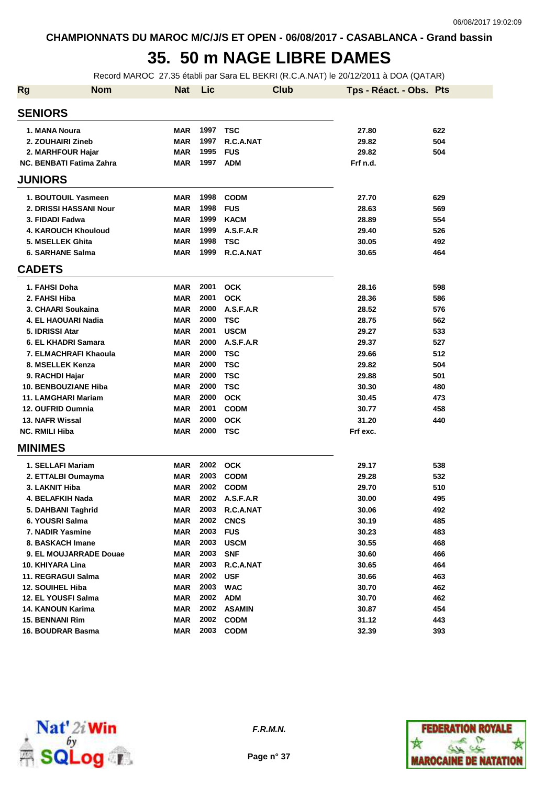## **35. 50 m NAGE LIBRE DAMES**

Record MAROC 27.35 établi par Sara EL BEKRI (R.C.A.NAT) le 20/12/2011 à DOA (QATAR)

| <b>Rg</b> | <b>Nom</b>                      | <b>Nat</b> | Lic  | <b>Club</b>   | Tps - Réact. - Obs. Pts |     |
|-----------|---------------------------------|------------|------|---------------|-------------------------|-----|
|           | <b>SENIORS</b>                  |            |      |               |                         |     |
|           | 1. MANA Noura                   | <b>MAR</b> | 1997 | <b>TSC</b>    | 27.80                   | 622 |
|           | 2. ZOUHAIRI Zineb               | <b>MAR</b> | 1997 | R.C.A.NAT     | 29.82                   | 504 |
|           | 2. MARHFOUR Hajar               | <b>MAR</b> | 1995 | <b>FUS</b>    | 29.82                   | 504 |
|           | <b>NC. BENBATI Fatima Zahra</b> | <b>MAR</b> | 1997 | <b>ADM</b>    | Frf n.d.                |     |
|           | <b>JUNIORS</b>                  |            |      |               |                         |     |
|           | 1. BOUTOUIL Yasmeen             | <b>MAR</b> | 1998 | <b>CODM</b>   | 27.70                   | 629 |
|           | 2. DRISSI HASSANI Nour          | <b>MAR</b> | 1998 | <b>FUS</b>    | 28.63                   | 569 |
|           | 3. FIDADI Fadwa                 | <b>MAR</b> | 1999 | <b>KACM</b>   | 28.89                   | 554 |
|           | <b>4. KAROUCH Khouloud</b>      | <b>MAR</b> | 1999 | A.S.F.A.R     | 29.40                   | 526 |
|           | 5. MSELLEK Ghita                | <b>MAR</b> | 1998 | TSC           | 30.05                   | 492 |
|           | 6. SARHANE Salma                | <b>MAR</b> | 1999 | R.C.A.NAT     | 30.65                   | 464 |
|           | <b>CADETS</b>                   |            |      |               |                         |     |
|           |                                 |            |      |               |                         |     |
|           | 1. FAHSI Doha                   | <b>MAR</b> | 2001 | <b>OCK</b>    | 28.16                   | 598 |
|           | 2. FAHSI Hiba                   | <b>MAR</b> | 2001 | <b>OCK</b>    | 28.36                   | 586 |
|           | 3. CHAARI Soukaina              | <b>MAR</b> | 2000 | A.S.F.A.R     | 28.52                   | 576 |
|           | 4. EL HAOUARI Nadia             | <b>MAR</b> | 2000 | <b>TSC</b>    | 28.75                   | 562 |
|           | 5. IDRISSI Atar                 | <b>MAR</b> | 2001 | <b>USCM</b>   | 29.27                   | 533 |
|           | 6. EL KHADRI Samara             | <b>MAR</b> | 2000 | A.S.F.A.R     | 29.37                   | 527 |
|           | 7. ELMACHRAFI Khaoula           | <b>MAR</b> | 2000 | TSC           | 29.66                   | 512 |
|           | 8. MSELLEK Kenza                | <b>MAR</b> | 2000 | TSC           | 29.82                   | 504 |
|           | 9. RACHDI Hajar                 | <b>MAR</b> | 2000 | TSC           | 29.88                   | 501 |
|           | <b>10. BENBOUZIANE Hiba</b>     | <b>MAR</b> | 2000 | <b>TSC</b>    | 30.30                   | 480 |
|           | 11. LAMGHARI Mariam             | <b>MAR</b> | 2000 | <b>OCK</b>    | 30.45                   | 473 |
|           | 12. OUFRID Oumnia               | <b>MAR</b> | 2001 | <b>CODM</b>   | 30.77                   | 458 |
|           | 13. NAFR Wissal                 | <b>MAR</b> | 2000 | <b>OCK</b>    | 31.20                   | 440 |
|           | <b>NC. RMILI Hiba</b>           | <b>MAR</b> | 2000 | <b>TSC</b>    | Frf exc.                |     |
|           | <b>MINIMES</b>                  |            |      |               |                         |     |
|           | 1. SELLAFI Mariam               | <b>MAR</b> | 2002 | <b>OCK</b>    | 29.17                   | 538 |
|           | 2. ETTALBI Oumayma              | MAR        | 2003 | <b>CODM</b>   | 29.28                   | 532 |
|           | 3. LAKNIT Hiba                  | MAR        | 2002 | <b>CODM</b>   | 29.70                   | 510 |
|           | 4. BELAFKIH Nada                | <b>MAR</b> | 2002 | A.S.F.A.R     | 30.00                   | 495 |
|           | 5. DAHBANI Taghrid              | MAR        | 2003 | R.C.A.NAT     | 30.06                   | 492 |
|           | 6. YOUSRI Salma                 | <b>MAR</b> | 2002 | <b>CNCS</b>   | 30.19                   | 485 |
|           | 7. NADIR Yasmine                | <b>MAR</b> | 2003 | <b>FUS</b>    | 30.23                   | 483 |
|           | 8. BASKACH Imane                | <b>MAR</b> | 2003 | <b>USCM</b>   | 30.55                   | 468 |
|           | 9. EL MOUJARRADE Douae          | <b>MAR</b> | 2003 | <b>SNF</b>    | 30.60                   | 466 |
|           | 10. KHIYARA Lina                | <b>MAR</b> | 2003 | R.C.A.NAT     | 30.65                   | 464 |
|           | 11. REGRAGUI Salma              | <b>MAR</b> | 2002 | <b>USF</b>    | 30.66                   | 463 |
|           | <b>12. SOUIHEL Hiba</b>         | <b>MAR</b> | 2003 | <b>WAC</b>    | 30.70                   | 462 |
|           | 12. EL YOUSFI Salma             | <b>MAR</b> | 2002 | <b>ADM</b>    | 30.70                   | 462 |
|           | 14. KANOUN Karima               | <b>MAR</b> | 2002 | <b>ASAMIN</b> | 30.87                   | 454 |
|           | <b>15. BENNANI Rim</b>          | <b>MAR</b> | 2002 | <b>CODM</b>   | 31.12                   | 443 |
|           | 16. BOUDRAR Basma               | <b>MAR</b> | 2003 | <b>CODM</b>   | 32.39                   | 393 |



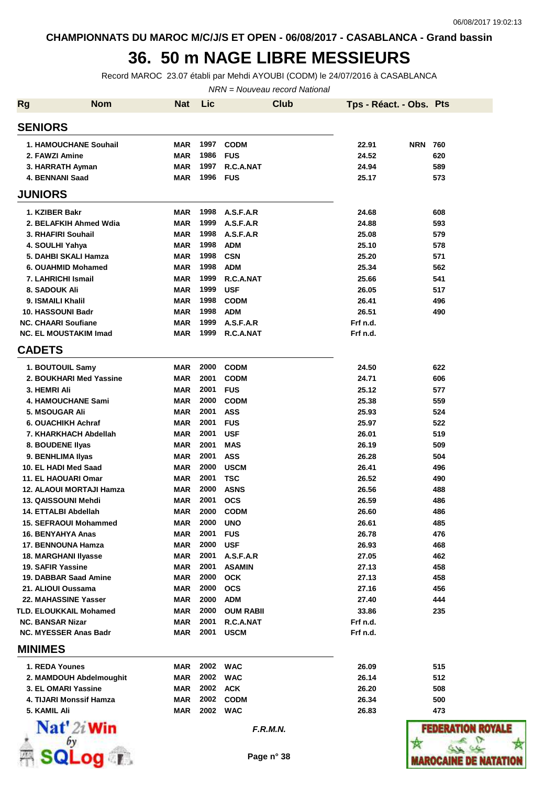**CHAMPIONNATS DU MAROC M/C/J/S ET OPEN - 06/08/2017 - CASABLANCA - Grand bassin**

## **36. 50 m NAGE LIBRE MESSIEURS**

Record MAROC 23.07 établi par Mehdi AYOUBI (CODM) le 24/07/2016 à CASABLANCA

NRN = Nouveau record National

| <b>Rg</b>                                 | <b>Nom</b> | <b>Nat</b>               | Lic          |                           | <b>Club</b> | Tps - Réact. - Obs. Pts |            |               |
|-------------------------------------------|------------|--------------------------|--------------|---------------------------|-------------|-------------------------|------------|---------------|
| <b>SENIORS</b>                            |            |                          |              |                           |             |                         |            |               |
| <b>1. HAMOUCHANE Souhail</b>              |            | <b>MAR</b>               | 1997         | <b>CODM</b>               |             | 22.91                   | <b>NRN</b> | 760           |
| 2. FAWZI Amine                            |            | <b>MAR</b>               | 1986         | <b>FUS</b>                |             | 24.52                   |            | 620           |
| 3. HARRATH Ayman                          |            | <b>MAR</b>               | 1997         | R.C.A.NAT                 |             | 24.94                   |            | 589           |
| <b>4. BENNANI Saad</b>                    |            | <b>MAR</b>               | 1996         | <b>FUS</b>                |             | 25.17                   |            | 573           |
| <b>JUNIORS</b>                            |            |                          |              |                           |             |                         |            |               |
| 1. KZIBER Bakr                            |            | MAR                      | 1998         | A.S.F.A.R                 |             | 24.68                   |            | 608           |
| 2. BELAFKIH Ahmed Wdia                    |            | <b>MAR</b>               | 1999         | A.S.F.A.R                 |             | 24.88                   |            | 593           |
| 3. RHAFIRI Souhail                        |            | <b>MAR</b>               | 1998         | A.S.F.A.R                 |             | 25.08                   |            | 579           |
| 4. SOULHI Yahya                           |            | <b>MAR</b>               | 1998         | <b>ADM</b>                |             | 25.10                   |            | 578           |
| 5. DAHBI SKALI Hamza                      |            | <b>MAR</b>               | 1998         | <b>CSN</b>                |             | 25.20                   |            | 571           |
| 6. OUAHMID Mohamed                        |            | <b>MAR</b>               | 1998         | <b>ADM</b>                |             | 25.34                   |            | 562           |
| 7. LAHRICHI Ismail                        |            | <b>MAR</b>               | 1999         | R.C.A.NAT                 |             | 25.66                   |            | 541           |
| 8. SADOUK Ali                             |            | <b>MAR</b>               | 1999         | <b>USF</b>                |             | 26.05                   |            | 517           |
| 9. ISMAILI Khalil                         |            | <b>MAR</b>               | 1998         | <b>CODM</b>               |             | 26.41                   |            | 496           |
| 10. HASSOUNI Badr                         |            | <b>MAR</b>               | 1998         | <b>ADM</b>                |             | 26.51                   |            | 490           |
| <b>NC. CHAARI Soufiane</b>                |            | <b>MAR</b>               | 1999         | A.S.F.A.R                 |             | Frf n.d.                |            |               |
| <b>NC. EL MOUSTAKIM Imad</b>              |            | <b>MAR</b>               | 1999         | R.C.A.NAT                 |             | Frf n.d.                |            |               |
| <b>CADETS</b>                             |            |                          |              |                           |             |                         |            |               |
| 1. BOUTOUIL Samy                          |            | <b>MAR</b>               | 2000         | <b>CODM</b>               |             | 24.50                   |            | 622           |
| 2. BOUKHARI Med Yassine                   |            | <b>MAR</b>               | 2001         | <b>CODM</b>               |             | 24.71                   |            | 606           |
| 3. HEMRI Ali                              |            | <b>MAR</b>               | 2001         | <b>FUS</b>                |             | 25.12                   |            | 577           |
| <b>4. HAMOUCHANE Sami</b>                 |            | <b>MAR</b>               | 2000         | <b>CODM</b>               |             | 25.38                   |            | 559           |
| <b>5. MSOUGAR Ali</b>                     |            | <b>MAR</b>               | 2001         | <b>ASS</b>                |             | 25.93                   |            | 524           |
| 6. OUACHIKH Achraf                        |            | <b>MAR</b>               | 2001         | <b>FUS</b>                |             | 25.97                   |            | 522           |
| 7. KHARKHACH Abdellah                     |            | <b>MAR</b>               | 2001         | <b>USF</b>                |             | 26.01                   |            | 519           |
| 8. BOUDENE Ilyas                          |            | <b>MAR</b>               | 2001         | <b>MAS</b>                |             | 26.19                   |            | 509           |
| 9. BENHLIMA IIyas<br>10. EL HADI Med Saad |            | <b>MAR</b><br><b>MAR</b> | 2001<br>2000 | <b>ASS</b>                |             | 26.28<br>26.41          |            | 504<br>496    |
| 11. EL HAOUARI Omar                       |            | <b>MAR</b>               | 2001         | <b>USCM</b><br><b>TSC</b> |             | 26.52                   |            | 490           |
| 12. ALAOUI MORTAJI Hamza                  |            | <b>MAR</b>               | 2000         | <b>ASNS</b>               |             | 26.56                   |            | 488           |
| 13. QAISSOUNI Mehdi                       |            | <b>MAR</b>               | 2001         | <b>OCS</b>                |             | 26.59                   |            | 486           |
| 14. ETTALBI Abdellah                      |            | MAR                      | 2000         | <b>CODM</b>               |             | 26.60                   |            | 486           |
| 15. SEFRAOUI Mohammed                     |            | MAR                      | 2000         | <b>UNO</b>                |             | 26.61                   |            | 485           |
| 16. BENYAHYA Anas                         |            | <b>MAR</b>               | 2001         | <b>FUS</b>                |             | 26.78                   |            | 476           |
| 17. BENNOUNA Hamza                        |            | <b>MAR</b>               | 2000         | <b>USF</b>                |             | 26.93                   |            | 468           |
| 18. MARGHANI Ilyasse                      |            | <b>MAR</b>               | 2001         | A.S.F.A.R                 |             | 27.05                   |            | 462           |
| 19. SAFIR Yassine                         |            | <b>MAR</b>               | 2001         | <b>ASAMIN</b>             |             | 27.13                   |            | 458           |
| 19. DABBAR Saad Amine                     |            | <b>MAR</b>               | 2000         | <b>OCK</b>                |             | 27.13                   |            | 458           |
| 21. ALIOUI Oussama                        |            | <b>MAR</b>               | 2000         | <b>OCS</b>                |             | 27.16                   |            | 456           |
| 22. MAHASSINE Yasser                      |            | <b>MAR</b>               | 2000         | <b>ADM</b>                |             | 27.40                   |            | 444           |
| <b>TLD. ELOUKKAIL Mohamed</b>             |            | MAR                      | 2000         | <b>OUM RABII</b>          |             | 33.86                   |            | 235           |
| <b>NC. BANSAR Nizar</b>                   |            | <b>MAR</b>               | 2001         | R.C.A.NAT                 |             | Frf n.d.                |            |               |
| <b>NC. MYESSER Anas Badr</b>              |            | MAR                      | 2001         | <b>USCM</b>               |             | Frf n.d.                |            |               |
| <b>MINIMES</b>                            |            |                          |              |                           |             |                         |            |               |
| 1. REDA Younes                            |            | MAR                      |              | 2002 WAC                  |             | 26.09                   |            | 515           |
| 2. MAMDOUH Abdelmoughit                   |            | <b>MAR</b>               | 2002         | <b>WAC</b>                |             | 26.14                   |            | 512           |
| 3. EL OMARI Yassine                       |            | <b>MAR</b>               | 2002         | ACK                       |             | 26.20                   |            | 508           |
| 4. TIJARI Monssif Hamza                   |            | <b>MAR</b>               | 2002         | <b>CODM</b>               |             | 26.34                   |            | 500           |
| 5. KAMIL Ali                              |            | <b>MAR</b>               |              | 2002 WAC                  |             | 26.83                   |            | 473           |
| $\mathbf{Nat}'$ 2i Win                    |            |                          |              | F.R.M.N.                  |             |                         |            | <b>FEDERA</b> |
|                                           |            |                          |              |                           |             |                         |            |               |
|                                           | $1$ po.    |                          |              | Page n° 38                |             |                         |            | MAROCAINE     |
|                                           |            |                          |              |                           |             |                         |            |               |